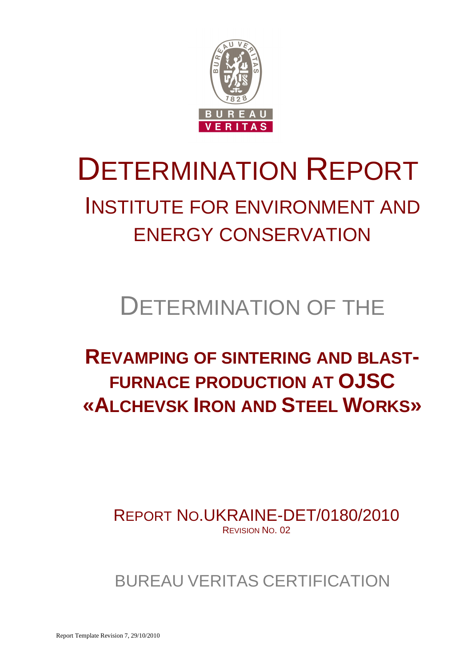

# DETERMINATION REPORT

### INSTITUTE FOR ENVIRONMENT AND ENERGY CONSERVATION

## DETERMINATION OF THE

### **REVAMPING OF SINTERING AND BLAST-FURNACE PRODUCTION AT OJSC «ALCHEVSK IRON AND STEEL WORKS»**

REPORT NO.UKRAINE-DET/0180/2010 REVISION NO. 02

BUREAU VERITAS CERTIFICATION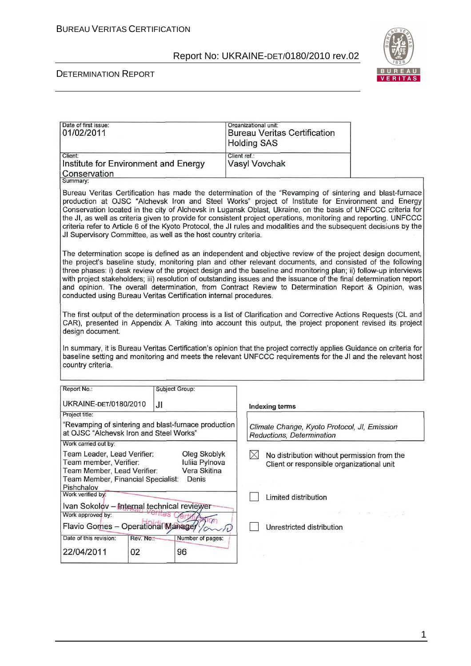

#### DETERMINATION REPORT

| Date of first issue:<br>01/02/2011                                                                                                                                                                                                                                                                                                                                                                                                                                                                                                                                                                                                              |            |                  | Organizational unit:<br><b>Bureau Veritas Certification</b><br><b>Holding SAS</b>                    |                    |  |
|-------------------------------------------------------------------------------------------------------------------------------------------------------------------------------------------------------------------------------------------------------------------------------------------------------------------------------------------------------------------------------------------------------------------------------------------------------------------------------------------------------------------------------------------------------------------------------------------------------------------------------------------------|------------|------------------|------------------------------------------------------------------------------------------------------|--------------------|--|
| Client:<br>Institute for Environment and Energy<br>Conservation<br>Summary:                                                                                                                                                                                                                                                                                                                                                                                                                                                                                                                                                                     |            |                  | Client ref.:<br>Vasyl Vovchak                                                                        |                    |  |
| Bureau Veritas Certification has made the determination of the "Revamping of sintering and blast-furnace<br>production at OJSC "Alchevsk Iron and Steel Works" project of Institute for Environment and Energy<br>Conservation located in the city of Alchevsk in Lugansk Oblast, Ukraine, on the basis of UNFCCC criteria for<br>the JI, as well as criteria given to provide for consistent project operations, monitoring and reporting. UNFCCC<br>criteria refer to Article 6 of the Kyoto Protocol, the JI rules and modalities and the subsequent decisions by the<br>JI Supervisory Committee, as well as the host country criteria.     |            |                  |                                                                                                      |                    |  |
| The determination scope is defined as an independent and objective review of the project design document,<br>the project's baseline study, monitoring plan and other relevant documents, and consisted of the following<br>three phases: i) desk review of the project design and the baseline and monitoring plan; ii) follow-up interviews<br>with project stakeholders; iii) resolution of outstanding issues and the issuance of the final determination report<br>and opinion. The overall determination, from Contract Review to Determination Report & Opinion, was<br>conducted using Bureau Veritas Certification internal procedures. |            |                  |                                                                                                      |                    |  |
| The first output of the determination process is a list of Clarification and Corrective Actions Requests (CL and<br>CAR), presented in Appendix A. Taking into account this output, the project proponent revised its project<br>design document.                                                                                                                                                                                                                                                                                                                                                                                               |            |                  |                                                                                                      |                    |  |
| In summary, it is Bureau Veritas Certification's opinion that the project correctly applies Guidance on criteria for<br>baseline setting and monitoring and meets the relevant UNFCCC requirements for the JI and the relevant host<br>country criteria.                                                                                                                                                                                                                                                                                                                                                                                        |            |                  |                                                                                                      |                    |  |
| Report No.:                                                                                                                                                                                                                                                                                                                                                                                                                                                                                                                                                                                                                                     |            | Subject Group:   |                                                                                                      |                    |  |
| UKRAINE-DET/0180/2010                                                                                                                                                                                                                                                                                                                                                                                                                                                                                                                                                                                                                           | JI         |                  | <b>Indexing terms</b>                                                                                |                    |  |
| Project title:                                                                                                                                                                                                                                                                                                                                                                                                                                                                                                                                                                                                                                  |            |                  |                                                                                                      |                    |  |
| "Revamping of sintering and blast-furnace production<br>at OJSC "Alchevsk Iron and Steel Works"                                                                                                                                                                                                                                                                                                                                                                                                                                                                                                                                                 |            |                  | Climate Change, Kyoto Protocol, JI, Emission<br>Reductions, Determination                            |                    |  |
| Work carried out by:                                                                                                                                                                                                                                                                                                                                                                                                                                                                                                                                                                                                                            |            |                  |                                                                                                      |                    |  |
| Team Leader, Lead Verifier:<br>Oleg Skoblyk<br>Team member, Verifier:<br>Iuliia Pylnova<br>Team Member, Lead Verifier:<br>Vera Skitina<br>Team Member, Financial Specialist: Denis<br>Pishchalov                                                                                                                                                                                                                                                                                                                                                                                                                                                |            |                  | $\times$<br>No distribution without permission from the<br>Client or responsible organizational unit |                    |  |
| Work verified by:                                                                                                                                                                                                                                                                                                                                                                                                                                                                                                                                                                                                                               |            |                  | Limited distribution                                                                                 |                    |  |
| Ivan Sokolov - Internal technical reviewer                                                                                                                                                                                                                                                                                                                                                                                                                                                                                                                                                                                                      |            |                  |                                                                                                      |                    |  |
| Work approved by:<br>eritas<br>700                                                                                                                                                                                                                                                                                                                                                                                                                                                                                                                                                                                                              |            |                  |                                                                                                      | a serbisco del del |  |
| Flavio Gomes - Operational Manager                                                                                                                                                                                                                                                                                                                                                                                                                                                                                                                                                                                                              |            |                  | Unrestricted distribution                                                                            |                    |  |
| Date of this revision:                                                                                                                                                                                                                                                                                                                                                                                                                                                                                                                                                                                                                          | Rev. No.:- | Number of pages: |                                                                                                      |                    |  |
| 22/04/2011                                                                                                                                                                                                                                                                                                                                                                                                                                                                                                                                                                                                                                      | 02         | 96               |                                                                                                      |                    |  |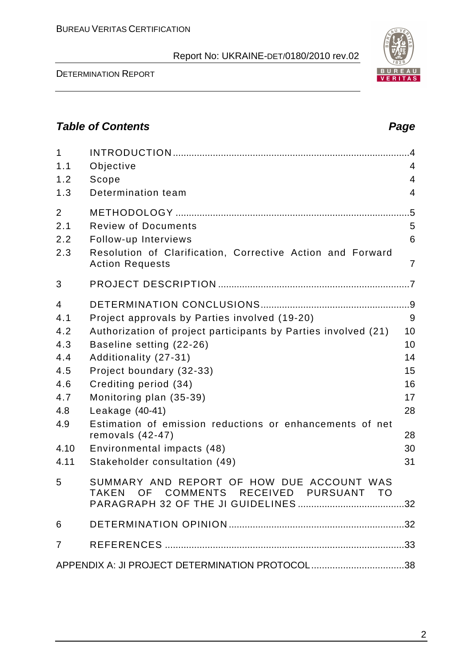#### DETERMINATION REPORT

#### **Table of Contents Page 2018**

| $\mathbf{1}$<br>1.1<br>1.2<br>1.3                                                | Objective<br>Scope<br>Determination team                                                                                                                                                                                                                                                                                                                                                                                 | $\overline{4}$<br>4<br>4                                      |
|----------------------------------------------------------------------------------|--------------------------------------------------------------------------------------------------------------------------------------------------------------------------------------------------------------------------------------------------------------------------------------------------------------------------------------------------------------------------------------------------------------------------|---------------------------------------------------------------|
| $\overline{2}$<br>2.1<br>2.2<br>2.3                                              | <b>Review of Documents</b><br>Follow-up Interviews<br>Resolution of Clarification, Corrective Action and Forward<br><b>Action Requests</b>                                                                                                                                                                                                                                                                               | 5<br>6<br>$\overline{7}$                                      |
| 3                                                                                |                                                                                                                                                                                                                                                                                                                                                                                                                          |                                                               |
| 4<br>4.1<br>4.2<br>4.3<br>4.4<br>4.5<br>4.6<br>4.7<br>4.8<br>4.9<br>4.10<br>4.11 | Project approvals by Parties involved (19-20)<br>Authorization of project participants by Parties involved (21)<br>Baseline setting (22-26)<br>Additionality (27-31)<br>Project boundary (32-33)<br>Crediting period (34)<br>Monitoring plan (35-39)<br>Leakage (40-41)<br>Estimation of emission reductions or enhancements of net<br>removals $(42-47)$<br>Environmental impacts (48)<br>Stakeholder consultation (49) | 9<br>10<br>10<br>14<br>15<br>16<br>17<br>28<br>28<br>30<br>31 |
| 5                                                                                | SUMMARY AND REPORT OF HOW DUE ACCOUNT WAS<br>OF COMMENTS RECEIVED<br><b>TAKEN</b><br><b>PURSUANT</b><br><b>TO</b>                                                                                                                                                                                                                                                                                                        |                                                               |
| 6                                                                                |                                                                                                                                                                                                                                                                                                                                                                                                                          |                                                               |
| 7                                                                                |                                                                                                                                                                                                                                                                                                                                                                                                                          |                                                               |
|                                                                                  | APPENDIX A: JI PROJECT DETERMINATION PROTOCOL 38                                                                                                                                                                                                                                                                                                                                                                         |                                                               |

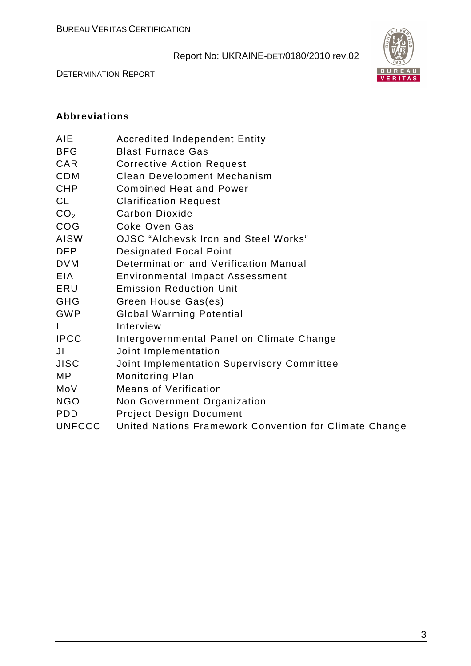#### DETERMINATION REPORT



#### **Abbreviations**

| AIE             | <b>Accredited Independent Entity</b>                   |
|-----------------|--------------------------------------------------------|
| BFG             | <b>Blast Furnace Gas</b>                               |
| CAR             | <b>Corrective Action Request</b>                       |
| CDM             | Clean Development Mechanism                            |
| CHP             | <b>Combined Heat and Power</b>                         |
| CL              | <b>Clarification Request</b>                           |
| CO <sub>2</sub> | <b>Carbon Dioxide</b>                                  |
| COG             | <b>Coke Oven Gas</b>                                   |
| AISW            | OJSC "Alchevsk Iron and Steel Works"                   |
| DFP             | <b>Designated Focal Point</b>                          |
| DVM             | Determination and Verification Manual                  |
| EIA             | <b>Environmental Impact Assessment</b>                 |
| ERU             | <b>Emission Reduction Unit</b>                         |
| GHG             | Green House Gas(es)                                    |
| GWP             | <b>Global Warming Potential</b>                        |
|                 | Interview                                              |
| <b>IPCC</b>     | Intergovernmental Panel on Climate Change              |
| JI              | Joint Implementation                                   |
| JISC            | Joint Implementation Supervisory Committee             |
| МP              | <b>Monitoring Plan</b>                                 |
| MoV             | <b>Means of Verification</b>                           |
| NGO             | Non Government Organization                            |
| PDD             | <b>Project Design Document</b>                         |
| <b>UNFCCC</b>   | United Nations Framework Convention for Climate Change |
|                 |                                                        |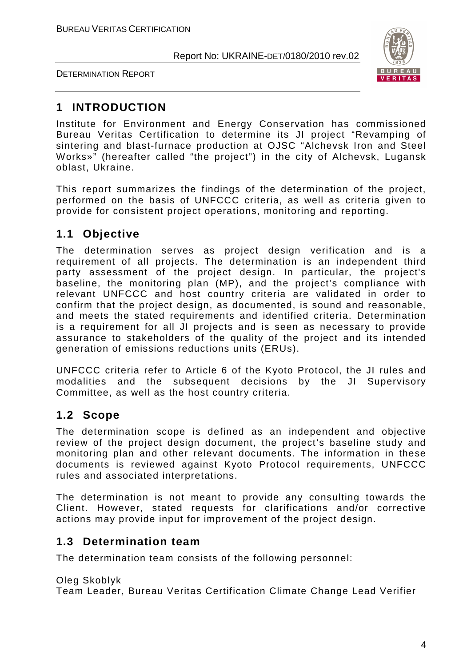



### **1 INTRODUCTION**

Institute for Environment and Energy Conservation has commissioned Bureau Veritas Certification to determine its JI project "Revamping of sintering and blast-furnace production at OJSC "Alchevsk Iron and Steel Works»" (hereafter called "the project") in the city of Alchevsk, Lugansk oblast, Ukraine.

This report summarizes the findings of the determination of the project, performed on the basis of UNFCCC criteria, as well as criteria given to provide for consistent project operations, monitoring and reporting.

#### **1.1 Objective**

The determination serves as project design verification and is a requirement of all projects. The determination is an independent third party assessment of the project design. In particular, the project's baseline, the monitoring plan (MP), and the project's compliance with relevant UNFCCC and host country criteria are validated in order to confirm that the project design, as documented, is sound and reasonable, and meets the stated requirements and identified criteria. Determination is a requirement for all JI projects and is seen as necessary to provide assurance to stakeholders of the quality of the project and its intended generation of emissions reductions units (ERUs).

UNFCCC criteria refer to Article 6 of the Kyoto Protocol, the JI rules and modalities and the subsequent decisions by the JI Supervisory Committee, as well as the host country criteria.

#### **1.2 Scope**

The determination scope is defined as an independent and objective review of the project design document, the project's baseline study and monitoring plan and other relevant documents. The information in these documents is reviewed against Kyoto Protocol requirements, UNFCCC rules and associated interpretations.

The determination is not meant to provide any consulting towards the Client. However, stated requests for clarifications and/or corrective actions may provide input for improvement of the project design.

#### **1.3 Determination team**

The determination team consists of the following personnel:

Oleg Skoblyk Team Leader, Bureau Veritas Certification Climate Change Lead Verifier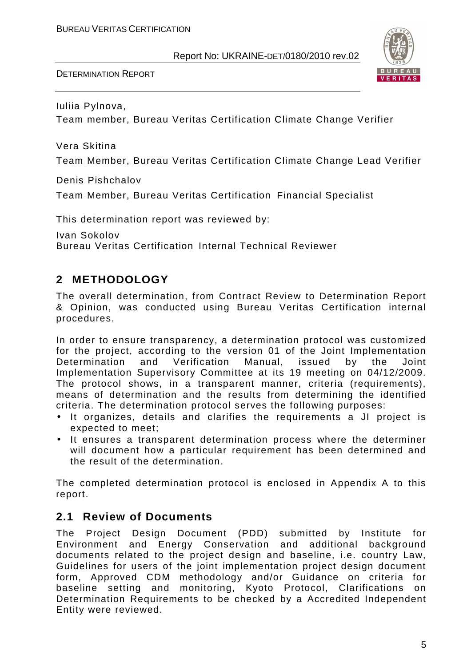DETERMINATION REPORT



Iuliia Pylnova,

Team member, Bureau Veritas Certification Climate Change Verifier

Vera Skitina

Team Member, Bureau Veritas Certification Climate Change Lead Verifier

Denis Pishchalov

Team Member, Bureau Veritas Certification Financial Specialist

This determination report was reviewed by:

Ivan Sokolov Bureau Veritas Certification Internal Technical Reviewer

#### **2 METHODOLOGY**

The overall determination, from Contract Review to Determination Report & Opinion, was conducted using Bureau Veritas Certification internal procedures.

In order to ensure transparency, a determination protocol was customized for the project, according to the version 01 of the Joint Implementation Determination and Verification Manual, issued by the Joint Implementation Supervisory Committee at its 19 meeting on 04/12/2009. The protocol shows, in a transparent manner, criteria (requirements), means of determination and the results from determining the identified criteria. The determination protocol serves the following purposes:

- It organizes, details and clarifies the requirements a JI project is expected to meet;
- It ensures a transparent determination process where the determiner will document how a particular requirement has been determined and the result of the determination.

The completed determination protocol is enclosed in Appendix A to this report.

#### **2.1 Review of Documents**

The Project Design Document (PDD) submitted by Institute for Environment and Energy Conservation and additional background documents related to the project design and baseline, i.e. country Law, Guidelines for users of the joint implementation project design document form, Approved CDM methodology and/or Guidance on criteria for baseline setting and monitoring, Kyoto Protocol, Clarifications on Determination Requirements to be checked by a Accredited Independent Entity were reviewed.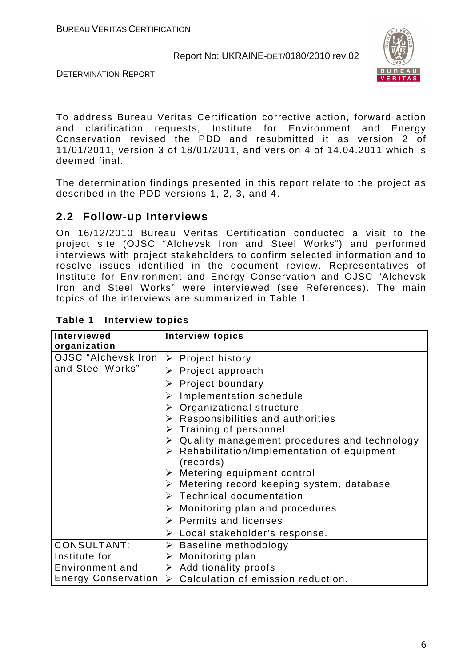DETERMINATION REPORT



To address Bureau Veritas Certification corrective action, forward action and clarification requests, Institute for Environment and Energy Conservation revised the PDD and resubmitted it as version 2 of 11/01/2011, version 3 of 18/01/2011, and version 4 of 14.04.2011 which is deemed final.

The determination findings presented in this report relate to the project as described in the PDD versions 1, 2, 3, and 4.

#### **2.2 Follow-up Interviews**

On 16/12/2010 Bureau Veritas Certification conducted a visit to the project site (OJSC "Alchevsk Iron and Steel Works") and performed interviews with project stakeholders to confirm selected information and to resolve issues identified in the document review. Representatives of Institute for Environment and Energy Conservation and OJSC "Alchevsk Iron and Steel Works" were interviewed (see References). The main topics of the interviews are summarized in Table 1.

| Interviewed                | <b>Interview topics</b>                                       |
|----------------------------|---------------------------------------------------------------|
| organization               |                                                               |
| OJSC "Alchevsk Iron        | $\triangleright$ Project history                              |
| and Steel Works"           | $\triangleright$ Project approach                             |
|                            | <b>Project boundary</b>                                       |
|                            | $\triangleright$ Implementation schedule                      |
|                            | $\triangleright$ Organizational structure                     |
|                            | $\triangleright$ Responsibilities and authorities             |
|                            | $\triangleright$ Training of personnel                        |
|                            | $\triangleright$ Quality management procedures and technology |
|                            | > Rehabilitation/Implementation of equipment<br>(records)     |
|                            | $\triangleright$ Metering equipment control                   |
|                            | $\triangleright$ Metering record keeping system, database     |
|                            | $\triangleright$ Technical documentation                      |
|                            | $\triangleright$ Monitoring plan and procedures               |
|                            | $\triangleright$ Permits and licenses                         |
|                            | $\triangleright$ Local stakeholder's response.                |
| <b>CONSULTANT:</b>         | $\triangleright$ Baseline methodology                         |
| Institute for              | $\triangleright$ Monitoring plan                              |
| Environment and            | $\triangleright$ Additionality proofs                         |
| <b>Energy Conservation</b> | $\triangleright$ Calculation of emission reduction.           |

#### **Table 1 Interview topics**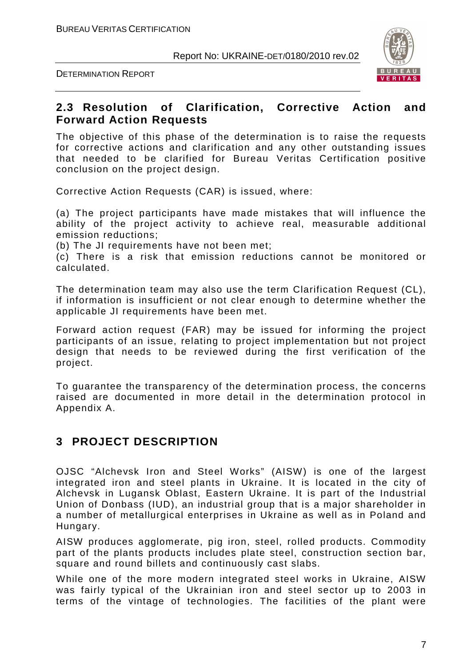



#### **2.3 Resolution of Clarification, Corrective Action and Forward Action Requests**

The objective of this phase of the determination is to raise the requests for corrective actions and clarification and any other outstanding issues that needed to be clarified for Bureau Veritas Certification positive conclusion on the project design.

Corrective Action Requests (CAR) is issued, where:

(a) The project participants have made mistakes that will influence the ability of the project activity to achieve real, measurable additional emission reductions;

(b) The JI requirements have not been met;

(c) There is a risk that emission reductions cannot be monitored or calculated.

The determination team may also use the term Clarification Request (CL), if information is insufficient or not clear enough to determine whether the applicable JI requirements have been met.

Forward action request (FAR) may be issued for informing the project participants of an issue, relating to project implementation but not project design that needs to be reviewed during the first verification of the project.

To guarantee the transparency of the determination process, the concerns raised are documented in more detail in the determination protocol in Appendix A.

#### **3 PROJECT DESCRIPTION**

OJSC "Alchevsk Iron and Steel Works" (AISW) is one of the largest integrated iron and steel plants in Ukraine. It is located in the city of Alchevsk in Lugansk Oblast, Eastern Ukraine. It is part of the Industrial Union of Donbass (IUD), an industrial group that is a major shareholder in a number of metallurgical enterprises in Ukraine as well as in Poland and Hungary.

AISW produces agglomerate, pig iron, steel, rolled products. Commodity part of the plants products includes plate steel, construction section bar, square and round billets and continuously cast slabs.

While one of the more modern integrated steel works in Ukraine, AISW was fairly typical of the Ukrainian iron and steel sector up to 2003 in terms of the vintage of technologies. The facilities of the plant were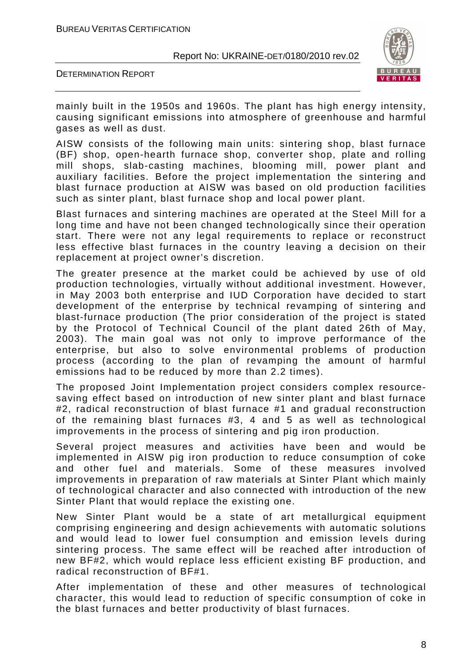



mainly built in the 1950s and 1960s. The plant has high energy intensity, causing significant emissions into atmosphere of greenhouse and harmful gases as well as dust.

AISW consists of the following main units: sintering shop, blast furnace (BF) shop, open-hearth furnace shop, converter shop, plate and rolling mill shops, slab-casting machines, blooming mill, power plant and auxiliary facilities. Before the project implementation the sintering and blast furnace production at AISW was based on old production facilities such as sinter plant, blast furnace shop and local power plant.

Blast furnaces and sintering machines are operated at the Steel Mill for a long time and have not been changed technologically since their operation start. There were not any legal requirements to replace or reconstruct less effective blast furnaces in the country leaving a decision on their replacement at project owner's discretion.

The greater presence at the market could be achieved by use of old production technologies, virtually without additional investment. However, in May 2003 both enterprise and IUD Corporation have decided to start development of the enterprise by technical revamping of sintering and blast-furnace production (The prior consideration of the project is stated by the Protocol of Technical Council of the plant dated 26th of May, 2003). The main goal was not only to improve performance of the enterprise, but also to solve environmental problems of production process (according to the plan of revamping the amount of harmful emissions had to be reduced by more than 2.2 times).

The proposed Joint Implementation project considers complex resourcesaving effect based on introduction of new sinter plant and blast furnace #2, radical reconstruction of blast furnace #1 and gradual reconstruction of the remaining blast furnaces #3, 4 and 5 as well as technological improvements in the process of sintering and pig iron production.

Several project measures and activities have been and would be implemented in AISW pig iron production to reduce consumption of coke and other fuel and materials. Some of these measures involved improvements in preparation of raw materials at Sinter Plant which mainly of technological character and also connected with introduction of the new Sinter Plant that would replace the existing one.

New Sinter Plant would be a state of art metallurgical equipment comprising engineering and design achievements with automatic solutions and would lead to lower fuel consumption and emission levels during sintering process. The same effect will be reached after introduction of new BF#2, which would replace less efficient existing BF production, and radical reconstruction of BF#1.

After implementation of these and other measures of technological character, this would lead to reduction of specific consumption of coke in the blast furnaces and better productivity of blast furnaces.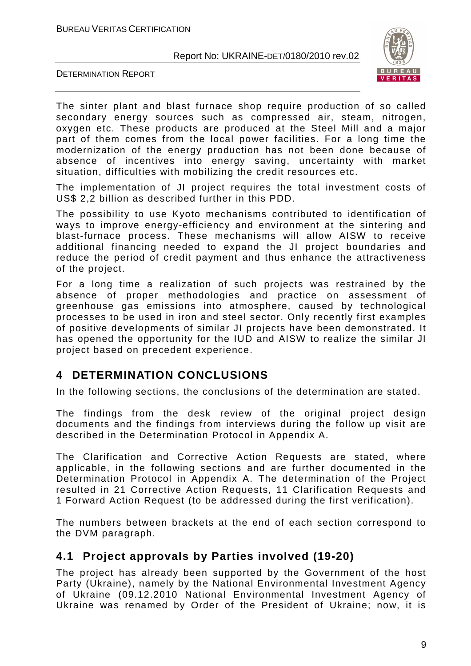



The sinter plant and blast furnace shop require production of so called secondary energy sources such as compressed air, steam, nitrogen, oxygen etc. These products are produced at the Steel Mill and a major part of them comes from the local power facilities. For a long time the modernization of the energy production has not been done because of absence of incentives into energy saving, uncertainty with market situation, difficulties with mobilizing the credit resources etc.

The implementation of JI project requires the total investment costs of US\$ 2,2 billion as described further in this PDD.

The possibility to use Kyoto mechanisms contributed to identification of ways to improve energy-efficiency and environment at the sintering and blast-furnace process. These mechanisms will allow AISW to receive additional financing needed to expand the JI project boundaries and reduce the period of credit payment and thus enhance the attractiveness of the project.

For a long time a realization of such projects was restrained by the absence of proper methodologies and practice on assessment of greenhouse gas emissions into atmosphere, caused by technological processes to be used in iron and steel sector. Only recently first examples of positive developments of similar JI projects have been demonstrated. It has opened the opportunity for the IUD and AISW to realize the similar JI project based on precedent experience.

#### **4 DETERMINATION CONCLUSIONS**

In the following sections, the conclusions of the determination are stated.

The findings from the desk review of the original project design documents and the findings from interviews during the follow up visit are described in the Determination Protocol in Appendix A.

The Clarification and Corrective Action Requests are stated, where applicable, in the following sections and are further documented in the Determination Protocol in Appendix A. The determination of the Project resulted in 21 Corrective Action Requests, 11 Clarification Requests and 1 Forward Action Request (to be addressed during the first verification).

The numbers between brackets at the end of each section correspond to the DVM paragraph.

#### **4.1 Project approvals by Parties involved (19-20)**

The project has already been supported by the Government of the host Party (Ukraine), namely by the National Environmental Investment Agency of Ukraine (09.12.2010 National Environmental Investment Agency of Ukraine was renamed by Order of the President of Ukraine; now, it is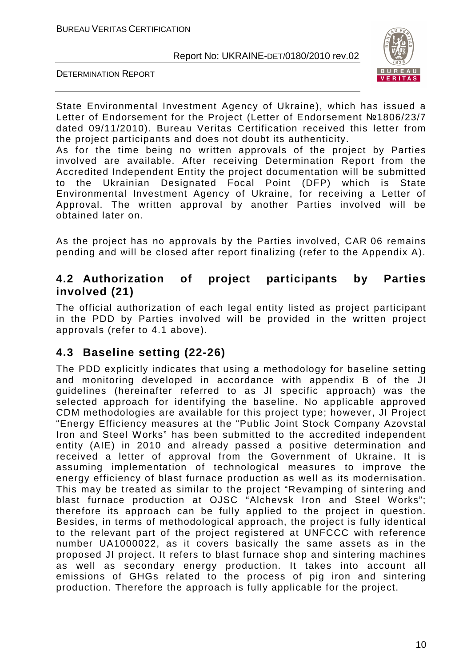

DETERMINATION REPORT

State Environmental Investment Agency of Ukraine), which has issued a Letter of Endorsement for the Project (Letter of Endorsement №1806/23/7 dated 09/11/2010). Bureau Veritas Certification received this letter from the project participants and does not doubt its authenticity.

As for the time being no written approvals of the project by Parties involved are available. After receiving Determination Report from the Accredited Independent Entity the project documentation will be submitted to the Ukrainian Designated Focal Point (DFP) which is State Environmental Investment Agency of Ukraine, for receiving a Letter of Approval. The written approval by another Parties involved will be obtained later on.

As the project has no approvals by the Parties involved, CAR 06 remains pending and will be closed after report finalizing (refer to the Appendix A).

#### **4.2 Authorization of project participants by Parties involved (21)**

The official authorization of each legal entity listed as project participant in the PDD by Parties involved will be provided in the written project approvals (refer to 4.1 above).

#### **4.3 Baseline setting (22-26)**

The PDD explicitly indicates that using a methodology for baseline setting and monitoring developed in accordance with appendix B of the JI guidelines (hereinafter referred to as JI specific approach) was the selected approach for identifying the baseline. No applicable approved CDM methodologies are available for this project type; however, JI Project "Energy Efficiency measures at the "Public Joint Stock Company Azovstal Iron and Steel Works" has been submitted to the accredited independent entity (AIE) in 2010 and already passed a positive determination and received a letter of approval from the Government of Ukraine. It is assuming implementation of technological measures to improve the energy efficiency of blast furnace production as well as its modernisation. This may be treated as similar to the project "Revamping of sintering and blast furnace production at OJSC "Alchevsk Iron and Steel Works"; therefore its approach can be fully applied to the project in question. Besides, in terms of methodological approach, the project is fully identical to the relevant part of the project registered at UNFCCC with reference number UA1000022, as it covers basically the same assets as in the proposed JI project. It refers to blast furnace shop and sintering machines as well as secondary energy production. It takes into account all emissions of GHGs related to the process of pig iron and sintering production. Therefore the approach is fully applicable for the project.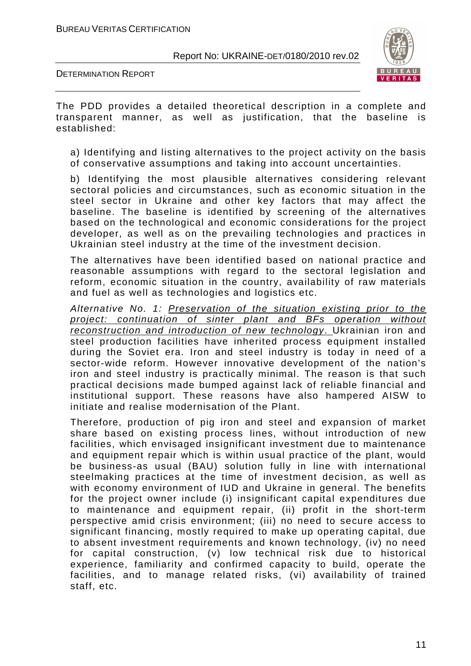DETERMINATION REPORT



The PDD provides a detailed theoretical description in a complete and transparent manner, as well as justification, that the baseline is established:

a) Identifying and listing alternatives to the project activity on the basis of conservative assumptions and taking into account uncertainties.

b) Identifying the most plausible alternatives considering relevant sectoral policies and circumstances, such as economic situation in the steel sector in Ukraine and other key factors that may affect the baseline. The baseline is identified by screening of the alternatives based on the technological and economic considerations for the project developer, as well as on the prevailing technologies and practices in Ukrainian steel industry at the time of the investment decision.

The alternatives have been identified based on national practice and reasonable assumptions with regard to the sectoral legislation and reform, economic situation in the country, availability of raw materials and fuel as well as technologies and logistics etc.

Alternative No. 1: Preservation of the situation existing prior to the project: continuation of sinter plant and BFs operation without reconstruction and introduction of new technology. Ukrainian iron and steel production facilities have inherited process equipment installed during the Soviet era. Iron and steel industry is today in need of a sector-wide reform. However innovative development of the nation's iron and steel industry is practically minimal. The reason is that such practical decisions made bumped against lack of reliable financial and institutional support. These reasons have also hampered AISW to initiate and realise modernisation of the Plant.

Therefore, production of pig iron and steel and expansion of market share based on existing process lines, without introduction of new facilities, which envisaged insignificant investment due to maintenance and equipment repair which is within usual practice of the plant, would be business-as usual (BAU) solution fully in line with international steelmaking practices at the time of investment decision, as well as with economy environment of IUD and Ukraine in general. The benefits for the project owner include (i) insignificant capital expenditures due to maintenance and equipment repair, (ii) profit in the short-term perspective amid crisis environment; (ііі) no need to secure access to significant financing, mostly required to make up operating capital, due to absent investment requirements and known technology, (iv) no need for capital construction, (v) low technical risk due to historical experience, familiarity and confirmed capacity to build, operate the facilities, and to manage related risks, (vі) availability of trained staff, etc.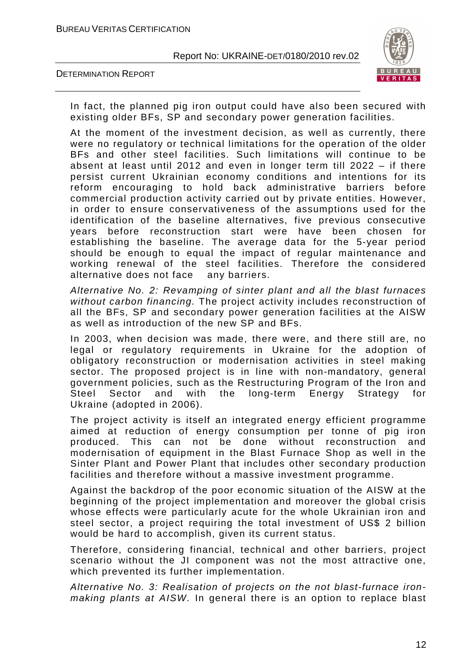



In fact, the planned pig iron output could have also been secured with existing older BFs, SP and secondary power generation facilities.

At the moment of the investment decision, as well as currently, there were no regulatory or technical limitations for the operation of the older BFs and other steel facilities. Such limitations will continue to be absent at least until 2012 and even in longer term till 2022 – if there persist current Ukrainian economy conditions and intentions for its reform encouraging to hold back administrative barriers before commercial production activity carried out by private entities. However, in order to ensure conservativeness of the assumptions used for the identification of the baseline alternatives, five previous consecutive years before reconstruction start were have been chosen for establishing the baseline. The average data for the 5-year period should be enough to equal the impact of regular maintenance and working renewal of the steel facilities. Therefore the considered alternative does not face any barriers.

Alternative No. 2: Revamping of sinter plant and all the blast furnaces without carbon financing. The project activity includes reconstruction of all the BFs, SP and secondary power generation facilities at the AISW as well as introduction of the new SP and BFs.

In 2003, when decision was made, there were, and there still are, no legal or regulatory requirements in Ukraine for the adoption of obligatory reconstruction or modernisation activities in steel making sector. The proposed project is in line with non-mandatory, general government policies, such as the Restructuring Program of the Iron and Steel Sector and with the long-term Energy Strategy for Ukraine (adopted in 2006).

The project activity is itself an integrated energy efficient programme aimed at reduction of energy consumption per tonne of pig iron produced. This can not be done without reconstruction and modernisation of equipment in the Blast Furnace Shop as well in the Sinter Plant and Power Plant that includes other secondary production facilities and therefore without a massive investment programme.

Against the backdrop of the poor economic situation of the AISW at the beginning of the project implementation and moreover the global crisis whose effects were particularly acute for the whole Ukrainian iron and steel sector, a project requiring the total investment of US\$ 2 billion would be hard to accomplish, given its current status.

Therefore, considering financial, technical and other barriers, project scenario without the JI component was not the most attractive one, which prevented its further implementation.

Alternative No. 3: Realisation of projects on the not blast-furnace ironmaking plants at AISW. In general there is an option to replace blast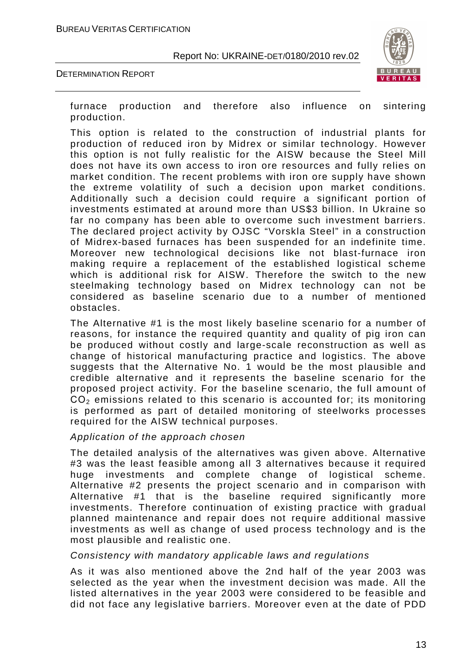



furnace production and therefore also influence on sintering production.

This option is related to the construction of industrial plants for production of reduced iron by Midrex or similar technology. However this option is not fully realistic for the AISW because the Steel Mill does not have its own access to iron ore resources and fully relies on market condition. The recent problems with iron ore supply have shown the extreme volatility of such a decision upon market conditions. Additionally such a decision could require a significant portion of investments estimated at around more than US\$3 billion. In Ukraine so far no company has been able to overcome such investment barriers. The declared project activity by OJSC "Vorskla Steel" in a construction of Midrex-based furnaces has been suspended for an indefinite time. Moreover new technological decisions like not blast-furnace iron making require a replacement of the established logistical scheme which is additional risk for AISW. Therefore the switch to the new steelmaking technology based on Midrex technology can not be considered as baseline scenario due to a number of mentioned obstacles.

The Alternative #1 is the most likely baseline scenario for a number of reasons, for instance the required quantity and quality of pig iron can be produced without costly and large-scale reconstruction as well as change of historical manufacturing practice and logistics. The above suggests that the Alternative No. 1 would be the most plausible and credible alternative and it represents the baseline scenario for the proposed project activity. For the baseline scenario, the full amount of  $CO<sub>2</sub>$  emissions related to this scenario is accounted for; its monitoring is performed as part of detailed monitoring of steelworks processes required for the AISW technical purposes.

#### Application of the approach chosen

The detailed analysis of the alternatives was given above. Alternative #3 was the least feasible among all 3 alternatives because it required huge investments and complete change of logistical scheme. Alternative #2 presents the project scenario and in comparison with Alternative #1 that is the baseline required significantly more investments. Therefore continuation of existing practice with gradual planned maintenance and repair does not require additional massive investments as well as change of used process technology and is the most plausible and realistic one.

#### Consistency with mandatory applicable laws and regulations

As it was also mentioned above the 2nd half of the year 2003 was selected as the year when the investment decision was made. All the listed alternatives in the year 2003 were considered to be feasible and did not face any legislative barriers. Moreover even at the date of PDD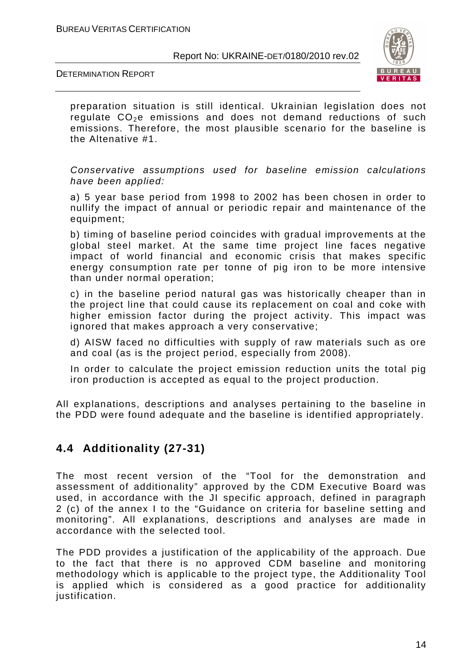DETERMINATION REPORT



preparation situation is still identical. Ukrainian legislation does not regulate  $CO<sub>2</sub>e$  emissions and does not demand reductions of such emissions. Therefore, the most plausible scenario for the baseline is the Altenative #1.

Conservative assumptions used for baseline emission calculations have been applied:

а) 5 year base period from 1998 to 2002 has been chosen in order to nullify the impact of annual or periodic repair and maintenance of the equipment;

b) timing of baseline period coincides with gradual improvements at the global steel market. At the same time project line faces negative impact of world financial and economic crisis that makes specific energy consumption rate per tonne of pig iron to be more intensive than under normal operation;

c) in the baseline period natural gas was historically cheaper than in the project line that could cause its replacement on coal and coke with higher emission factor during the project activity. This impact was ignored that makes approach a very conservative;

d) AISW faced no difficulties with supply of raw materials such as ore and coal (as is the project period, especially from 2008).

In order to calculate the project emission reduction units the total pig iron production is accepted as equal to the project production.

All explanations, descriptions and analyses pertaining to the baseline in the PDD were found adequate and the baseline is identified appropriately.

#### **4.4 Additionality (27-31)**

The most recent version of the "Tool for the demonstration and assessment of additionality" approved by the CDM Executive Board was used, in accordance with the JI specific approach, defined in paragraph 2 (c) of the annex I to the "Guidance on criteria for baseline setting and monitoring". All explanations, descriptions and analyses are made in accordance with the selected tool.

The PDD provides a justification of the applicability of the approach. Due to the fact that there is no approved CDM baseline and monitoring methodology which is applicable to the project type, the Additionality Tool is applied which is considered as a good practice for additionality justification.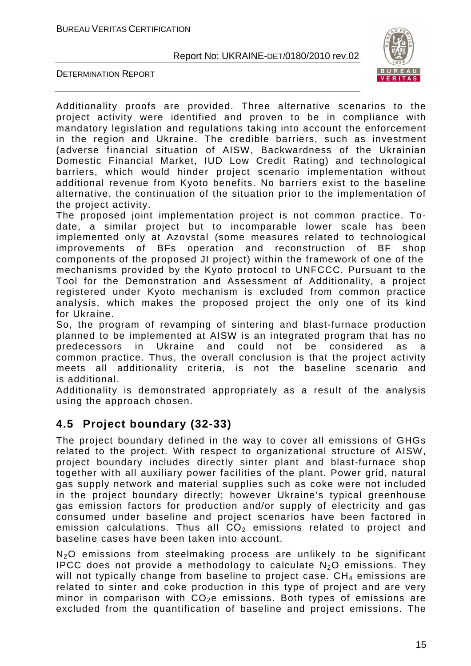



Additionality proofs are provided. Three alternative scenarios to the project activity were identified and proven to be in compliance with mandatory legislation and regulations taking into account the enforcement in the region and Ukraine. The credible barriers, such as investment (adverse financial situation of AISW, Backwardness of the Ukrainian Domestic Financial Market, IUD Low Credit Rating) and technological barriers, which would hinder project scenario implementation without additional revenue from Kyoto benefits. No barriers exist to the baseline alternative, the continuation of the situation prior to the implementation of the project activity.

The proposed joint implementation project is not common practice. Todate, a similar project but to incomparable lower scale has been implemented only at Azovstal (some measures related to technological improvements of BFs operation and reconstruction of BF shop components of the proposed JI project) within the framework of one of the mechanisms provided by the Kyoto protocol to UNFCCC. Pursuant to the Tool for the Demonstration and Assessment of Additionality, a project registered under Kyoto mechanism is excluded from common practice analysis, which makes the proposed project the only one of its kind for Ukraine.

So, the program of revamping of sintering and blast-furnace production planned to be implemented at AISW is an integrated program that has no predecessors in Ukraine and could not be considered as a common practice. Thus, the overall conclusion is that the project activity meets all additionality criteria, is not the baseline scenario and is additional.

Additionality is demonstrated appropriately as a result of the analysis using the approach chosen.

#### **4.5 Project boundary (32-33)**

The project boundary defined in the way to cover all emissions of GHGs related to the project. With respect to organizational structure of AISW, project boundary includes directly sinter plant and blast-furnace shop together with all auxiliary power facilities of the plant. Power grid, natural gas supply network and material supplies such as coke were not included in the project boundary directly; however Ukraine's typical greenhouse gas emission factors for production and/or supply of electricity and gas consumed under baseline and project scenarios have been factored in emission calculations. Thus all  $CO<sub>2</sub>$  emissions related to project and baseline cases have been taken into account.

N<sub>2</sub>O emissions from steelmaking process are unlikely to be significant IPCC does not provide a methodology to calculate  $N_2O$  emissions. They will not typically change from baseline to project case.  $CH<sub>4</sub>$  emissions are related to sinter and coke production in this type of project and are very minor in comparison with  $CO<sub>2</sub>e$  emissions. Both types of emissions are excluded from the quantification of baseline and project emissions. The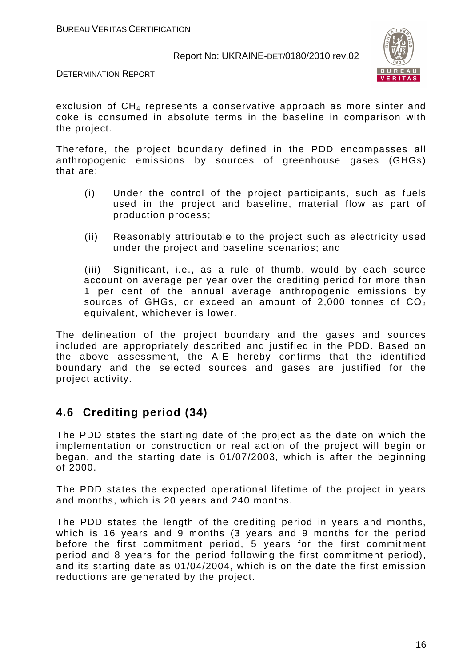



exclusion of CH<sub>4</sub> represents a conservative approach as more sinter and coke is consumed in absolute terms in the baseline in comparison with the project.

Therefore, the project boundary defined in the PDD encompasses all anthropogenic emissions by sources of greenhouse gases (GHGs) that are:

- (i) Under the control of the project participants, such as fuels used in the project and baseline, material flow as part of production process;
- (ii) Reasonably attributable to the project such as electricity used under the project and baseline scenarios; and

(iii) Significant, i.e., as a rule of thumb, would by each source account on average per year over the crediting period for more than 1 per cent of the annual average anthropogenic emissions by sources of GHGs, or exceed an amount of 2,000 tonnes of  $CO<sub>2</sub>$ equivalent, whichever is lower.

The delineation of the project boundary and the gases and sources included are appropriately described and justified in the PDD. Based on the above assessment, the AIE hereby confirms that the identified boundary and the selected sources and gases are justified for the project activity.

#### **4.6 Crediting period (34)**

The PDD states the starting date of the project as the date on which the implementation or construction or real action of the project will begin or began, and the starting date is 01/07/2003, which is after the beginning of 2000.

The PDD states the expected operational lifetime of the project in years and months, which is 20 years and 240 months.

The PDD states the length of the crediting period in years and months, which is 16 years and 9 months (3 years and 9 months for the period before the first commitment period, 5 years for the first commitment period and 8 years for the period following the first commitment period), and its starting date as 01/04/2004, which is on the date the first emission reductions are generated by the project.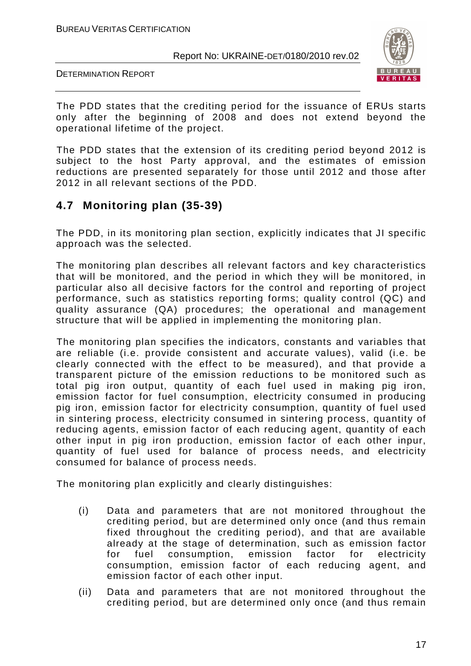DETERMINATION REPORT



The PDD states that the crediting period for the issuance of ERUs starts only after the beginning of 2008 and does not extend beyond the operational lifetime of the project.

The PDD states that the extension of its crediting period beyond 2012 is subject to the host Party approval, and the estimates of emission reductions are presented separately for those until 2012 and those after 2012 in all relevant sections of the PDD.

#### **4.7 Monitoring plan (35-39)**

The PDD, in its monitoring plan section, explicitly indicates that JI specific approach was the selected.

The monitoring plan describes all relevant factors and key characteristics that will be monitored, and the period in which they will be monitored, in particular also all decisive factors for the control and reporting of project performance, such as statistics reporting forms; quality control (QC) and quality assurance (QA) procedures; the operational and management structure that will be applied in implementing the monitoring plan.

The monitoring plan specifies the indicators, constants and variables that are reliable (i.e. provide consistent and accurate values), valid (i.e. be clearly connected with the effect to be measured), and that provide a transparent picture of the emission reductions to be monitored such as total pig iron output, quantity of each fuel used in making pig iron, emission factor for fuel consumption, electricity consumed in producing pig iron, emission factor for electricity consumption, quantity of fuel used in sintering process, electricity consumed in sintering process, quantity of reducing agents, emission factor of each reducing agent, quantity of each other input in pig iron production, emission factor of each other inpur, quantity of fuel used for balance of process needs, and electricity consumed for balance of process needs.

The monitoring plan explicitly and clearly distinguishes:

- (i) Data and parameters that are not monitored throughout the crediting period, but are determined only once (and thus remain fixed throughout the crediting period), and that are available already at the stage of determination, such as emission factor for fuel consumption, emission factor for electricity consumption, emission factor of each reducing agent, and emission factor of each other input.
- (ii) Data and parameters that are not monitored throughout the crediting period, but are determined only once (and thus remain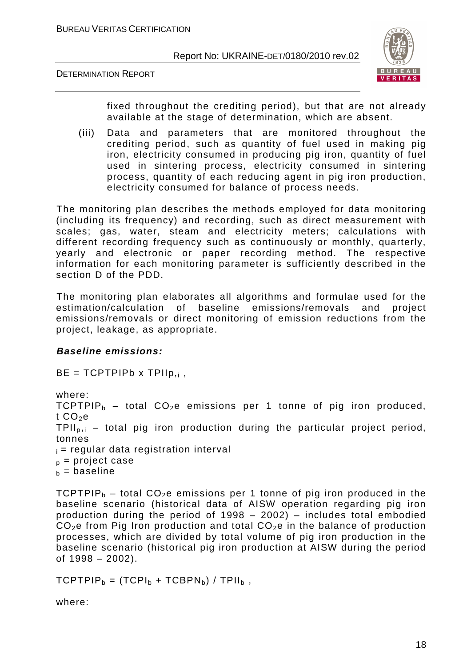DETERMINATION REPORT



fixed throughout the crediting period), but that are not already available at the stage of determination, which are absent.

(iii) Data and parameters that are monitored throughout the crediting period, such as quantity of fuel used in making pig iron, electricity consumed in producing pig iron, quantity of fuel used in sintering process, electricity consumed in sintering process, quantity of each reducing agent in pig iron production, electricity consumed for balance of process needs.

The monitoring plan describes the methods employed for data monitoring (including its frequency) and recording, such as direct measurement with scales; gas, water, steam and electricity meters; calculations with different recording frequency such as continuously or monthly, quarterly, yearly and electronic or paper recording method. The respective information for each monitoring parameter is sufficiently described in the section D of the PDD.

The monitoring plan elaborates all algorithms and formulae used for the estimation/calculation of baseline emissions/removals and project emissions/removals or direct monitoring of emission reductions from the project, leakage, as appropriate.

#### **Baseline emissions:**

 $BE = TCPTPIPb \times TPIIp_{,i}$ ,

where: TCPTPIP<sub>b</sub> – total CO<sub>2</sub>e emissions per 1 tonne of pig iron produced, t  $CO<sub>2</sub>e$ TPIIp,i – total pig iron production during the particular project period, tonnes  $i =$  regular data registration interval  $p =$  project case  $b =$  baseline

TCPTPIP<sub>b</sub> – total CO<sub>2</sub>e emissions per 1 tonne of pig iron produced in the baseline scenario (historical data of AISW operation regarding pig iron production during the period of 1998 – 2002) – includes total embodied  $CO<sub>2</sub>e$  from Pig Iron production and total  $CO<sub>2</sub>e$  in the balance of production processes, which are divided by total volume of pig iron production in the baseline scenario (historical pig iron production at AISW during the period of 1998 – 2002).

 $TCPTPIP_b = (TCPI_b + TCPIN_b) / TPII_b$ ,

where: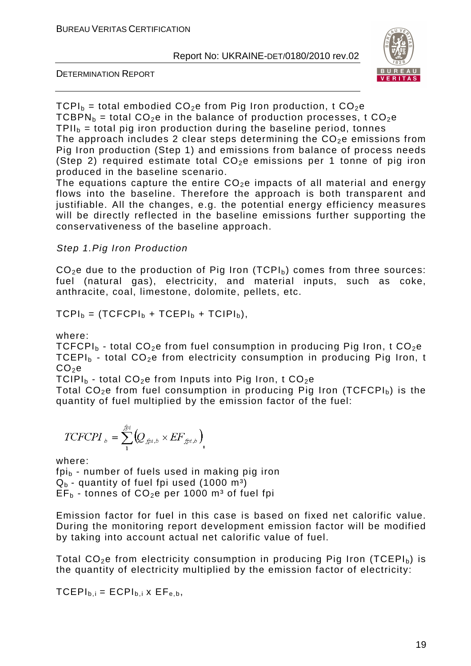



 $TCPI<sub>b</sub>$  = total embodied  $CO<sub>2</sub>e$  from Pig Iron production, t  $CO<sub>2</sub>e$ TCBPN<sub>b</sub> = total CO<sub>2</sub>e in the balance of production processes, t CO<sub>2</sub>e  $TPII<sub>b</sub>$  = total pig iron production during the baseline period, tonnes The approach includes 2 clear steps determining the  $CO<sub>2</sub>e$  emissions from Pig Iron production (Step 1) and emissions from balance of process needs (Step 2) required estimate total  $CO<sub>2</sub>e$  emissions per 1 tonne of pig iron produced in the baseline scenario.

The equations capture the entire  $CO<sub>2</sub>e$  impacts of all material and energy flows into the baseline. Therefore the approach is both transparent and justifiable. All the changes, e.g. the potential energy efficiency measures will be directly reflected in the baseline emissions further supporting the conservativeness of the baseline approach.

#### Step 1.Pig Iron Production

 $CO<sub>2</sub>e$  due to the production of Pig Iron (TCPI<sub>b</sub>) comes from three sources: fuel (natural gas), electricity, and material inputs, such as coke, anthracite, coal, limestone, dolomite, pellets, etc.

$$
TCPI_b = (TCFCPI_b + TCEPI_b + TCIPI_b),
$$

where:

TCFCPI<sub>b</sub> - total CO<sub>2</sub>e from fuel consumption in producing Pig Iron, t CO<sub>2</sub>e TCEPI<sub>b</sub> - total CO<sub>2</sub>e from electricity consumption in producing Pig Iron, t  $CO<sub>2</sub>e$ 

TCIPI<sub>b</sub> - total CO<sub>2</sub>e from Inputs into Pig Iron, t CO<sub>2</sub>e

Total  $CO<sub>2</sub>e$  from fuel consumption in producing Pig Iron (TCFCPI<sub>b</sub>) is the quantity of fuel multiplied by the emission factor of the fuel:

$$
TCFCPI_{b} = \sum_{1}^{fpi} \Big(Q_{fpi,b} \times EF_{fpi,b}\Big)_{i}
$$

where:

 $fpi<sub>b</sub>$  - number of fuels used in making pig iron  $Q_b$  - quantity of fuel fpi used (1000 m<sup>3</sup>)  $EF_b$  - tonnes of  $CO_2e$  per 1000 m<sup>3</sup> of fuel fpi

Emission factor for fuel in this case is based on fixed net calorific value. During the monitoring report development emission factor will be modified by taking into account actual net calorific value of fuel.

Total  $CO<sub>2</sub>e$  from electricity consumption in producing Pig Iron (TCEPI<sub>b</sub>) is the quantity of electricity multiplied by the emission factor of electricity:

 $TCEPI_{b,i} = ECPI_{b,i} \times EF_{e,b,i}$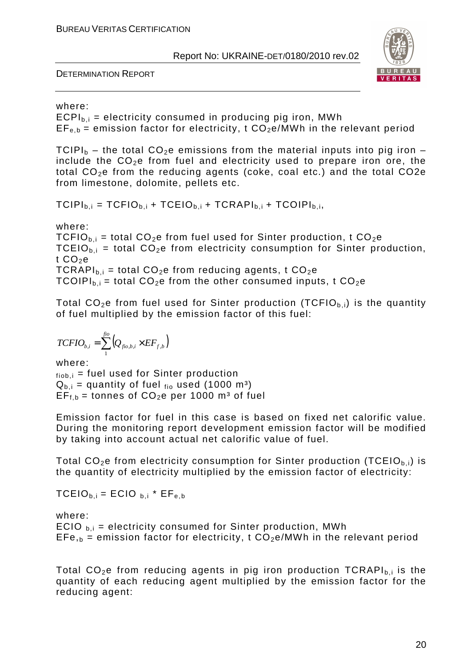DETERMINATION REPORT



#### where:

 $ECPI_{\text{b}} =$  electricity consumed in producing pig iron, MWh  $EF_{e,b}$  = emission factor for electricity, t  $CO<sub>2</sub>e/MWh$  in the relevant period

TCIPI<sub>b</sub> – the total CO<sub>2</sub>e emissions from the material inputs into pig iron – include the  $CO<sub>2</sub>e$  from fuel and electricity used to prepare iron ore, the total  $CO<sub>2</sub>e$  from the reducing agents (coke, coal etc.) and the total  $CO<sub>2</sub>e$ from limestone, dolomite, pellets etc.

 $TCIPI_{b,i} = TCFIO_{b,i} + TCEIO_{b,i} + TCRAPI_{b,i} + TCOIPI_{b,i}$ 

where:

TCFIO<sub>b,i</sub> = total CO<sub>2</sub>e from fuel used for Sinter production, t CO<sub>2</sub>e TCEIO<sub>b,i</sub> = total CO<sub>2</sub>e from electricity consumption for Sinter production, t  $CO<sub>2</sub>e$ TCRAPI<sub>bi</sub> = total CO<sub>2</sub>e from reducing agents, t CO<sub>2</sub>e TCOIPI<sub>b,i</sub> = total CO<sub>2</sub>e from the other consumed inputs, t CO<sub>2</sub>e

Total  $CO_2e$  from fuel used for Sinter production (TCFIO $_{b,i}$ ) is the quantity of fuel multiplied by the emission factor of this fuel:

$$
TCFIO_{b,i} = \sum_1^{fio} \left(Q_{fio,b,i} \times EF_{f,b}\right)
$$

where:  $f_{\text{fob},i}$  = fuel used for Sinter production  $Q_{b,i}$  = quantity of fuel  $_{\text{fio}}$  used (1000 m<sup>3</sup>)  $EF_{f,b}$  = tonnes of  $CO_2e$  per 1000 m<sup>3</sup> of fuel

Emission factor for fuel in this case is based on fixed net calorific value. During the monitoring report development emission factor will be modified by taking into account actual net calorific value of fuel.

Total  $CO<sub>2</sub>e$  from electricity consumption for Sinter production (TCEIO<sub>b,i</sub>) is the quantity of electricity multiplied by the emission factor of electricity:

 $TCEIO_{b,i} = ECIO_{b,i} * EF_{e,b}$ 

where: ECIO  $_{\text{b,i}}$  = electricity consumed for Sinter production, MWh  $EFe_{,b}$  = emission factor for electricity, t  $CO<sub>2</sub>e/MWh$  in the relevant period

Total  $CO<sub>2</sub>e$  from reducing agents in pig iron production TCRAPI<sub>bi</sub> is the quantity of each reducing agent multiplied by the emission factor for the reducing agent: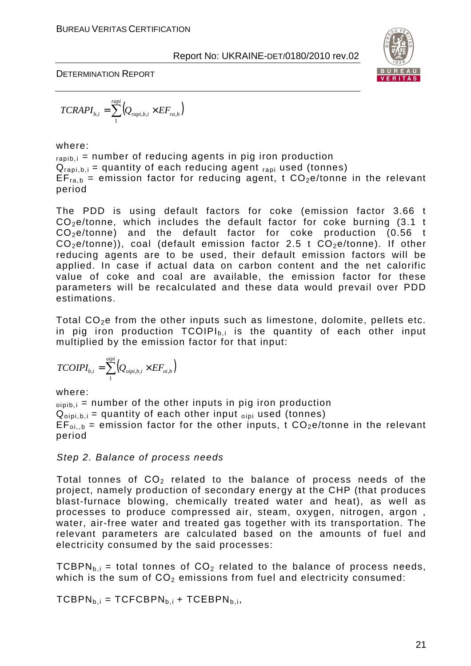

DETERMINATION REPORT

$$
TCRAPI_{b,i} = \sum_{1}^{rapi} (Q_{rapi,b,i} \times EF_{ra,b})
$$

where:

 $_{\text{ranti}}$  = number of reducing agents in pig iron production  $Q_{\text{rabi}, b,i}$  = quantity of each reducing agent  $_{\text{rapi}}$  used (tonnes)  $EF_{\text{rad}}$  = emission factor for reducing agent, t  $CO<sub>2</sub>e/tonne$  in the relevant period

The PDD is using default factors for coke (emission factor 3.66 t  $CO<sub>2</sub>e/tonne$ , which includes the default factor for coke burning (3.1 t  $CO<sub>2</sub>e/tonne$  and the default factor for coke production (0.56 t  $CO<sub>2</sub>e/tonne$ ), coal (default emission factor 2.5 t  $CO<sub>2</sub>e/tonne$ ). If other reducing agents are to be used, their default emission factors will be applied. In case if actual data on carbon content and the net calorific value of coke and coal are available, the emission factor for these parameters will be recalculated and these data would prevail over PDD estimations.

Total  $CO<sub>2</sub>e$  from the other inputs such as limestone, dolomite, pellets etc. in pig iron production  $TCOIPI_{b,i}$  is the quantity of each other input multiplied by the emission factor for that input:

$$
TCOIPI_{b,i} = \sum_{1}^{obj} (Q_{obji,b,i} \times EF_{oi,b})
$$

where:

 $\phi$ <sub>pipib,i</sub> = number of the other inputs in pig iron production  $Q_{\text{oipi}, b,i}$  = quantity of each other input  $_{\text{oipi}}$  used (tonnes)  $EF_{\text{o}i,b}$  = emission factor for the other inputs, t  $CO_2e/t$ onne in the relevant period

#### Step 2. Balance of process needs

Total tonnes of  $CO<sub>2</sub>$  related to the balance of process needs of the project, namely production of secondary energy at the CHP (that produces blast-furnace blowing, chemically treated water and heat), as well as processes to produce compressed air, steam, oxygen, nitrogen, argon , water, air-free water and treated gas together with its transportation. The relevant parameters are calculated based on the amounts of fuel and electricity consumed by the said processes:

TCBPN<sub>bi</sub> = total tonnes of CO<sub>2</sub> related to the balance of process needs, which is the sum of  $CO<sub>2</sub>$  emissions from fuel and electricity consumed:

 $TCBPN<sub>b,i</sub> = TCFCBPN<sub>b,i</sub> + TCEBPN<sub>b,i</sub>$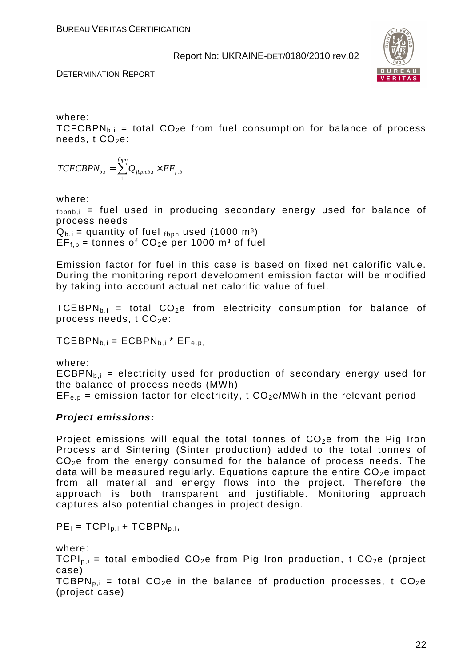DETERMINATION REPORT



#### where:

TCFCBPN<sub>b,i</sub> = total CO<sub>2</sub>e from fuel consumption for balance of process needs,  $t$  CO<sub>2</sub>e:

$$
TCFCBPN_{b,i} = \sum_{1}^{fppn} Q_{fppn,b,i} \times EF_{f,b}
$$

where:

 $f_{\text{bonb},i}$  = fuel used in producing secondary energy used for balance of process needs

 $Q_{b,i}$  = quantity of fuel  $_{\text{fbon}}$  used (1000 m<sup>3</sup>)  $EF_{f,b}$  = tonnes of  $CO_2e$  per 1000 m<sup>3</sup> of fuel

Emission factor for fuel in this case is based on fixed net calorific value. During the monitoring report development emission factor will be modified by taking into account actual net calorific value of fuel.

TCEBPN<sub>b,i</sub> = total CO<sub>2</sub>e from electricity consumption for balance of process needs,  $t$  CO<sub>2</sub>e:

 $TCEBPN_{b,i} = ECBPN_{b,i} * EF_{e.p.}$ 

where:

 $ECBPN<sub>b,i</sub>$  = electricity used for production of secondary energy used for the balance of process needs (MWh)

 $EF_{e,p}$  = emission factor for electricity, t  $CO_2e/MWh$  in the relevant period

#### **Project emissions:**

Project emissions will equal the total tonnes of  $CO<sub>2</sub>e$  from the Pig Iron Process and Sintering (Sinter production) added to the total tonnes of CO2e from the energy consumed for the balance of process needs. The data will be measured regularly. Equations capture the entire  $CO<sub>2</sub>e$  impact from all material and energy flows into the project. Therefore the approach is both transparent and justifiable. Monitoring approach captures also potential changes in project design.

 $PE_i = TCPI_{p,i} + TCBPN_{p,i}$ 

where:

 $TCPI<sub>p,i</sub>$  = total embodied  $CO<sub>2</sub>e$  from Pig Iron production, t  $CO<sub>2</sub>e$  (project case)

TCBPN<sub>p,i</sub> = total CO<sub>2</sub>e in the balance of production processes, t CO<sub>2</sub>e (project case)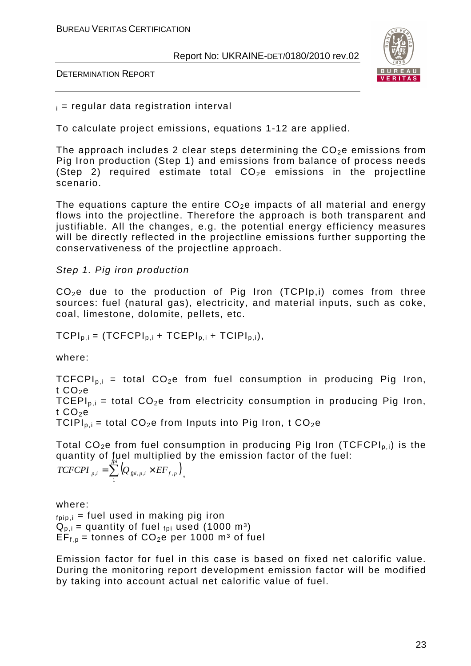DETERMINATION REPORT



#### $i =$  regular data registration interval

To calculate project emissions, equations 1-12 are applied.

The approach includes 2 clear steps determining the  $CO<sub>2</sub>e$  emissions from Pig Iron production (Step 1) and emissions from balance of process needs (Step 2) required estimate total  $CO<sub>2</sub>e$  emissions in the projectline scenario.

The equations capture the entire  $CO<sub>2</sub>e$  impacts of all material and energy flows into the projectline. Therefore the approach is both transparent and justifiable. All the changes, e.g. the potential energy efficiency measures will be directly reflected in the projectline emissions further supporting the conservativeness of the projectline approach.

#### Step 1. Pig iron production

 $CO<sub>2</sub>e$  due to the production of Pig Iron (TCPIp,i) comes from three sources: fuel (natural gas), electricity, and material inputs, such as coke, coal, limestone, dolomite, pellets, etc.

 $TCPI_{p,i} = (TCFCPI_{p,i} + TCEPI_{p,i} + TCIPI_{p,i}),$ 

where:

TCFCPI<sub>p,i</sub> = total CO<sub>2</sub>e from fuel consumption in producing Pig Iron, t  $CO<sub>2</sub>e$ TCEPI<sub>p.i</sub> = total  $CO<sub>2</sub>e$  from electricity consumption in producing Pig Iron, t  $CO<sub>2</sub>e$ TCIPI<sub>p,i</sub> = total CO<sub>2</sub>e from Inputs into Pig Iron, t CO<sub>2</sub>e

Total  $CO<sub>2</sub>e$  from fuel consumption in producing Pig Iron (TCFCPI<sub>p,i</sub>) is the quantity of fuel multiplied by the emission factor of the fuel:

 $=\sum_{p_i}^{fpi} \left(Q_{p_i,p,i} \times EF_{f,p}\right)$  $TCFCPI$   $_{p,i} = \sum (Q_{\textit{fpi},\textit{p,i}} \times EF_{\textit{f,p}})$  $\sum_{i,j}$   $\sum_{j}$   $\left\langle Q_{fpi,p,i} \times EF_{f,p} \right\rangle$ ,

where:  $f_{\text{pip},i}$  = fuel used in making pig iron  $Q_{p,i}$  = quantity of fuel  $_{foi}$  used (1000 m<sup>3</sup>)  $EF_{f,p}$  = tonnes of  $CO_2e$  per 1000 m<sup>3</sup> of fuel

Emission factor for fuel in this case is based on fixed net calorific value. During the monitoring report development emission factor will be modified by taking into account actual net calorific value of fuel.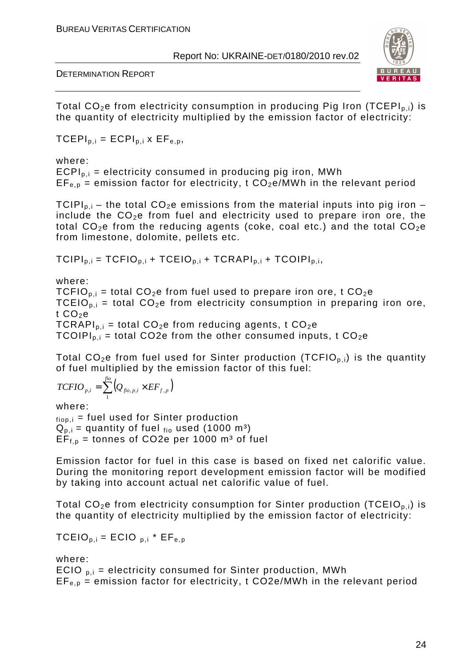DETERMINATION REPORT



Total  $CO<sub>2</sub>e$  from electricity consumption in producing Pig Iron (TCEPI<sub>p,i</sub>) is the quantity of electricity multiplied by the emission factor of electricity:

 $TCEPI<sub>p,i</sub> = ECPI<sub>p,i</sub> × EF<sub>e,p</sub>$ 

where:

 $ECPI<sub>p,i</sub>$  = electricity consumed in producing pig iron, MWh  $EF_{e,p}$  = emission factor for electricity, t  $CO_2e/MWh$  in the relevant period

TCIPI<sub>p.i</sub> – the total CO<sub>2</sub>e emissions from the material inputs into pig iron – include the  $CO<sub>2</sub>e$  from fuel and electricity used to prepare iron ore, the total  $CO_2e$  from the reducing agents (coke, coal etc.) and the total  $CO_2e$ from limestone, dolomite, pellets etc.

 $TCIPI_{p,i} = TCFIO_{p,i} + TCEIO_{p,i} + TCRAPI_{p,i} + TCOIPI_{p,i}$ 

where: TCFIO<sub>pi</sub> = total CO<sub>2</sub>e from fuel used to prepare iron ore, t CO<sub>2</sub>e TCEIO<sub>p.i</sub> = total CO<sub>2</sub>e from electricity consumption in preparing iron ore, t  $CO<sub>2</sub>e$  $TCRAPI<sub>p,i</sub> = total CO<sub>2</sub>e from reducing agents, t CO<sub>2</sub>e$ TCOIPI<sub>p,i</sub> = total CO2e from the other consumed inputs, t CO<sub>2</sub>e

Total  $CO<sub>2</sub>e$  from fuel used for Sinter production (TCFIO<sub>p,i</sub>) is the quantity of fuel multiplied by the emission factor of this fuel:

$$
TCFIO_{p,i} = \sum_{1}^{fio} \left(Q_{fio,p,i} \times EF_{f,p}\right)
$$

where:  $f<sub>tion,i</sub>$  = fuel used for Sinter production  $Q_{p,i}$  = quantity of fuel  $_{fio}$  used (1000 m<sup>3</sup>)  $EF_{f,p}$  = tonnes of CO2e per 1000 m<sup>3</sup> of fuel

Emission factor for fuel in this case is based on fixed net calorific value. During the monitoring report development emission factor will be modified by taking into account actual net calorific value of fuel.

Total  $CO<sub>2</sub>e$  from electricity consumption for Sinter production (TCEIO<sub>p,i</sub>) is the quantity of electricity multiplied by the emission factor of electricity:

 $TCEIO_{p,i} = ECIO_{p,i} * EF_{e,p}$ 

where: ECIO  $_{\text{p},i}$  = electricity consumed for Sinter production, MWh

 $EF_{en}$  = emission factor for electricity, t CO2e/MWh in the relevant period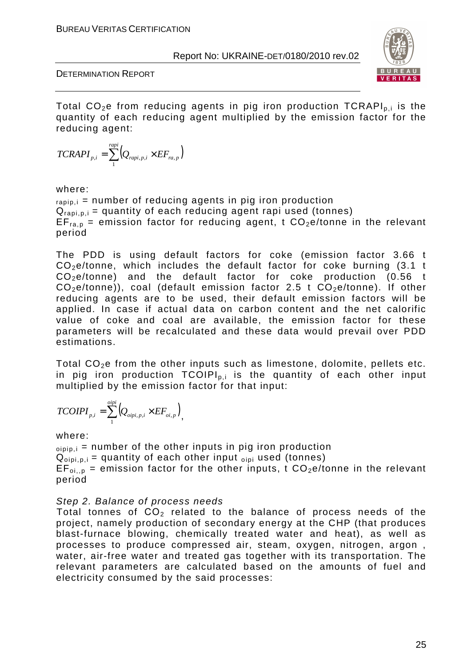



Total  $CO<sub>2</sub>e$  from reducing agents in pig iron production TCRAPI<sub>p,i</sub> is the quantity of each reducing agent multiplied by the emission factor for the reducing agent:

$$
TCRAPI_{p,i} = \sum_{1}^{rapi} (Q_{rapi,p,i} \times EF_{ra,p})
$$

#### where:

 $_{rapip,i}$  = number of reducing agents in pig iron production  $Q_{rapi,p,i}$  = quantity of each reducing agent rapi used (tonnes)  $EF_{\text{ran}}$  = emission factor for reducing agent, t  $CO<sub>2</sub>e/tonne$  in the relevant period

The PDD is using default factors for coke (emission factor 3.66 t CO2e/tonne, which includes the default factor for coke burning (3.1 t  $CO<sub>2</sub>e/tonne$  and the default factor for coke production (0.56 t  $CO<sub>2</sub>e/tonne$ ), coal (default emission factor 2.5 t  $CO<sub>2</sub>e/tonne$ ). If other reducing agents are to be used, their default emission factors will be applied. In case if actual data on carbon content and the net calorific value of coke and coal are available, the emission factor for these parameters will be recalculated and these data would prevail over PDD estimations.

Total  $CO<sub>2</sub>e$  from the other inputs such as limestone, dolomite, pellets etc. in pig iron production  $TCOIPI_{p,i}$  is the quantity of each other input multiplied by the emission factor for that input:

$$
TCOIPI_{p,i} = \sum_{1}^{obj} (Q_{obj,i,p,i} \times EF_{oi,p}),
$$

#### where:

 $_{\text{oipip},i}$  = number of the other inputs in pig iron production  $Q_{\text{oipi}, p,i}$  = quantity of each other input  $_{\text{oipi}}$  used (tonnes)  $EF_{\text{o}i,p}$  = emission factor for the other inputs, t  $CO_2e/t$ onne in the relevant period

#### Step 2. Balance of process needs

Total tonnes of  $CO<sub>2</sub>$  related to the balance of process needs of the project, namely production of secondary energy at the CHP (that produces blast-furnace blowing, chemically treated water and heat), as well as processes to produce compressed air, steam, oxygen, nitrogen, argon , water, air-free water and treated gas together with its transportation. The relevant parameters are calculated based on the amounts of fuel and electricity consumed by the said processes: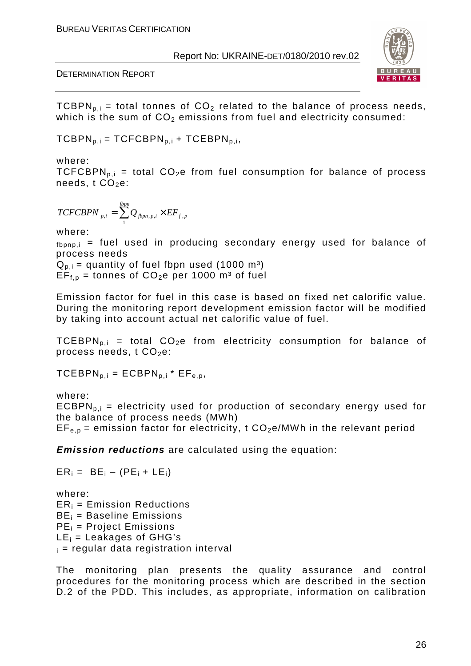#### DETERMINATION REPORT



TCBPN<sub>p,i</sub> = total tonnes of CO<sub>2</sub> related to the balance of process needs, which is the sum of  $CO<sub>2</sub>$  emissions from fuel and electricity consumed:

 $TCBPN<sub>p,i</sub> = TCFCBPN<sub>p,i</sub> + TCEBPN<sub>p,i</sub>$ 

where:

TCFCBPN<sub>p,i</sub> = total CO<sub>2</sub>e from fuel consumption for balance of process needs,  $t$  CO<sub>2</sub>e:

$$
TCFCBPN_{p,i} = \sum_{1}^{fbpn} Q_{fbpn,p,i} \times EF_{f,p}
$$

where:

 $f_{\text{bonp},i}$  = fuel used in producing secondary energy used for balance of process needs

 $Q_{p,i}$  = quantity of fuel fbpn used (1000 m<sup>3</sup>)  $EF_{f,p}$  = tonnes of CO<sub>2</sub>e per 1000 m<sup>3</sup> of fuel

Emission factor for fuel in this case is based on fixed net calorific value. During the monitoring report development emission factor will be modified by taking into account actual net calorific value of fuel.

TCEBPN<sub>p.i</sub> = total CO<sub>2</sub>e from electricity consumption for balance of process needs,  $t CO<sub>2</sub>e$ :

 $TCEBPN<sub>p,i</sub> = ECBPN<sub>p,i</sub> * EF<sub>e,p</sub>$ 

 $ER_i = BE_i - (PE_i + LE_i)$ 

where:  $ECBPN<sub>p,i</sub>$  = electricity used for production of secondary energy used for the balance of process needs (MWh)  $EF_{e,p}$  = emission factor for electricity, t  $CO<sub>2</sub>e/MWh$  in the relevant period

**Emission reductions** are calculated using the equation:

where:  $ER_i$  = Emission Reductions  $BE_i = Baseline$  Emissions  $PE_i$  = Project Emissions  $LE_i = Leakages$  of GHG's  $i =$  regular data registration interval

The monitoring plan presents the quality assurance and control procedures for the monitoring process which are described in the section D.2 of the PDD. This includes, as appropriate, information on calibration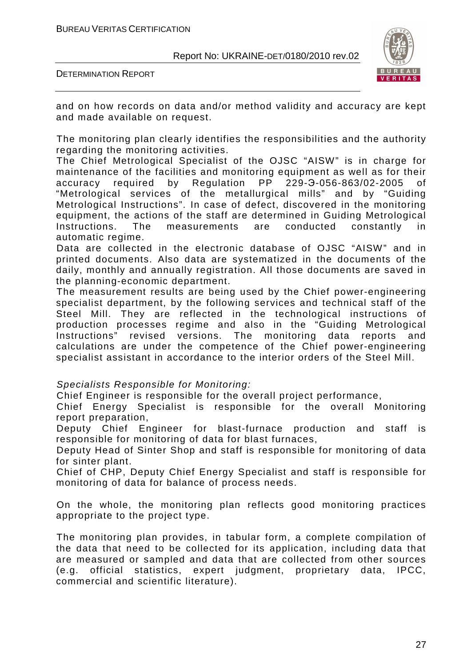



and on how records on data and/or method validity and accuracy are kept and made available on request.

The monitoring plan clearly identifies the responsibilities and the authority regarding the monitoring activities.

The Chief Metrological Specialist of the OJSC "AISW" is in charge for maintenance of the facilities and monitoring equipment as well as for their accuracy required by Regulation PP 229-Э-056-863/02-2005 of "Metrological services of the metallurgical mills" and by "Guiding Metrological Instructions". In case of defect, discovered in the monitoring equipment, the actions of the staff are determined in Guiding Metrological Instructions. The measurements are conducted constantly in automatic regime.

Data are collected in the electronic database of OJSC "AISW" and in printed documents. Also data are systematized in the documents of the daily, monthly and annually registration. All those documents are saved in the planning-economic department.

The measurement results are being used by the Chief power-engineering specialist department, by the following services and technical staff of the Steel Mill. They are reflected in the technological instructions of production processes regime and also in the "Guiding Metrological Instructions" revised versions. The monitoring data reports and calculations are under the competence of the Chief power-engineering specialist assistant in accordance to the interior orders of the Steel Mill.

#### Specialists Responsible for Monitoring:

Chief Engineer is responsible for the overall project performance,

Chief Energy Specialist is responsible for the overall Monitoring report preparation,

Deputy Chief Engineer for blast-furnace production and staff is responsible for monitoring of data for blast furnaces,

Deputy Head of Sinter Shop and staff is responsible for monitoring of data for sinter plant.

Chief of CHP, Deputy Chief Energy Specialist and staff is responsible for monitoring of data for balance of process needs.

On the whole, the monitoring plan reflects good monitoring practices appropriate to the project type.

The monitoring plan provides, in tabular form, a complete compilation of the data that need to be collected for its application, including data that are measured or sampled and data that are collected from other sources (e.g. official statistics, expert judgment, proprietary data, IPCC, commercial and scientific literature).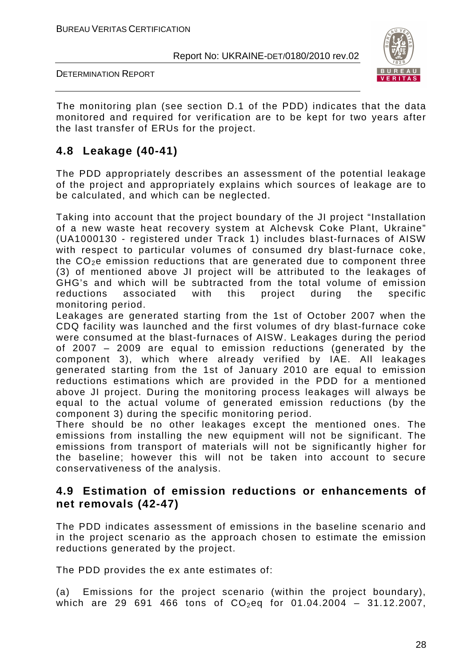

DETERMINATION REPORT

The monitoring plan (see section D.1 of the PDD) indicates that the data monitored and required for verification are to be kept for two years after the last transfer of ERUs for the project.

#### **4.8 Leakage (40-41)**

The PDD appropriately describes an assessment of the potential leakage of the project and appropriately explains which sources of leakage are to be calculated, and which can be neglected.

Taking into account that the project boundary of the JI project "Installation of a new waste heat recovery system at Alchevsk Coke Plant, Ukraine" (UA1000130 - registered under Track 1) includes blast-furnaces of AISW with respect to particular volumes of consumed dry blast-furnace coke, the  $CO<sub>2</sub>e$  emission reductions that are generated due to component three (3) of mentioned above JI project will be attributed to the leakages of GHG's and which will be subtracted from the total volume of emission reductions associated with this project during the specific monitoring period.

Leakages are generated starting from the 1st of October 2007 when the CDQ facility was launched and the first volumes of dry blast-furnace coke were consumed at the blast-furnaces of AISW. Leakages during the period of 2007 – 2009 are equal to emission reductions (generated by the component 3), which where already verified by IAE. All leakages generated starting from the 1st of January 2010 are equal to emission reductions estimations which are provided in the PDD for a mentioned above JI project. During the monitoring process leakages will always be equal to the actual volume of generated emission reductions (by the component 3) during the specific monitoring period.

There should be no other leakages except the mentioned ones. The emissions from installing the new equipment will not be significant. The emissions from transport of materials will not be significantly higher for the baseline; however this will not be taken into account to secure conservativeness of the analysis.

#### **4.9 Estimation of emission reductions or enhancements of net removals (42-47)**

The PDD indicates assessment of emissions in the baseline scenario and in the project scenario as the approach chosen to estimate the emission reductions generated by the project.

The PDD provides the ex ante estimates of:

(a) Emissions for the project scenario (within the project boundary), which are 29 691 466 tons of  $CO_2$ eq for 01.04.2004 - 31.12.2007.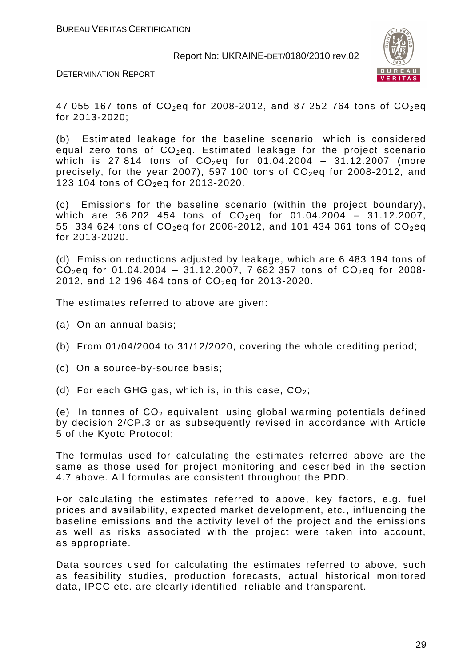



47 055 167 tons of  $CO_2$ eq for 2008-2012, and 87 252 764 tons of  $CO_2$ eq for 2013-2020;

(b) Estimated leakage for the baseline scenario, which is considered equal zero tons of  $CO<sub>2</sub>$ eq. Estimated leakage for the project scenario which is 27 814 tons of  $CO_2$ eq for 01.04.2004 - 31.12.2007 (more precisely, for the year 2007), 597 100 tons of  $CO<sub>2</sub>$ eq for 2008-2012, and 123 104 tons of  $CO_2$ eq for 2013-2020.

(c) Emissions for the baseline scenario (within the project boundary), which are 36 202 454 tons of  $CO_2$ eq for 01.04.2004 - 31.12.2007, 55 334 624 tons of  $CO_2$ eq for 2008-2012, and 101 434 061 tons of  $CO_2$ eq for 2013-2020.

(d) Emission reductions adjusted by leakage, which are 6 483 194 tons of  $CO_2$ eq for 01.04.2004 – 31.12.2007, 7 682 357 tons of  $CO_2$ eq for 2008-2012, and 12 196 464 tons of  $CO_2$ eq for 2013-2020.

The estimates referred to above are given:

- (a) On an annual basis;
- (b) From 01/04/2004 to 31/12/2020, covering the whole crediting period;
- (c) On a source-by-source basis;
- (d) For each GHG gas, which is, in this case,  $CO<sub>2</sub>$ ;

(e) In tonnes of  $CO<sub>2</sub>$  equivalent, using global warming potentials defined by decision 2/CP.3 or as subsequently revised in accordance with Article 5 of the Kyoto Protocol;

The formulas used for calculating the estimates referred above are the same as those used for project monitoring and described in the section 4.7 above. All formulas are consistent throughout the PDD.

For calculating the estimates referred to above, key factors, e.g. fuel prices and availability, expected market development, etc., influencing the baseline emissions and the activity level of the project and the emissions as well as risks associated with the project were taken into account, as appropriate.

Data sources used for calculating the estimates referred to above, such as feasibility studies, production forecasts, actual historical monitored data, IPCC etc. are clearly identified, reliable and transparent.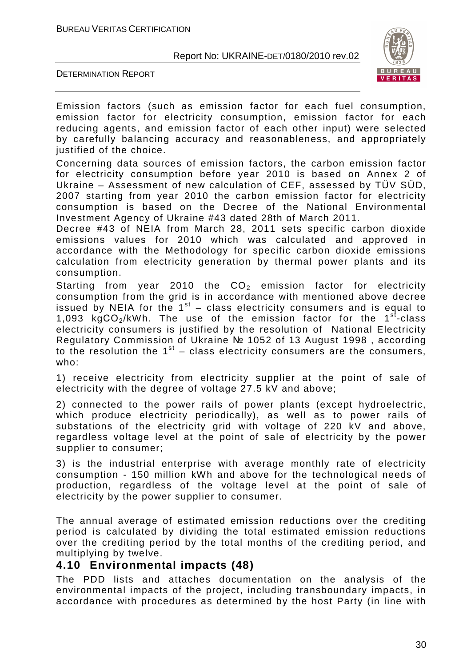DETERMINATION REPORT



Emission factors (such as emission factor for each fuel consumption, emission factor for electricity consumption, emission factor for each reducing agents, and emission factor of each other input) were selected by carefully balancing accuracy and reasonableness, and appropriately justified of the choice.

Concerning data sources of emission factors, the carbon emission factor for electricity consumption before year 2010 is based on Annex 2 of Ukraine – Assessment of new calculation of CEF, assessed by TÜV SÜD, 2007 starting from year 2010 the carbon emission factor for electricity consumption is based on the Decree of the National Environmental Investment Agency of Ukraine #43 dated 28th of March 2011.

Decree #43 of NEIA from March 28, 2011 sets specific carbon dioxide emissions values for 2010 which was calculated and approved in accordance with the Methodology for specific carbon dioxide emissions calculation from electricity generation by thermal power plants and its consumption.

Starting from year 2010 the  $CO<sub>2</sub>$  emission factor for electricity consumption from the grid is in accordance with mentioned above decree issued by NEIA for the  $1<sup>st</sup>$  – class electricity consumers and is equal to 1,093 kgCO<sub>2</sub>/kWh. The use of the emission factor for the 1<sup>st</sup>-class electricity consumers is justified by the resolution of National Electricity Regulatory Commission of Ukraine № 1052 of 13 August 1998 , according to the resolution the  $1^{st}$  – class electricity consumers are the consumers, who:

1) receive electricity from electricity supplier at the point of sale of electricity with the degree of voltage 27.5 kV and above;

2) connected to the power rails of power plants (except hydroelectric, which produce electricity periodically), as well as to power rails of substations of the electricity grid with voltage of 220 kV and above, regardless voltage level at the point of sale of electricity by the power supplier to consumer;

3) is the industrial enterprise with average monthly rate of electricity consumption - 150 million kWh and above for the technological needs of production, regardless of the voltage level at the point of sale of electricity by the power supplier to consumer.

The annual average of estimated emission reductions over the crediting period is calculated by dividing the total estimated emission reductions over the crediting period by the total months of the crediting period, and multiplying by twelve.

#### **4.10 Environmental impacts (48)**

The PDD lists and attaches documentation on the analysis of the environmental impacts of the project, including transboundary impacts, in accordance with procedures as determined by the host Party (in line with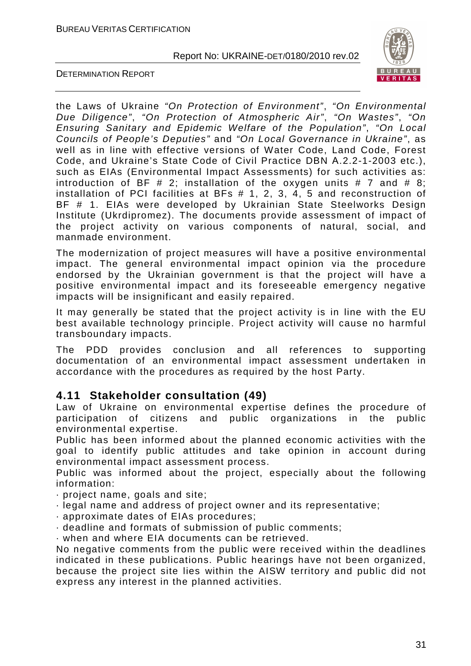



the Laws of Ukraine "On Protection of Environment", "On Environmental Due Diligence", "On Protection of Atmospheric Air", "On Wastes", "On Ensuring Sanitary and Epidemic Welfare of the Population", "On Local Councils of People's Deputies" and "On Local Governance in Ukraine", as well as in line with effective versions of Water Code, Land Code, Forest Code, and Ukraine's State Code of Civil Practice DBN А.2.2-1-2003 etc.), such as EIAs (Environmental Impact Assessments) for such activities as: introduction of BF # 2; installation of the oxygen units # 7 and # 8; installation of PCI facilities at BFs # 1, 2, 3, 4, 5 and reconstruction of BF # 1. EIAs were developed by Ukrainian State Steelworks Design Institute (Ukrdipromez). The documents provide assessment of impact of the project activity on various components of natural, social, and manmade environment.

The modernization of project measures will have a positive environmental impact. The general environmental impact opinion via the procedure endorsed by the Ukrainian government is that the project will have a positive environmental impact and its foreseeable emergency negative impacts will be insignificant and easily repaired.

It may generally be stated that the project activity is in line with the EU best available technology principle. Project activity will cause no harmful transboundary impacts.

The PDD provides conclusion and all references to supporting documentation of an environmental impact assessment undertaken in accordance with the procedures as required by the host Party.

#### **4.11 Stakeholder consultation (49)**

Law of Ukraine on environmental expertise defines the procedure of participation of citizens and public organizations in the public environmental expertise.

Public has been informed about the planned economic activities with the goal to identify public attitudes and take opinion in account during environmental impact assessment process.

Public was informed about the project, especially about the following information:

· project name, goals and site;

· legal name and address of project owner and its representative;

· approximate dates of EIAs procedures;

· deadline and formats of submission of public comments;

· when and where EIA documents can be retrieved.

No negative comments from the public were received within the deadlines indicated in these publications. Public hearings have not been organized, because the project site lies within the AISW territory and public did not express any interest in the planned activities.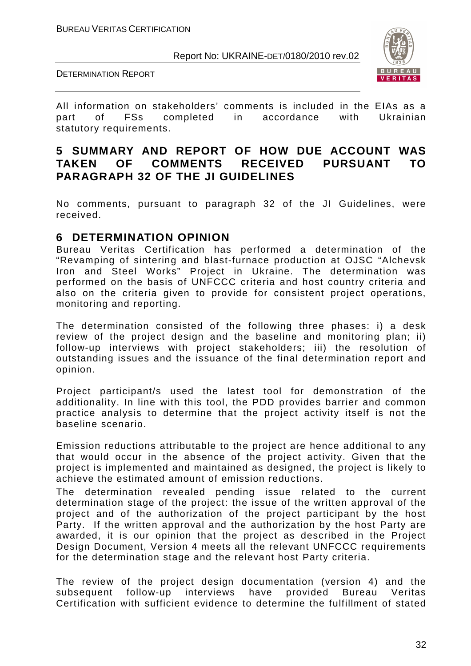DETERMINATION REPORT



All information on stakeholders' comments is included in the EIAs as a part of FSs completed in accordance with Ukrainian statutory requirements.

#### **5 SUMMARY AND REPORT OF HOW DUE ACCOUNT WAS TAKEN OF COMMENTS RECEIVED PURSUANT TO PARAGRAPH 32 OF THE JI GUIDELINES**

No comments, pursuant to paragraph 32 of the JI Guidelines, were received.

#### **6 DETERMINATION OPINION**

Bureau Veritas Certification has performed a determination of the "Revamping of sintering and blast-furnace production at OJSC "Alchevsk Iron and Steel Works" Project in Ukraine. The determination was performed on the basis of UNFCCC criteria and host country criteria and also on the criteria given to provide for consistent project operations, monitoring and reporting.

The determination consisted of the following three phases: i) a desk review of the project design and the baseline and monitoring plan; ii) follow-up interviews with project stakeholders; iii) the resolution of outstanding issues and the issuance of the final determination report and opinion.

Project participant/s used the latest tool for demonstration of the additionality. In line with this tool, the PDD provides barrier and common practice analysis to determine that the project activity itself is not the baseline scenario.

Emission reductions attributable to the project are hence additional to any that would occur in the absence of the project activity. Given that the project is implemented and maintained as designed, the project is likely to achieve the estimated amount of emission reductions.

The determination revealed pending issue related to the current determination stage of the project: the issue of the written approval of the project and of the authorization of the project participant by the host Party. If the written approval and the authorization by the host Party are awarded, it is our opinion that the project as described in the Project Design Document, Version 4 meets all the relevant UNFCCC requirements for the determination stage and the relevant host Party criteria.

The review of the project design documentation (version 4) and the subsequent follow-up interviews have provided Bureau Veritas Certification with sufficient evidence to determine the fulfillment of stated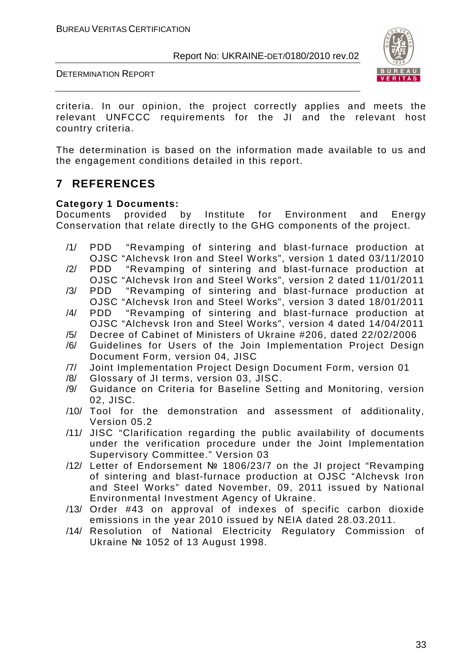DETERMINATION REPORT



criteria. In our opinion, the project correctly applies and meets the relevant UNFCCC requirements for the JI and the relevant host country criteria.

The determination is based on the information made available to us and the engagement conditions detailed in this report.

#### **7 REFERENCES**

#### **Category 1 Documents:**

Documents provided by Institute for Environment and Energy Conservation that relate directly to the GHG components of the project.

- /1/ PDD "Revamping of sintering and blast-furnace production at OJSC "Alchevsk Iron and Steel Works", version 1 dated 03/11/2010
- /2/ PDD "Revamping of sintering and blast-furnace production at OJSC "Alchevsk Iron and Steel Works", version 2 dated 11/01/2011
- /3/ PDD "Revamping of sintering and blast-furnace production at OJSC "Alchevsk Iron and Steel Works", version 3 dated 18/01/2011
- /4/ PDD "Revamping of sintering and blast-furnace production at OJSC "Alchevsk Iron and Steel Works", version 4 dated 14/04/2011
- /5/ Decree of Cabinet of Ministers of Ukraine #206, dated 22/02/2006
- /6/ Guidelines for Users of the Join Implementation Project Design Document Form, version 04, JISC
- /7/ Joint Implementation Project Design Document Form, version 01
- /8/ Glossary of JI terms, version 03, JISC.
- /9/ Guidance on Criteria for Baseline Setting and Monitoring, version 02, JISC.
- /10/ Tool for the demonstration and assessment of additionality, Version 05.2
- /11/ JISC "Clarification regarding the public availability of documents under the verification procedure under the Joint Implementation Supervisory Committee." Version 03
- /12/ Letter of Endorsement № 1806/23/7 on the JI project "Revamping of sintering and blast-furnace production at OJSC "Alchevsk Iron and Steel Works" dated November, 09, 2011 issued by National Environmental Investment Agency of Ukraine.
- /13/ Order #43 on approval of indexes of specific carbon dioxide emissions in the year 2010 issued by NEIA dated 28.03.2011.
- /14/ Resolution of National Electricity Regulatory Commission of Ukraine № 1052 of 13 August 1998.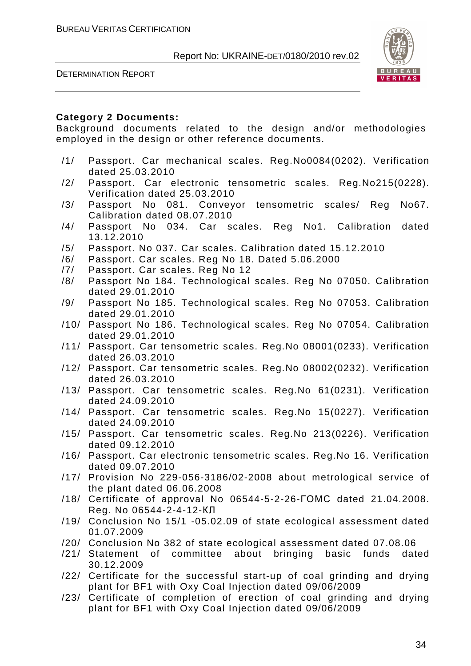DETERMINATION REPORT



#### **Category 2 Documents:**

Background documents related to the design and/or methodologies employed in the design or other reference documents.

- /1/ Passport. Car mechanical scales. Reg.No0084(0202). Verification dated 25.03.2010
- /2/ Passport. Car electronic tensometric scales. Reg.No215(0228). Verification dated 25.03.2010
- /3/ Passport No 081. Conveyor tensometric scales/ Reg No67. Calibration dated 08.07.2010
- /4/ Passport No 034. Car scales. Reg No1. Calibration dated 13.12.2010
- /5/ Passport. No 037. Car scales. Calibration dated 15.12.2010
- /6/ Passport. Car scales. Reg No 18. Dated 5.06.2000
- /7/ Passport. Car scales. Reg No 12
- /8/ Passport No 184. Technological scales. Reg No 07050. Calibration dated 29.01.2010
- /9/ Passport No 185. Technological scales. Reg No 07053. Calibration dated 29.01.2010
- /10/ Passport No 186. Technological scales. Reg No 07054. Calibration dated 29.01.2010
- /11/ Passport. Car tensometric scales. Reg.No 08001(0233). Verification dated 26.03.2010
- /12/ Passport. Car tensometric scales. Reg.No 08002(0232). Verification dated 26.03.2010
- /13/ Passport. Car tensometric scales. Reg.No 61(0231). Verification dated 24.09.2010
- /14/ Passport. Car tensometric scales. Reg.No 15(0227). Verification dated 24.09.2010
- /15/ Passport. Car tensometric scales. Reg.No 213(0226). Verification dated 09.12.2010
- /16/ Passport. Car electronic tensometric scales. Reg.No 16. Verification dated 09.07.2010
- /17/ Provision No 229-056-3186/02-2008 about metrological service of the plant dated 06.06.2008
- /18/ Certificate of approval No 06544-5-2-26-ГОМС dated 21.04.2008. Reg. No 06544-2-4-12-КЛ
- /19/ Conclusion No 15/1 -05.02.09 of state ecological assessment dated 01.07.2009
- /20/ Conclusion No 382 of state ecological assessment dated 07.08.06
- /21/ Statement of committee about bringing basic funds dated 30.12.2009
- /22/ Certificate for the successful start-up of coal grinding and drying plant for BF1 with Oxy Coal Injection dated 09/06/2009
- /23/ Certificate of completion of erection of coal grinding and drying plant for BF1 with Oxy Coal Injection dated 09/06/2009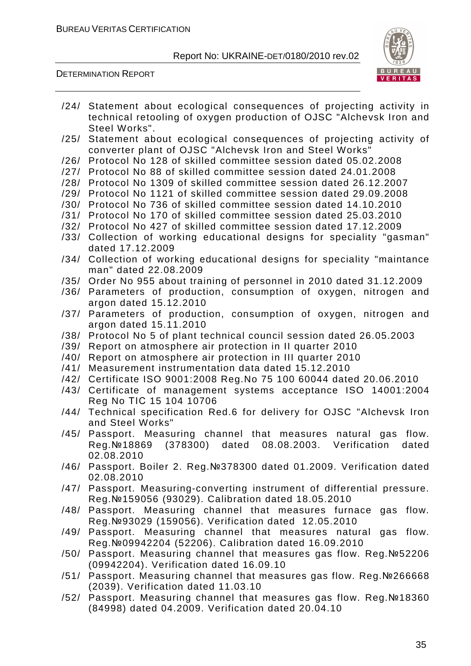DETERMINATION REPORT



- /24/ Statement about ecological consequences of projecting activity in technical retooling of oxygen production of OJSC "Alchevsk Iron and Steel Works".
- /25/ Statement about ecological consequences of projecting activity of converter plant of OJSC "Alchevsk Iron and Steel Works"
- /26/ Protocol No 128 of skilled committee session dated 05.02.2008
- /27/ Protocol No 88 of skilled committee session dated 24.01.2008
- /28/ Protocol No 1309 of skilled committee session dated 26.12.2007
- /29/ Protocol No 1121 of skilled committee session dated 29.09.2008
- /30/ Protocol No 736 of skilled committee session dated 14.10.2010
- /31/ Protocol No 170 of skilled committee session dated 25.03.2010
- /32/ Protocol No 427 of skilled committee session dated 17.12.2009
- /33/ Collection of working educational designs for speciality "gasman" dated 17.12.2009
- /34/ Collection of working educational designs for speciality "maintance man" dated 22.08.2009
- /35/ Order No 955 about training of personnel in 2010 dated 31.12.2009
- /36/ Parameters of production, consumption of oxygen, nitrogen and argon dated 15.12.2010
- /37/ Parameters of production, consumption of oxygen, nitrogen and argon dated 15.11.2010
- /38/ Protocol No 5 of plant technical council session dated 26.05.2003
- /39/ Report on atmosphere air protection in II quarter 2010
- /40/ Report on atmosphere air protection in III quarter 2010
- /41/ Measurement instrumentation data dated 15.12.2010
- /42/ Certificate ISO 9001:2008 Reg.No 75 100 60044 dated 20.06.2010
- /43/ Certificate of management systems acceptance ISO 14001:2004 Reg No ТІС 15 104 10706
- /44/ Technical specification Red.6 for delivery for OJSC "Alchevsk Iron and Steel Works"
- /45/ Passport. Measuring channel that measures natural gas flow. Reg.№18869 (378300) dated 08.08.2003. Verification dated 02.08.2010
- /46/ Passport. Boiler 2. Reg.№378300 dated 01.2009. Verification dated 02.08.2010
- /47/ Passport. Measuring-converting instrument of differential pressure. Reg.№159056 (93029). Calibration dated 18.05.2010
- /48/ Passport. Measuring channel that measures furnace gas flow. Reg.№93029 (159056). Verification dated 12.05.2010
- /49/ Passport. Measuring channel that measures natural gas flow. Reg.№09942204 (52206). Calibration dated 16.09.2010
- /50/ Passport. Measuring channel that measures gas flow. Reg.№52206 (09942204). Verification dated 16.09.10
- /51/ Passport. Measuring channel that measures gas flow. Reg.№266668 (2039). Verification dated 11.03.10
- /52/ Passport. Measuring channel that measures gas flow. Reg.№18360 (84998) dated 04.2009. Verification dated 20.04.10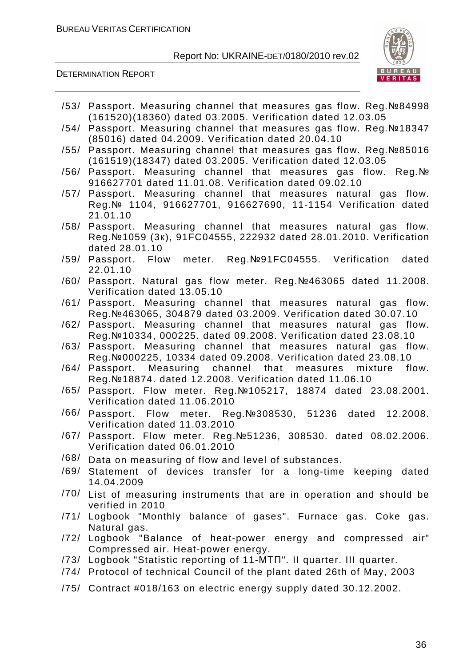

|      | /53/ Passport. Measuring channel that measures gas flow. Reg. Nº84998<br>(161520)(18360) dated 03.2005. Verification dated 12.03.05 |
|------|-------------------------------------------------------------------------------------------------------------------------------------|
|      | /54/ Passport. Measuring channel that measures gas flow. Reg. Nº18347                                                               |
|      | (85016) dated 04.2009. Verification dated 20.04.10                                                                                  |
| /55/ | Passport. Measuring channel that measures gas flow. Reg. №85016<br>(161519)(18347) dated 03.2005. Verification dated 12.03.05       |
| /56/ | Passport. Measuring channel that measures gas flow. Reg. No                                                                         |
|      | 916627701 dated 11.01.08. Verification dated 09.02.10                                                                               |
| /57/ | Passport. Measuring channel that measures natural gas flow.                                                                         |
|      | Reg. Nº 1104, 916627701, 916627690, 11-1154 Verification dated                                                                      |
|      | 21.01.10                                                                                                                            |
| /58/ | Passport. Measuring channel that measures natural gas flow.                                                                         |
|      | Reg. №1059 (3K), 91FC04555, 222932 dated 28.01.2010. Verification<br>dated 28.01.10                                                 |
| /59/ | Passport. Flow meter. Reg.Nº91FC04555. Verification<br>dated                                                                        |
|      | 22.01.10                                                                                                                            |
|      | /60/ Passport. Natural gas flow meter. Reg. Nº463065 dated 11.2008.                                                                 |
|      | Verification dated 13.05.10                                                                                                         |
| /61/ | Passport. Measuring channel that measures natural gas flow.                                                                         |
| /62/ | Reg. №463065, 304879 dated 03.2009. Verification dated 30.07.10                                                                     |
|      | Passport. Measuring channel that measures natural gas flow.<br>Reg. №10334, 000225. dated 09.2008. Verification dated 23.08.10      |
| /63/ | Passport. Measuring channel that measures natural gas flow.                                                                         |
|      | Reg. Nº 000225, 10334 dated 09.2008. Verification dated 23.08.10                                                                    |
| /64/ | Passport. Measuring channel that<br>mixture flow.<br>measures                                                                       |
|      | Reg. №18874. dated 12.2008. Verification dated 11.06.10                                                                             |
| /65/ | Passport. Flow meter. Reg. Nº105217, 18874 dated 23.08.2001.                                                                        |
|      | Verification dated 11.06.2010                                                                                                       |
|      | /66/ Passport. Flow meter. Reg.№308530, 51236<br>dated<br>12.2008.                                                                  |
|      | Verification dated 11.03.2010                                                                                                       |
|      | /67/ Passport. Flow meter. Reg. No 51236, 308530. dated 08.02.2006.                                                                 |
| /68/ | Verification dated 06.01.2010                                                                                                       |
| /69/ | Data on measuring of flow and level of substances.                                                                                  |
|      | Statement of devices transfer for a long-time keeping dated<br>14.04.2009                                                           |
|      | /70/ List of measuring instruments that are in operation and should be                                                              |
|      | verified in 2010                                                                                                                    |
|      | /71/ Logbook "Monthly balance of gases". Furnace gas. Coke gas.                                                                     |
|      | Natural gas.                                                                                                                        |
|      | /72/ Logbook "Balance of heat-power energy and compressed air"                                                                      |
|      | Compressed air. Heat-power energy.                                                                                                  |
|      | /73/ Logbook "Statistic reporting of 11-MTN". Il quarter. III quarter.                                                              |
|      | /74/ Protocol of technical Council of the plant dated 26th of May, 2003                                                             |
|      | /75/ Contract #018/163 on electric energy supply dated 30.12.2002.                                                                  |
|      |                                                                                                                                     |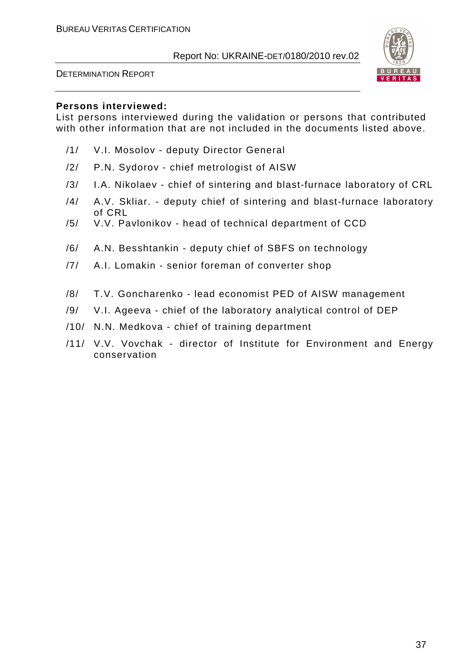



#### **Persons interviewed:**

List persons interviewed during the validation or persons that contributed with other information that are not included in the documents listed above.

- /1/ V.I. Mosolov deputy Director General
- /2/ P.N. Sydorov chief metrologist of AISW
- /3/ I.A. Nikolaev chief of sintering and blast-furnace laboratory of CRL
- /4/ A.V. Skliar. deputy chief of sintering and blast-furnace laboratory of CRL
- /5/ V.V. Pavlonikov head of technical department of CCD
- /6/ A.N. Besshtankin deputy chief of SBFS on technology
- /7/ A.I. Lomakin senior foreman of converter shop
- /8/ T.V. Goncharenko lead economist PED of AISW management
- /9/ V.I. Ageeva chief of the laboratory analytical control of DEP
- /10/ N.N. Medkova chief of training department
- /11/ V.V. Vovchak director of Institute for Environment and Energy conservation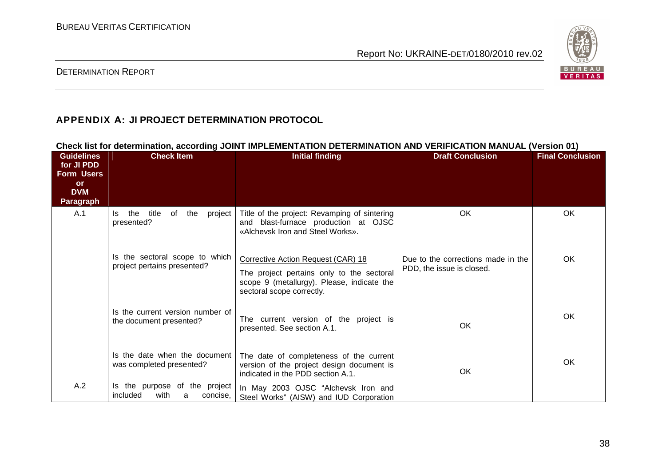

#### DETERMINATION REPORT

# **APPENDIX А: JI PROJECT DETERMINATION PROTOCOL**

| <b>Guidelines</b><br>for JI PDD<br><b>Form Users</b><br><b>or</b> | <b>Check Item</b>                                                  | CHECK IISLIOI QELEHIIINALION, ACCORUNG JOINT IMPLEMENTATION DETEKMINATION AND VEKIFICATION MANOAL (VERSION VT)<br><b>Initial finding</b>                   | <b>Draft Conclusion</b>                                         | <b>Final Conclusion</b> |
|-------------------------------------------------------------------|--------------------------------------------------------------------|------------------------------------------------------------------------------------------------------------------------------------------------------------|-----------------------------------------------------------------|-------------------------|
| <b>DVM</b><br><b>Paragraph</b>                                    |                                                                    |                                                                                                                                                            |                                                                 |                         |
| A.1                                                               | project  <br>the<br>title<br>of<br>the<br>Is.<br>presented?        | Title of the project: Revamping of sintering<br>and blast-furnace production at OJSC<br>«Alchevsk Iron and Steel Works».                                   | OK                                                              | <b>OK</b>               |
|                                                                   | Is the sectoral scope to which<br>project pertains presented?      | Corrective Action Request (CAR) 18<br>The project pertains only to the sectoral<br>scope 9 (metallurgy). Please, indicate the<br>sectoral scope correctly. | Due to the corrections made in the<br>PDD, the issue is closed. | OK                      |
|                                                                   | Is the current version number of<br>the document presented?        | The current version of the project is<br>presented. See section A.1.                                                                                       | OK                                                              | <b>OK</b>               |
|                                                                   | Is the date when the document<br>was completed presented?          | The date of completeness of the current<br>version of the project design document is<br>indicated in the PDD section A.1.                                  | OK.                                                             | OK                      |
| A.2                                                               | Is the purpose of the project<br>included<br>with<br>concise,<br>a | In May 2003 OJSC "Alchevsk Iron and<br>Steel Works" (AISW) and IUD Corporation                                                                             |                                                                 |                         |

**Check list for determination, according JOINT IMPLEMENTATION DETERMINATION AND VERIFICATION MANUAL (Version 01)**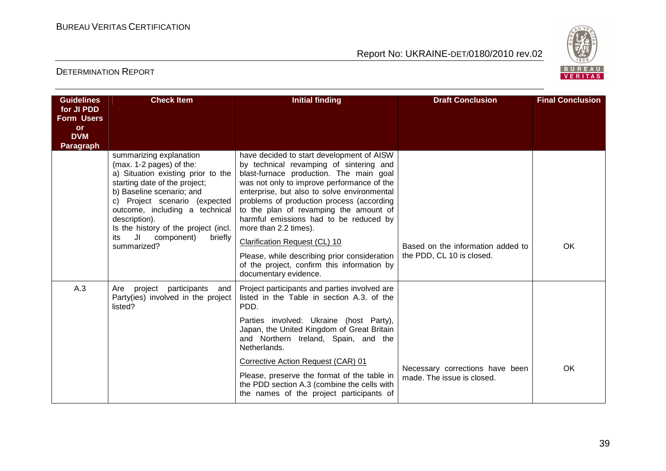

| <b>Guidelines</b>               | <b>Check Item</b>                                                                                                                                                                                                                                                                                                                     | <b>Initial finding</b>                                                                                                                                                                                                                                                                                                                                                                                                  | <b>Draft Conclusion</b>                                       | <b>Final Conclusion</b> |
|---------------------------------|---------------------------------------------------------------------------------------------------------------------------------------------------------------------------------------------------------------------------------------------------------------------------------------------------------------------------------------|-------------------------------------------------------------------------------------------------------------------------------------------------------------------------------------------------------------------------------------------------------------------------------------------------------------------------------------------------------------------------------------------------------------------------|---------------------------------------------------------------|-------------------------|
| for JI PDD<br><b>Form Users</b> |                                                                                                                                                                                                                                                                                                                                       |                                                                                                                                                                                                                                                                                                                                                                                                                         |                                                               |                         |
| or                              |                                                                                                                                                                                                                                                                                                                                       |                                                                                                                                                                                                                                                                                                                                                                                                                         |                                                               |                         |
| <b>DVM</b><br>Paragraph         |                                                                                                                                                                                                                                                                                                                                       |                                                                                                                                                                                                                                                                                                                                                                                                                         |                                                               |                         |
|                                 | summarizing explanation<br>(max. 1-2 pages) of the:<br>a) Situation existing prior to the<br>starting date of the project;<br>b) Baseline scenario; and<br>c) Project scenario (expected<br>outcome, including a technical<br>description).<br>Is the history of the project (incl.<br>JI component)<br>briefly<br>its<br>summarized? | have decided to start development of AISW<br>by technical revamping of sintering and<br>blast-furnace production. The main goal<br>was not only to improve performance of the<br>enterprise, but also to solve environmental<br>problems of production process (according<br>to the plan of revamping the amount of<br>harmful emissions had to be reduced by<br>more than 2.2 times).<br>Clarification Request (CL) 10 | Based on the information added to                             | <b>OK</b>               |
|                                 |                                                                                                                                                                                                                                                                                                                                       | Please, while describing prior consideration<br>of the project, confirm this information by<br>documentary evidence.                                                                                                                                                                                                                                                                                                    | the PDD, CL 10 is closed.                                     |                         |
| A.3                             | Are project<br>participants<br>and<br>Party(ies) involved in the project<br>listed?                                                                                                                                                                                                                                                   | Project participants and parties involved are<br>listed in the Table in section A.3, of the<br>PDD.                                                                                                                                                                                                                                                                                                                     |                                                               |                         |
|                                 |                                                                                                                                                                                                                                                                                                                                       | Parties involved: Ukraine (host Party),<br>Japan, the United Kingdom of Great Britain<br>and Northern Ireland, Spain, and the<br>Netherlands.                                                                                                                                                                                                                                                                           |                                                               |                         |
|                                 |                                                                                                                                                                                                                                                                                                                                       | Corrective Action Request (CAR) 01<br>Please, preserve the format of the table in<br>the PDD section A.3 (combine the cells with<br>the names of the project participants of                                                                                                                                                                                                                                            | Necessary corrections have been<br>made. The issue is closed. | OK                      |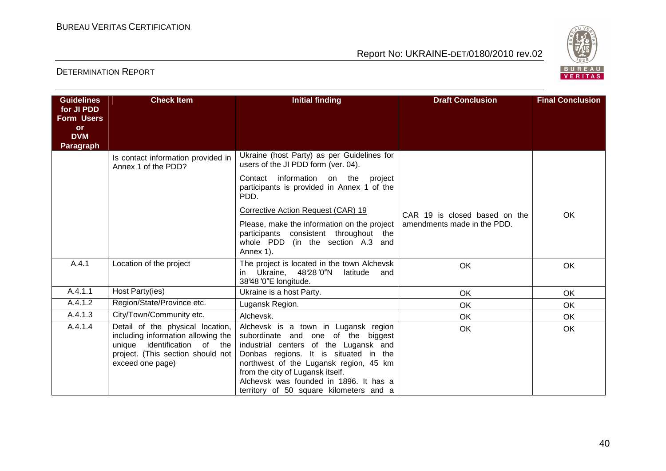

| <b>Guidelines</b>               | <b>Check Item</b>                                                                                                                                                     | <b>Initial finding</b>                                                                                                                                                                                                                                                                                                          | <b>Draft Conclusion</b>       | <b>Final Conclusion</b> |
|---------------------------------|-----------------------------------------------------------------------------------------------------------------------------------------------------------------------|---------------------------------------------------------------------------------------------------------------------------------------------------------------------------------------------------------------------------------------------------------------------------------------------------------------------------------|-------------------------------|-------------------------|
| for JI PDD<br><b>Form Users</b> |                                                                                                                                                                       |                                                                                                                                                                                                                                                                                                                                 |                               |                         |
| <b>or</b>                       |                                                                                                                                                                       |                                                                                                                                                                                                                                                                                                                                 |                               |                         |
| <b>DVM</b><br><b>Paragraph</b>  |                                                                                                                                                                       |                                                                                                                                                                                                                                                                                                                                 |                               |                         |
|                                 | Is contact information provided in<br>Annex 1 of the PDD?                                                                                                             | Ukraine (host Party) as per Guidelines for<br>users of the JI PDD form (ver. 04).                                                                                                                                                                                                                                               |                               |                         |
|                                 |                                                                                                                                                                       | information on the<br>project<br>Contact<br>participants is provided in Annex 1 of the<br>PDD.                                                                                                                                                                                                                                  |                               |                         |
|                                 |                                                                                                                                                                       | Corrective Action Request (CAR) 19                                                                                                                                                                                                                                                                                              | CAR 19 is closed based on the | OK                      |
|                                 |                                                                                                                                                                       | Please, make the information on the project<br>participants consistent throughout the<br>whole PDD (in the section A.3 and<br>Annex 1).                                                                                                                                                                                         | amendments made in the PDD.   |                         |
| A.4.1                           | Location of the project                                                                                                                                               | The project is located in the town Alchevsk<br>Ukraine, 48'28'0"N<br>latitude<br>and<br>in<br>38°48'0"E longitude.                                                                                                                                                                                                              | OK                            | OK                      |
| A.4.1.1                         | Host Party(ies)                                                                                                                                                       | Ukraine is a host Party.                                                                                                                                                                                                                                                                                                        | OK                            | OK                      |
| A.4.1.2                         | Region/State/Province etc.                                                                                                                                            | Lugansk Region.                                                                                                                                                                                                                                                                                                                 | OK                            | OK                      |
| A.4.1.3                         | City/Town/Community etc.                                                                                                                                              | Alchevsk.                                                                                                                                                                                                                                                                                                                       | OK                            | OK                      |
| A.4.1.4                         | Detail of the physical location,<br>including information allowing the<br>identification<br>unique<br>of the<br>project. (This section should not<br>exceed one page) | Alchevsk is a town in Lugansk region<br>subordinate and one of the biggest<br>industrial centers of the Lugansk and<br>Donbas regions. It is situated in the<br>northwest of the Lugansk region, 45 km<br>from the city of Lugansk itself.<br>Alchevsk was founded in 1896. It has a<br>territory of 50 square kilometers and a | OK                            | OK                      |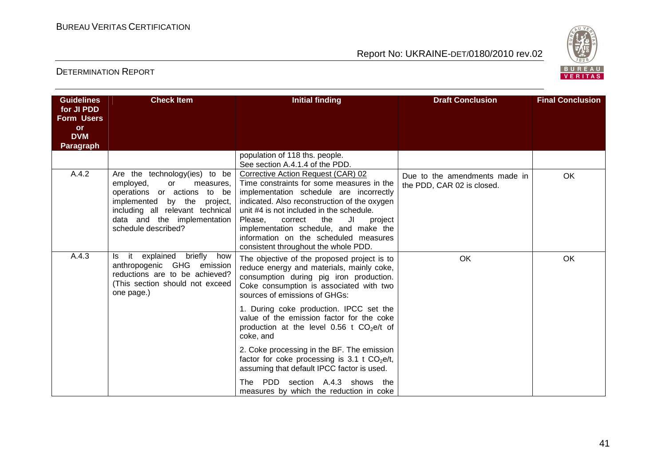

| <b>Guidelines</b>                                                       | <b>Check Item</b>                                                                                                                                                                                                           | <b>Initial finding</b>                                                                                                                                                                                                                                                                                                                                                                         | <b>Draft Conclusion</b>                                     | <b>Final Conclusion</b> |
|-------------------------------------------------------------------------|-----------------------------------------------------------------------------------------------------------------------------------------------------------------------------------------------------------------------------|------------------------------------------------------------------------------------------------------------------------------------------------------------------------------------------------------------------------------------------------------------------------------------------------------------------------------------------------------------------------------------------------|-------------------------------------------------------------|-------------------------|
| for JI PDD<br><b>Form Users</b><br>or<br><b>DVM</b><br><b>Paragraph</b> |                                                                                                                                                                                                                             |                                                                                                                                                                                                                                                                                                                                                                                                |                                                             |                         |
|                                                                         |                                                                                                                                                                                                                             | population of 118 ths. people.<br>See section A.4.1.4 of the PDD.                                                                                                                                                                                                                                                                                                                              |                                                             |                         |
| A.4.2                                                                   | Are the technology(ies) to be<br>employed,<br>or<br>measures,<br>operations or actions<br>to be<br>implemented by the<br>project,<br>including all relevant technical<br>data and the implementation<br>schedule described? | Corrective Action Request (CAR) 02<br>Time constraints for some measures in the<br>implementation schedule are incorrectly<br>indicated. Also reconstruction of the oxygen<br>unit #4 is not included in the schedule.<br>JI<br>Please.<br>correct<br>the<br>project<br>implementation schedule, and make the<br>information on the scheduled measures<br>consistent throughout the whole PDD. | Due to the amendments made in<br>the PDD, CAR 02 is closed. | <b>OK</b>               |
| A.4.3                                                                   | it explained<br>briefly<br>how<br>ls.<br>anthropogenic GHG emission<br>reductions are to be achieved?<br>(This section should not exceed<br>one page.)                                                                      | The objective of the proposed project is to<br>reduce energy and materials, mainly coke,<br>consumption during pig iron production.<br>Coke consumption is associated with two<br>sources of emissions of GHGs:                                                                                                                                                                                | OK                                                          | OK                      |
|                                                                         |                                                                                                                                                                                                                             | 1. During coke production. IPCC set the<br>value of the emission factor for the coke<br>production at the level 0.56 t $CO2e/t$ of<br>coke, and                                                                                                                                                                                                                                                |                                                             |                         |
|                                                                         |                                                                                                                                                                                                                             | 2. Coke processing in the BF. The emission<br>factor for coke processing is 3.1 t $CO2e/t$ ,<br>assuming that default IPCC factor is used.                                                                                                                                                                                                                                                     |                                                             |                         |
|                                                                         |                                                                                                                                                                                                                             | PDD section A.4.3 shows the<br>The .<br>measures by which the reduction in coke                                                                                                                                                                                                                                                                                                                |                                                             |                         |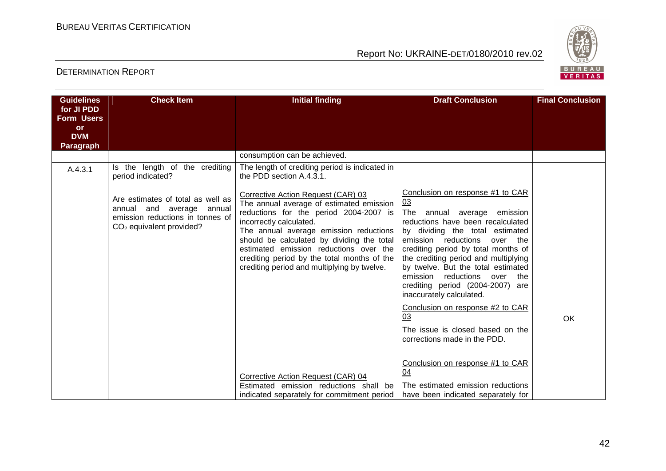

| <b>Guidelines</b>               | <b>Check Item</b>                                                                                                                   | <b>Initial finding</b>                                                                                                                                                                                                                                                                                                                                                              | <b>Draft Conclusion</b>                                                                                                                                                                                                                                                                                                                                                                                                                                                                                                                                 | <b>Final Conclusion</b> |
|---------------------------------|-------------------------------------------------------------------------------------------------------------------------------------|-------------------------------------------------------------------------------------------------------------------------------------------------------------------------------------------------------------------------------------------------------------------------------------------------------------------------------------------------------------------------------------|---------------------------------------------------------------------------------------------------------------------------------------------------------------------------------------------------------------------------------------------------------------------------------------------------------------------------------------------------------------------------------------------------------------------------------------------------------------------------------------------------------------------------------------------------------|-------------------------|
| for JI PDD<br><b>Form Users</b> |                                                                                                                                     |                                                                                                                                                                                                                                                                                                                                                                                     |                                                                                                                                                                                                                                                                                                                                                                                                                                                                                                                                                         |                         |
| <b>or</b>                       |                                                                                                                                     |                                                                                                                                                                                                                                                                                                                                                                                     |                                                                                                                                                                                                                                                                                                                                                                                                                                                                                                                                                         |                         |
| <b>DVM</b>                      |                                                                                                                                     |                                                                                                                                                                                                                                                                                                                                                                                     |                                                                                                                                                                                                                                                                                                                                                                                                                                                                                                                                                         |                         |
| <b>Paragraph</b>                |                                                                                                                                     |                                                                                                                                                                                                                                                                                                                                                                                     |                                                                                                                                                                                                                                                                                                                                                                                                                                                                                                                                                         |                         |
|                                 |                                                                                                                                     | consumption can be achieved.                                                                                                                                                                                                                                                                                                                                                        |                                                                                                                                                                                                                                                                                                                                                                                                                                                                                                                                                         |                         |
| A.4.3.1                         | Is the length of the crediting<br>period indicated?                                                                                 | The length of crediting period is indicated in<br>the PDD section A.4.3.1.                                                                                                                                                                                                                                                                                                          |                                                                                                                                                                                                                                                                                                                                                                                                                                                                                                                                                         |                         |
|                                 | Are estimates of total as well as<br>and average annual<br>annual<br>emission reductions in tonnes of<br>$CO2$ equivalent provided? | Corrective Action Request (CAR) 03<br>The annual average of estimated emission<br>reductions for the period 2004-2007 is<br>incorrectly calculated.<br>The annual average emission reductions<br>should be calculated by dividing the total<br>estimated emission reductions over the<br>crediting period by the total months of the<br>crediting period and multiplying by twelve. | Conclusion on response #1 to CAR<br>03<br>The annual average emission<br>reductions have been recalculated<br>by dividing the total estimated<br>emission reductions<br>over the<br>crediting period by total months of<br>the crediting period and multiplying<br>by twelve. But the total estimated<br>emission reductions over the<br>crediting period (2004-2007) are<br>inaccurately calculated.<br>Conclusion on response #2 to CAR<br>03<br>The issue is closed based on the<br>corrections made in the PDD.<br>Conclusion on response #1 to CAR | OK                      |
|                                 |                                                                                                                                     | Corrective Action Request (CAR) 04<br>Estimated emission reductions shall be                                                                                                                                                                                                                                                                                                        | 04<br>The estimated emission reductions                                                                                                                                                                                                                                                                                                                                                                                                                                                                                                                 |                         |
|                                 |                                                                                                                                     | indicated separately for commitment period                                                                                                                                                                                                                                                                                                                                          | have been indicated separately for                                                                                                                                                                                                                                                                                                                                                                                                                                                                                                                      |                         |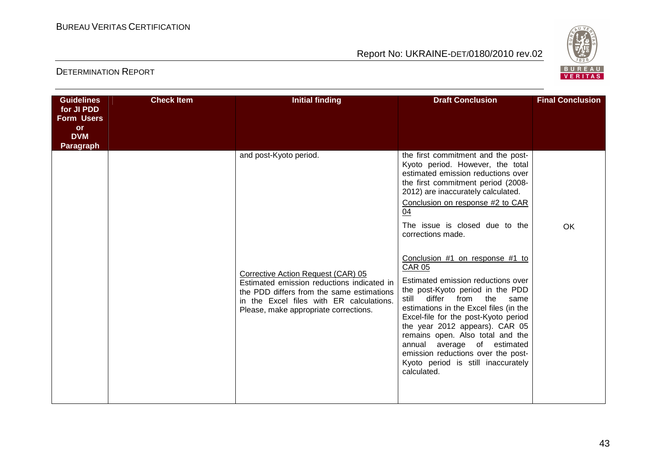

| <b>Guidelines</b>                                                              | <b>Check Item</b> | <b>Initial finding</b>                                                                                                                                                                                                                       | <b>Draft Conclusion</b>                                                                                                                                                                                                                                                                                                                                                                                                                                                                                                                                                                                                                                                                                                                             | <b>Final Conclusion</b> |
|--------------------------------------------------------------------------------|-------------------|----------------------------------------------------------------------------------------------------------------------------------------------------------------------------------------------------------------------------------------------|-----------------------------------------------------------------------------------------------------------------------------------------------------------------------------------------------------------------------------------------------------------------------------------------------------------------------------------------------------------------------------------------------------------------------------------------------------------------------------------------------------------------------------------------------------------------------------------------------------------------------------------------------------------------------------------------------------------------------------------------------------|-------------------------|
| for JI PDD<br><b>Form Users</b><br><b>or</b><br><b>DVM</b><br><b>Paragraph</b> |                   |                                                                                                                                                                                                                                              |                                                                                                                                                                                                                                                                                                                                                                                                                                                                                                                                                                                                                                                                                                                                                     |                         |
|                                                                                |                   | and post-Kyoto period.<br>Corrective Action Request (CAR) 05<br>Estimated emission reductions indicated in<br>the PDD differs from the same estimations<br>in the Excel files with ER calculations.<br>Please, make appropriate corrections. | the first commitment and the post-<br>Kyoto period. However, the total<br>estimated emission reductions over<br>the first commitment period (2008-<br>2012) are inaccurately calculated.<br>Conclusion on response #2 to CAR<br>04<br>The issue is closed due to the<br>corrections made.<br>Conclusion #1 on response #1 to<br><b>CAR 05</b><br>Estimated emission reductions over<br>the post-Kyoto period in the PDD<br>differ from<br>still<br>the<br>same<br>estimations in the Excel files (in the<br>Excel-file for the post-Kyoto period<br>the year 2012 appears). CAR 05<br>remains open. Also total and the<br>average of estimated<br>annual<br>emission reductions over the post-<br>Kyoto period is still inaccurately<br>calculated. | <b>OK</b>               |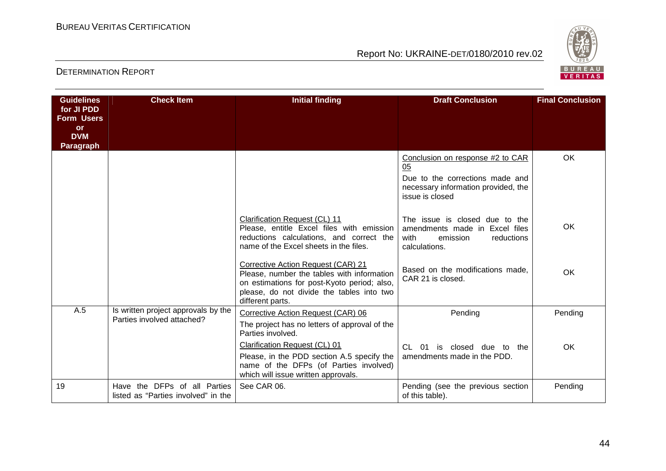

| <b>Guidelines</b>               | <b>Check Item</b>                   | <b>Initial finding</b>                                                                   | <b>Draft Conclusion</b>                                          | <b>Final Conclusion</b> |
|---------------------------------|-------------------------------------|------------------------------------------------------------------------------------------|------------------------------------------------------------------|-------------------------|
| for JI PDD<br><b>Form Users</b> |                                     |                                                                                          |                                                                  |                         |
| <b>or</b>                       |                                     |                                                                                          |                                                                  |                         |
| <b>DVM</b>                      |                                     |                                                                                          |                                                                  |                         |
| <b>Paragraph</b>                |                                     |                                                                                          |                                                                  |                         |
|                                 |                                     |                                                                                          | Conclusion on response #2 to CAR<br>05                           | <b>OK</b>               |
|                                 |                                     |                                                                                          | Due to the corrections made and                                  |                         |
|                                 |                                     |                                                                                          | necessary information provided, the<br>issue is closed           |                         |
|                                 |                                     |                                                                                          |                                                                  |                         |
|                                 |                                     | <b>Clarification Request (CL) 11</b>                                                     | The issue is closed due to the                                   | <b>OK</b>               |
|                                 |                                     | Please, entitle Excel files with emission<br>reductions calculations, and correct the    | amendments made in Excel files<br>with<br>emission<br>reductions |                         |
|                                 |                                     | name of the Excel sheets in the files.                                                   | calculations.                                                    |                         |
|                                 |                                     | Corrective Action Request (CAR) 21                                                       |                                                                  |                         |
|                                 |                                     | Please, number the tables with information                                               | Based on the modifications made,<br>CAR 21 is closed.            | <b>OK</b>               |
|                                 |                                     | on estimations for post-Kyoto period; also,<br>please, do not divide the tables into two |                                                                  |                         |
|                                 |                                     | different parts.                                                                         |                                                                  |                         |
| A.5                             | Is written project approvals by the | Corrective Action Request (CAR) 06                                                       | Pending                                                          | Pending                 |
|                                 | Parties involved attached?          | The project has no letters of approval of the<br>Parties involved.                       |                                                                  |                         |
|                                 |                                     | Clarification Request (CL) 01                                                            | is closed due to the<br>CL.<br>01                                | <b>OK</b>               |
|                                 |                                     | Please, in the PDD section A.5 specify the                                               | amendments made in the PDD.                                      |                         |
|                                 |                                     | name of the DFPs (of Parties involved)<br>which will issue written approvals.            |                                                                  |                         |
| 19                              | Have the DFPs of all Parties        | See CAR 06.                                                                              | Pending (see the previous section                                | Pending                 |
|                                 | listed as "Parties involved" in the |                                                                                          | of this table).                                                  |                         |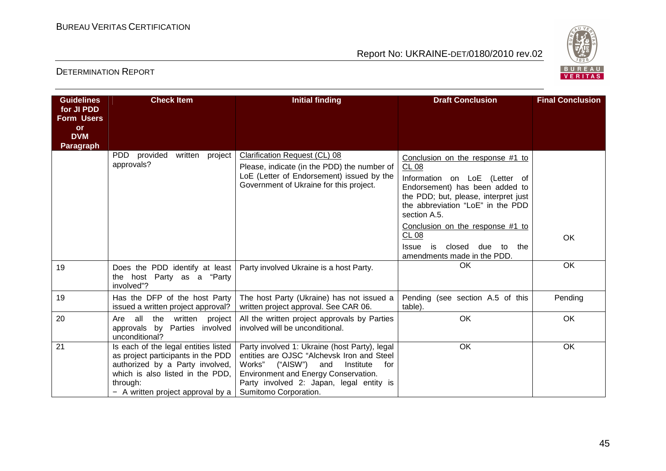

| <b>Guidelines</b>                                                       | <b>Check Item</b>                                                                                                                                                                                  | <b>Initial finding</b>                                                                                                                                                                                                                                    | <b>Draft Conclusion</b>                                                                                                                                                                                                                                                                                                                   | <b>Final Conclusion</b> |
|-------------------------------------------------------------------------|----------------------------------------------------------------------------------------------------------------------------------------------------------------------------------------------------|-----------------------------------------------------------------------------------------------------------------------------------------------------------------------------------------------------------------------------------------------------------|-------------------------------------------------------------------------------------------------------------------------------------------------------------------------------------------------------------------------------------------------------------------------------------------------------------------------------------------|-------------------------|
| for JI PDD<br><b>Form Users</b><br><b>or</b><br><b>DVM</b><br>Paragraph |                                                                                                                                                                                                    |                                                                                                                                                                                                                                                           |                                                                                                                                                                                                                                                                                                                                           |                         |
|                                                                         | PDD provided<br>written<br>project<br>approvals?                                                                                                                                                   | Clarification Request (CL) 08<br>Please, indicate (in the PDD) the number of<br>LoE (Letter of Endorsement) issued by the<br>Government of Ukraine for this project.                                                                                      | Conclusion on the response #1 to<br>CL08<br>Information on LoE (Letter of<br>Endorsement) has been added to<br>the PDD; but, please, interpret just<br>the abbreviation "LoE" in the PDD<br>section A.5.<br>Conclusion on the response #1 to<br><b>CL 08</b><br>is<br>closed due to<br><b>Issue</b><br>the<br>amendments made in the PDD. | OK                      |
| 19                                                                      | Does the PDD identify at least<br>the host Party as a "Party<br>involved"?                                                                                                                         | Party involved Ukraine is a host Party.                                                                                                                                                                                                                   | OK.                                                                                                                                                                                                                                                                                                                                       | OK                      |
| 19                                                                      | Has the DFP of the host Party<br>issued a written project approval?                                                                                                                                | The host Party (Ukraine) has not issued a<br>written project approval. See CAR 06.                                                                                                                                                                        | Pending (see section A.5 of this<br>table).                                                                                                                                                                                                                                                                                               | Pending                 |
| 20                                                                      | all the written project<br>Are<br>approvals by Parties involved<br>unconditional?                                                                                                                  | All the written project approvals by Parties<br>involved will be unconditional.                                                                                                                                                                           | OK                                                                                                                                                                                                                                                                                                                                        | OK                      |
| 21                                                                      | Is each of the legal entities listed<br>as project participants in the PDD<br>authorized by a Party involved,<br>which is also listed in the PDD.<br>through:<br>- A written project approval by a | Party involved 1: Ukraine (host Party), legal<br>entities are OJSC "Alchevsk Iron and Steel<br>Works"<br>("AISW")<br>for<br>Institute<br>and<br>Environment and Energy Conservation.<br>Party involved 2: Japan, legal entity is<br>Sumitomo Corporation. | OK                                                                                                                                                                                                                                                                                                                                        | OK                      |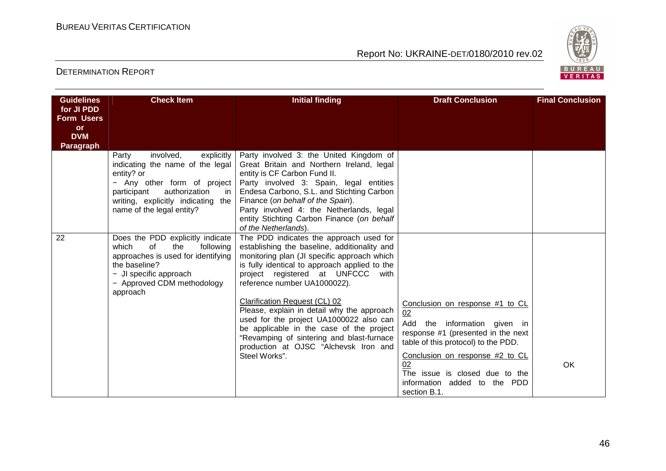

| <b>Guidelines</b><br>for JI PDD<br><b>Form Users</b> | <b>Check Item</b>                                                                                                                                                                                                                | <b>Initial finding</b>                                                                                                                                                                                                                                                                                                                                                                                                                                                                                                                       | <b>Draft Conclusion</b>                                                                                                                                                                                                                                                       | <b>Final Conclusion</b> |
|------------------------------------------------------|----------------------------------------------------------------------------------------------------------------------------------------------------------------------------------------------------------------------------------|----------------------------------------------------------------------------------------------------------------------------------------------------------------------------------------------------------------------------------------------------------------------------------------------------------------------------------------------------------------------------------------------------------------------------------------------------------------------------------------------------------------------------------------------|-------------------------------------------------------------------------------------------------------------------------------------------------------------------------------------------------------------------------------------------------------------------------------|-------------------------|
| <b>or</b><br><b>DVM</b><br><b>Paragraph</b>          |                                                                                                                                                                                                                                  |                                                                                                                                                                                                                                                                                                                                                                                                                                                                                                                                              |                                                                                                                                                                                                                                                                               |                         |
|                                                      | Party<br>involved,<br>explicitly<br>indicating the name of the legal<br>entity? or<br>- Any other form of project<br>authorization<br>participant<br>in.<br>writing, explicitly indicating<br>the I<br>name of the legal entity? | Party involved 3: the United Kingdom of<br>Great Britain and Northern Ireland, legal<br>entity is CF Carbon Fund II.<br>Party involved 3: Spain, legal entities<br>Endesa Carbono, S.L. and Stichting Carbon<br>Finance (on behalf of the Spain).<br>Party involved 4: the Netherlands, legal<br>entity Stichting Carbon Finance (on behalf<br>of the Netherlands).                                                                                                                                                                          |                                                                                                                                                                                                                                                                               |                         |
| 22                                                   | Does the PDD explicitly indicate<br>which<br>$\Omega$<br>the<br>following<br>approaches is used for identifying<br>the baseline?<br>- JI specific approach<br>- Approved CDM methodology<br>approach                             | The PDD indicates the approach used for<br>establishing the baseline, additionality and<br>monitoring plan (JI specific approach which<br>is fully identical to approach applied to the<br>project registered at UNFCCC<br>with<br>reference number UA1000022).<br>Clarification Request (CL) 02<br>Please, explain in detail why the approach<br>used for the project UA1000022 also can<br>be applicable in the case of the project<br>"Revamping of sintering and blast-furnace<br>production at OJSC "Alchevsk Iron and<br>Steel Works". | Conclusion on response #1 to CL<br>02<br>Add the information given in<br>response #1 (presented in the next<br>table of this protocol) to the PDD.<br>Conclusion on response #2 to CL<br>02<br>The issue is closed due to the<br>information added to the PDD<br>section B.1. | <b>OK</b>               |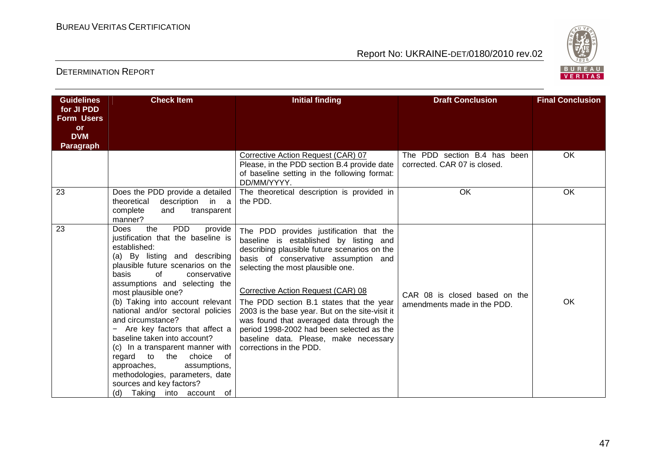

| <b>Guidelines</b>                                                              | <b>Check Item</b>                                                                                                                                                                                                                                                                                                                                                                                                                                                                                                                                                                                                           | <b>Initial finding</b>                                                                                                                                                                                                                                                                                                                                                                                                                                                                                           | <b>Draft Conclusion</b>                                      | <b>Final Conclusion</b> |
|--------------------------------------------------------------------------------|-----------------------------------------------------------------------------------------------------------------------------------------------------------------------------------------------------------------------------------------------------------------------------------------------------------------------------------------------------------------------------------------------------------------------------------------------------------------------------------------------------------------------------------------------------------------------------------------------------------------------------|------------------------------------------------------------------------------------------------------------------------------------------------------------------------------------------------------------------------------------------------------------------------------------------------------------------------------------------------------------------------------------------------------------------------------------------------------------------------------------------------------------------|--------------------------------------------------------------|-------------------------|
| for JI PDD<br><b>Form Users</b><br><b>or</b><br><b>DVM</b><br><b>Paragraph</b> |                                                                                                                                                                                                                                                                                                                                                                                                                                                                                                                                                                                                                             |                                                                                                                                                                                                                                                                                                                                                                                                                                                                                                                  |                                                              |                         |
|                                                                                |                                                                                                                                                                                                                                                                                                                                                                                                                                                                                                                                                                                                                             | Corrective Action Request (CAR) 07<br>Please, in the PDD section B.4 provide date<br>of baseline setting in the following format:<br>DD/MM/YYYY.                                                                                                                                                                                                                                                                                                                                                                 | The PDD section B.4 has been<br>corrected. CAR 07 is closed. | OK                      |
| 23                                                                             | Does the PDD provide a detailed<br>description in a<br>theoretical<br>complete<br>and<br>transparent<br>manner?                                                                                                                                                                                                                                                                                                                                                                                                                                                                                                             | The theoretical description is provided in<br>the PDD.                                                                                                                                                                                                                                                                                                                                                                                                                                                           | OK                                                           | OK                      |
| 23                                                                             | <b>PDD</b><br>the<br><b>Does</b><br>provide<br>justification that the baseline is<br>established:<br>(a) By listing and describing<br>plausible future scenarios on the<br>basis<br>of<br>conservative<br>assumptions and selecting the<br>most plausible one?<br>(b) Taking into account relevant<br>national and/or sectoral policies<br>and circumstance?<br>Are key factors that affect a<br>baseline taken into account?<br>(c) In a transparent manner with<br>regard to the choice<br>of<br>approaches,<br>assumptions,<br>methodologies, parameters, date<br>sources and key factors?<br>(d) Taking into account of | The PDD provides justification that the<br>baseline is established by listing and<br>describing plausible future scenarios on the<br>basis of conservative assumption and<br>selecting the most plausible one.<br>Corrective Action Request (CAR) 08<br>The PDD section B.1 states that the year<br>2003 is the base year. But on the site-visit it<br>was found that averaged data through the<br>period 1998-2002 had been selected as the<br>baseline data. Please, make necessary<br>corrections in the PDD. | CAR 08 is closed based on the<br>amendments made in the PDD. | OK                      |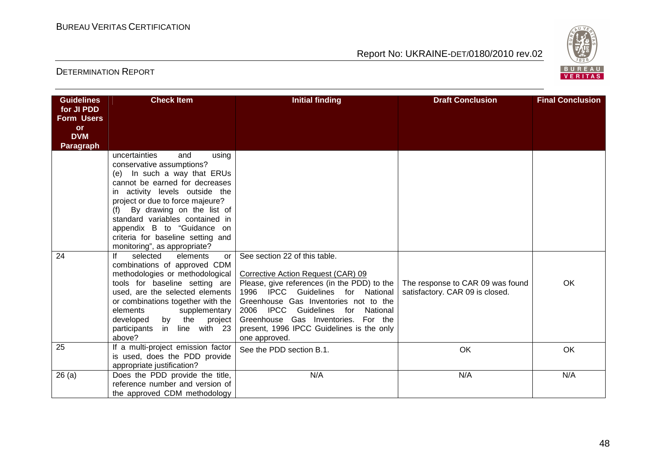

| <b>Guidelines</b>               | <b>Check Item</b>                                                | <b>Initial finding</b>                      | <b>Draft Conclusion</b>          | <b>Final Conclusion</b> |
|---------------------------------|------------------------------------------------------------------|---------------------------------------------|----------------------------------|-------------------------|
| for JI PDD<br><b>Form Users</b> |                                                                  |                                             |                                  |                         |
| <b>or</b>                       |                                                                  |                                             |                                  |                         |
| <b>DVM</b>                      |                                                                  |                                             |                                  |                         |
| <b>Paragraph</b>                |                                                                  |                                             |                                  |                         |
|                                 | uncertainties<br>using<br>and                                    |                                             |                                  |                         |
|                                 | conservative assumptions?<br>(e) In such a way that ERUs         |                                             |                                  |                         |
|                                 | cannot be earned for decreases                                   |                                             |                                  |                         |
|                                 | in activity levels outside the                                   |                                             |                                  |                         |
|                                 | project or due to force majeure?                                 |                                             |                                  |                         |
|                                 | By drawing on the list of<br>(f)                                 |                                             |                                  |                         |
|                                 | standard variables contained in                                  |                                             |                                  |                         |
|                                 | appendix B to "Guidance on                                       |                                             |                                  |                         |
|                                 | criteria for baseline setting and                                |                                             |                                  |                         |
|                                 | monitoring", as appropriate?                                     |                                             |                                  |                         |
| 24                              | lf<br>selected<br>elements<br>or<br>combinations of approved CDM | See section 22 of this table.               |                                  |                         |
|                                 | methodologies or methodological                                  | Corrective Action Request (CAR) 09          |                                  |                         |
|                                 | tools for baseline setting are                                   | Please, give references (in the PDD) to the | The response to CAR 09 was found | OK                      |
|                                 | used, are the selected elements                                  | 1996 IPCC Guidelines for National           | satisfactory. CAR 09 is closed.  |                         |
|                                 | or combinations together with the                                | Greenhouse Gas Inventories not to the       |                                  |                         |
|                                 | elements<br>supplementary                                        | 2006 IPCC Guidelines for National           |                                  |                         |
|                                 | by the project<br>developed                                      | Greenhouse Gas Inventories. For the         |                                  |                         |
|                                 | in line with 23<br>participants                                  | present, 1996 IPCC Guidelines is the only   |                                  |                         |
|                                 | above?                                                           | one approved.                               |                                  |                         |
| 25                              | If a multi-project emission factor                               | See the PDD section B.1.                    | OK                               | OK                      |
|                                 | is used, does the PDD provide<br>appropriate justification?      |                                             |                                  |                         |
| 26(a)                           | Does the PDD provide the title,                                  | N/A                                         | N/A                              | N/A                     |
|                                 | reference number and version of                                  |                                             |                                  |                         |
|                                 | the approved CDM methodology                                     |                                             |                                  |                         |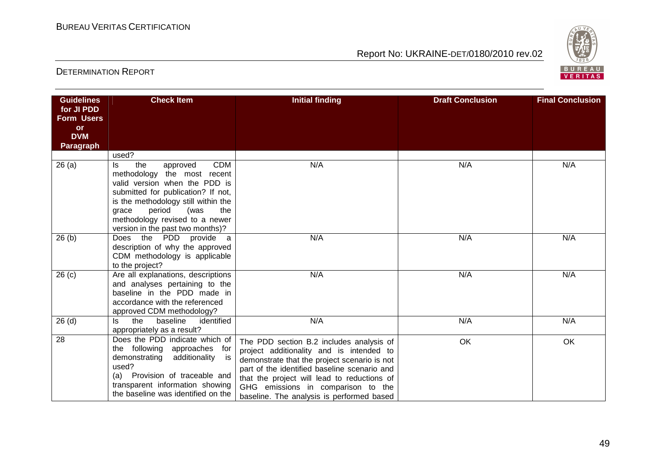

| <b>Guidelines</b> | <b>Check Item</b>                                                    | <b>Initial finding</b>                       | <b>Draft Conclusion</b> | <b>Final Conclusion</b> |
|-------------------|----------------------------------------------------------------------|----------------------------------------------|-------------------------|-------------------------|
| for JI PDD        |                                                                      |                                              |                         |                         |
| <b>Form Users</b> |                                                                      |                                              |                         |                         |
| <b>or</b>         |                                                                      |                                              |                         |                         |
| <b>DVM</b>        |                                                                      |                                              |                         |                         |
| <b>Paragraph</b>  |                                                                      |                                              |                         |                         |
|                   | used?<br><b>CDM</b>                                                  | N/A                                          | N/A                     | N/A                     |
| 26(a)             | the<br>approved<br>ls.<br>methodology the most recent                |                                              |                         |                         |
|                   | valid version when the PDD is                                        |                                              |                         |                         |
|                   | submitted for publication? If not,                                   |                                              |                         |                         |
|                   | is the methodology still within the                                  |                                              |                         |                         |
|                   | period<br>(was<br>the<br>grace                                       |                                              |                         |                         |
|                   | methodology revised to a newer                                       |                                              |                         |                         |
|                   | version in the past two months)?                                     |                                              |                         |                         |
| 26(b)             | Does the PDD provide a                                               | N/A                                          | N/A                     | N/A                     |
|                   | description of why the approved                                      |                                              |                         |                         |
|                   | CDM methodology is applicable                                        |                                              |                         |                         |
|                   | to the project?                                                      |                                              | N/A                     | N/A                     |
| 26 <sub>(c)</sub> | Are all explanations, descriptions<br>and analyses pertaining to the | N/A                                          |                         |                         |
|                   | baseline in the PDD made in                                          |                                              |                         |                         |
|                   | accordance with the referenced                                       |                                              |                         |                         |
|                   | approved CDM methodology?                                            |                                              |                         |                         |
| 26(d)             | baseline<br>identified<br>the<br>ls.                                 | N/A                                          | N/A                     | N/A                     |
|                   | appropriately as a result?                                           |                                              |                         |                         |
| 28                | Does the PDD indicate which of                                       | The PDD section B.2 includes analysis of     | OK                      | OK                      |
|                   | the following approaches<br>for                                      | project additionality and is intended to     |                         |                         |
|                   | demonstrating<br>additionality<br>is                                 | demonstrate that the project scenario is not |                         |                         |
|                   | used?                                                                | part of the identified baseline scenario and |                         |                         |
|                   | Provision of traceable and<br>(a)<br>transparent information showing | that the project will lead to reductions of  |                         |                         |
|                   | the baseline was identified on the                                   | GHG emissions in comparison to the           |                         |                         |
|                   |                                                                      | baseline. The analysis is performed based    |                         |                         |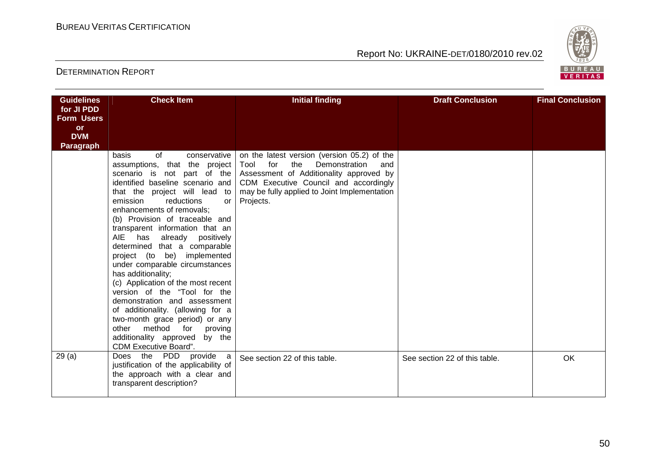

| <b>Guidelines</b>               | <b>Check Item</b>                                                                                                                                                                                                                                                                                                                                                                                                                                                                                                                                                                                                                                                                                                 | <b>Initial finding</b>                                                                                                                                                                                                                                                 | <b>Draft Conclusion</b>       | <b>Final Conclusion</b> |
|---------------------------------|-------------------------------------------------------------------------------------------------------------------------------------------------------------------------------------------------------------------------------------------------------------------------------------------------------------------------------------------------------------------------------------------------------------------------------------------------------------------------------------------------------------------------------------------------------------------------------------------------------------------------------------------------------------------------------------------------------------------|------------------------------------------------------------------------------------------------------------------------------------------------------------------------------------------------------------------------------------------------------------------------|-------------------------------|-------------------------|
| for JI PDD<br><b>Form Users</b> |                                                                                                                                                                                                                                                                                                                                                                                                                                                                                                                                                                                                                                                                                                                   |                                                                                                                                                                                                                                                                        |                               |                         |
| <b>or</b>                       |                                                                                                                                                                                                                                                                                                                                                                                                                                                                                                                                                                                                                                                                                                                   |                                                                                                                                                                                                                                                                        |                               |                         |
| <b>DVM</b><br><b>Paragraph</b>  |                                                                                                                                                                                                                                                                                                                                                                                                                                                                                                                                                                                                                                                                                                                   |                                                                                                                                                                                                                                                                        |                               |                         |
|                                 | basis<br>of<br>conservative<br>assumptions, that the project<br>identified baseline scenario and<br>that the project will lead to<br>emission<br>reductions<br>or<br>enhancements of removals;<br>(b) Provision of traceable and<br>transparent information that an<br>AIE has<br>already positively<br>determined that a comparable<br>project (to be) implemented<br>under comparable circumstances<br>has additionality;<br>(c) Application of the most recent<br>version of the "Tool for the<br>demonstration and assessment<br>of additionality. (allowing for a<br>two-month grace period) or any<br>method<br>other<br>for<br>proving<br>additionality approved<br>by the<br><b>CDM Executive Board".</b> | on the latest version (version 05.2) of the<br>for<br>the<br>Demonstration<br>Tool<br>and<br>scenario is not part of the Assessment of Additionality approved by<br>CDM Executive Council and accordingly<br>may be fully applied to Joint Implementation<br>Projects. |                               |                         |
| 29(a)                           | Does the PDD provide a<br>justification of the applicability of<br>the approach with a clear and<br>transparent description?                                                                                                                                                                                                                                                                                                                                                                                                                                                                                                                                                                                      | See section 22 of this table.                                                                                                                                                                                                                                          | See section 22 of this table. | <b>OK</b>               |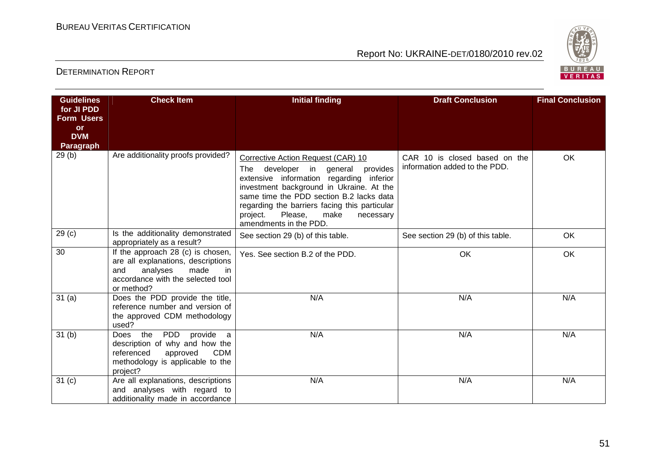

| <b>Guidelines</b>                                                       | <b>Check Item</b>                                                                                                                                                | <b>Initial finding</b>                                                                                                                                                                                                                                                                                                                      | <b>Draft Conclusion</b>                                        | <b>Final Conclusion</b> |
|-------------------------------------------------------------------------|------------------------------------------------------------------------------------------------------------------------------------------------------------------|---------------------------------------------------------------------------------------------------------------------------------------------------------------------------------------------------------------------------------------------------------------------------------------------------------------------------------------------|----------------------------------------------------------------|-------------------------|
| for JI PDD<br><b>Form Users</b><br><b>or</b><br><b>DVM</b><br>Paragraph |                                                                                                                                                                  |                                                                                                                                                                                                                                                                                                                                             |                                                                |                         |
| 29(b)                                                                   | Are additionality proofs provided?                                                                                                                               | Corrective Action Request (CAR) 10<br>developer in general<br>provides<br>The<br>extensive information regarding<br>inferior<br>investment background in Ukraine. At the<br>same time the PDD section B.2 lacks data<br>regarding the barriers facing this particular<br>Please,<br>make<br>project.<br>necessary<br>amendments in the PDD. | CAR 10 is closed based on the<br>information added to the PDD. | OK                      |
| 29 <sub>(c)</sub>                                                       | Is the additionality demonstrated<br>appropriately as a result?                                                                                                  | See section 29 (b) of this table.                                                                                                                                                                                                                                                                                                           | See section 29 (b) of this table.                              | <b>OK</b>               |
| 30                                                                      | If the approach 28 (c) is chosen,<br>are all explanations, descriptions<br>made<br>analyses<br>and<br>in<br>accordance with the selected tool<br>or method?      | Yes. See section B.2 of the PDD.                                                                                                                                                                                                                                                                                                            | <b>OK</b>                                                      | OK                      |
| 31(a)                                                                   | Does the PDD provide the title,<br>reference number and version of<br>the approved CDM methodology<br>used?                                                      | N/A                                                                                                                                                                                                                                                                                                                                         | N/A                                                            | N/A                     |
| 31 <sub>(b)</sub>                                                       | the<br>PDD<br>provide a<br><b>Does</b><br>description of why and how the<br>referenced<br>approved<br><b>CDM</b><br>methodology is applicable to the<br>project? | N/A                                                                                                                                                                                                                                                                                                                                         | N/A                                                            | N/A                     |
| 31 <sub>(c)</sub>                                                       | Are all explanations, descriptions<br>and analyses with regard to<br>additionality made in accordance                                                            | N/A                                                                                                                                                                                                                                                                                                                                         | N/A                                                            | N/A                     |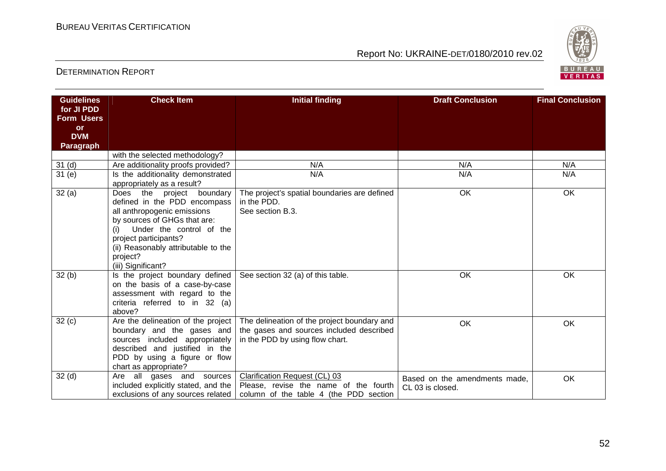

| <b>Guidelines</b> | <b>Check Item</b>                                                 | <b>Initial finding</b>                       | <b>Draft Conclusion</b>       | <b>Final Conclusion</b> |
|-------------------|-------------------------------------------------------------------|----------------------------------------------|-------------------------------|-------------------------|
| for JI PDD        |                                                                   |                                              |                               |                         |
| <b>Form Users</b> |                                                                   |                                              |                               |                         |
| <b>or</b>         |                                                                   |                                              |                               |                         |
| <b>DVM</b>        |                                                                   |                                              |                               |                         |
| <b>Paragraph</b>  |                                                                   |                                              |                               |                         |
|                   | with the selected methodology?                                    | N/A                                          | N/A                           | N/A                     |
| 31 <sub>(d)</sub> | Are additionality proofs provided?                                | N/A                                          | N/A                           | N/A                     |
| 31(e)             | Is the additionality demonstrated<br>appropriately as a result?   |                                              |                               |                         |
| 32(a)             | Does<br>the<br>boundary<br>project                                | The project's spatial boundaries are defined | OK                            | OK                      |
|                   | defined in the PDD encompass                                      | in the PDD.                                  |                               |                         |
|                   | all anthropogenic emissions                                       | See section B.3.                             |                               |                         |
|                   | by sources of GHGs that are:                                      |                                              |                               |                         |
|                   | Under the control of the                                          |                                              |                               |                         |
|                   | project participants?                                             |                                              |                               |                         |
|                   | (ii) Reasonably attributable to the                               |                                              |                               |                         |
|                   | project?                                                          |                                              |                               |                         |
|                   | (iii) Significant?                                                |                                              |                               |                         |
| 32(b)             | Is the project boundary defined<br>on the basis of a case-by-case | See section 32 (a) of this table.            | OK                            | OK                      |
|                   | assessment with regard to the                                     |                                              |                               |                         |
|                   | criteria referred to in 32 (a)                                    |                                              |                               |                         |
|                   | above?                                                            |                                              |                               |                         |
| 32(c)             | Are the delineation of the project                                | The delineation of the project boundary and  | OK                            | OK                      |
|                   | boundary and the gases and                                        | the gases and sources included described     |                               |                         |
|                   | sources included appropriately                                    | in the PDD by using flow chart.              |                               |                         |
|                   | described and justified in the                                    |                                              |                               |                         |
|                   | PDD by using a figure or flow                                     |                                              |                               |                         |
|                   | chart as appropriate?                                             |                                              |                               |                         |
| 32 <sub>(d)</sub> | Are all gases and sources                                         | Clarification Request (CL) 03                | Based on the amendments made, | OK                      |
|                   | included explicitly stated, and the                               | Please, revise the name of the fourth        | CL 03 is closed.              |                         |
|                   | exclusions of any sources related                                 | column of the table 4 (the PDD section       |                               |                         |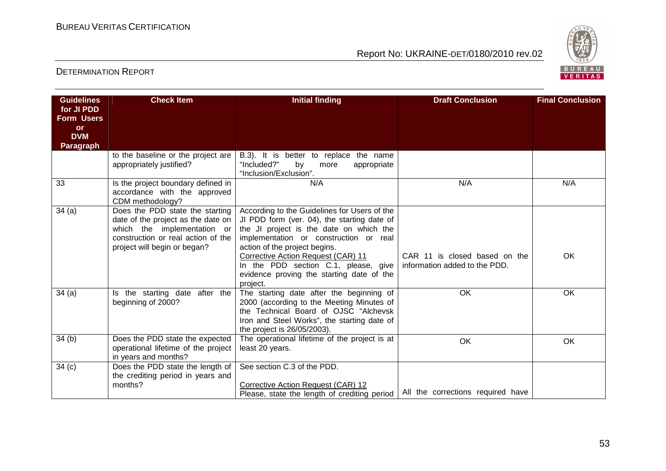

| <b>Guidelines</b>               | <b>Check Item</b>                                                      | <b>Initial finding</b>                                                                      | <b>Draft Conclusion</b>           | <b>Final Conclusion</b> |
|---------------------------------|------------------------------------------------------------------------|---------------------------------------------------------------------------------------------|-----------------------------------|-------------------------|
| for JI PDD<br><b>Form Users</b> |                                                                        |                                                                                             |                                   |                         |
| <b>or</b>                       |                                                                        |                                                                                             |                                   |                         |
| <b>DVM</b>                      |                                                                        |                                                                                             |                                   |                         |
| <b>Paragraph</b>                |                                                                        |                                                                                             |                                   |                         |
|                                 | to the baseline or the project are                                     | B.3). It is better to replace the name                                                      |                                   |                         |
|                                 | appropriately justified?                                               | "Included?"<br>by<br>appropriate<br>more<br>"Inclusion/Exclusion".                          |                                   |                         |
| 33                              | Is the project boundary defined in                                     | N/A                                                                                         | N/A                               | N/A                     |
|                                 | accordance with the approved                                           |                                                                                             |                                   |                         |
|                                 | CDM methodology?                                                       |                                                                                             |                                   |                         |
| 34(a)                           | Does the PDD state the starting<br>date of the project as the date on  | According to the Guidelines for Users of the<br>JI PDD form (ver. 04), the starting date of |                                   |                         |
|                                 | which the implementation or                                            | the JI project is the date on which the                                                     |                                   |                         |
|                                 | construction or real action of the                                     | implementation or construction or real                                                      |                                   |                         |
|                                 | project will begin or began?                                           | action of the project begins.                                                               |                                   |                         |
|                                 |                                                                        | Corrective Action Request (CAR) 11                                                          | CAR 11 is closed based on the     | <b>OK</b>               |
|                                 |                                                                        | In the PDD section C.1, please, give                                                        | information added to the PDD.     |                         |
|                                 |                                                                        | evidence proving the starting date of the<br>project.                                       |                                   |                         |
| 34(a)                           | Is the starting date after the                                         | The starting date after the beginning of                                                    | <b>OK</b>                         | OK                      |
|                                 | beginning of 2000?                                                     | 2000 (according to the Meeting Minutes of                                                   |                                   |                         |
|                                 |                                                                        | the Technical Board of OJSC "Alchevsk                                                       |                                   |                         |
|                                 |                                                                        | Iron and Steel Works", the starting date of                                                 |                                   |                         |
|                                 |                                                                        | the project is 26/05/2003).                                                                 |                                   |                         |
| 34 <sub>(b)</sub>               | Does the PDD state the expected<br>operational lifetime of the project | The operational lifetime of the project is at<br>least 20 years.                            | OK                                | OK                      |
|                                 | in years and months?                                                   |                                                                                             |                                   |                         |
| 34(c)                           | Does the PDD state the length of                                       | See section C.3 of the PDD.                                                                 |                                   |                         |
|                                 | the crediting period in years and                                      |                                                                                             |                                   |                         |
|                                 | months?                                                                | Corrective Action Request (CAR) 12                                                          |                                   |                         |
|                                 |                                                                        | Please, state the length of crediting period                                                | All the corrections required have |                         |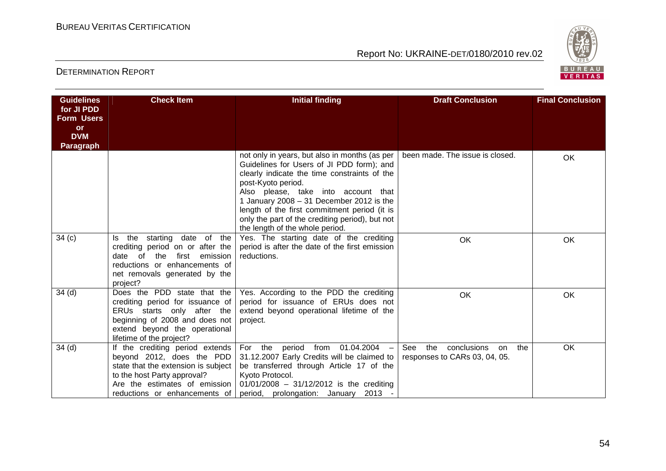

| <b>Guidelines</b>                                                       | <b>Check Item</b>                                                                                                                                                                                    | <b>Initial finding</b>                                                                                                                                                                                                                                                                                                                                                                      | <b>Draft Conclusion</b>                                        | <b>Final Conclusion</b> |
|-------------------------------------------------------------------------|------------------------------------------------------------------------------------------------------------------------------------------------------------------------------------------------------|---------------------------------------------------------------------------------------------------------------------------------------------------------------------------------------------------------------------------------------------------------------------------------------------------------------------------------------------------------------------------------------------|----------------------------------------------------------------|-------------------------|
| for JI PDD<br><b>Form Users</b><br><b>or</b><br><b>DVM</b><br>Paragraph |                                                                                                                                                                                                      |                                                                                                                                                                                                                                                                                                                                                                                             |                                                                |                         |
|                                                                         |                                                                                                                                                                                                      | not only in years, but also in months (as per<br>Guidelines for Users of JI PDD form); and<br>clearly indicate the time constraints of the<br>post-Kyoto period.<br>Also please, take into account that<br>1 January 2008 $-$ 31 December 2012 is the<br>length of the first commitment period (it is<br>only the part of the crediting period), but not<br>the length of the whole period. | been made. The issue is closed.                                | OK                      |
| 34(c)                                                                   | the starting date of the<br>ls.<br>crediting period on or after the<br>of<br>the<br>first<br>emission<br>date<br>reductions or enhancements of<br>net removals generated by the<br>project?          | Yes. The starting date of the crediting<br>period is after the date of the first emission<br>reductions.                                                                                                                                                                                                                                                                                    | OK                                                             | OK                      |
| 34 <sub>(d)</sub>                                                       | Does the PDD state that the<br>crediting period for issuance of<br>ERUs starts only after the<br>beginning of 2008 and does not<br>extend beyond the operational<br>lifetime of the project?         | Yes. According to the PDD the crediting<br>period for issuance of ERUs does not<br>extend beyond operational lifetime of the<br>project.                                                                                                                                                                                                                                                    | OK                                                             | <b>OK</b>               |
| 34(d)                                                                   | If the crediting period extends<br>beyond 2012, does the PDD<br>state that the extension is subject<br>to the host Party approval?<br>Are the estimates of emission<br>reductions or enhancements of | For the period from 01.04.2004<br>31.12.2007 Early Credits will be claimed to<br>be transferred through Article 17 of the<br>Kyoto Protocol.<br>$01/01/2008 - 31/12/2012$ is the crediting<br>period, prolongation: January 2013                                                                                                                                                            | See the conclusions on<br>the<br>responses to CARs 03, 04, 05. | OK                      |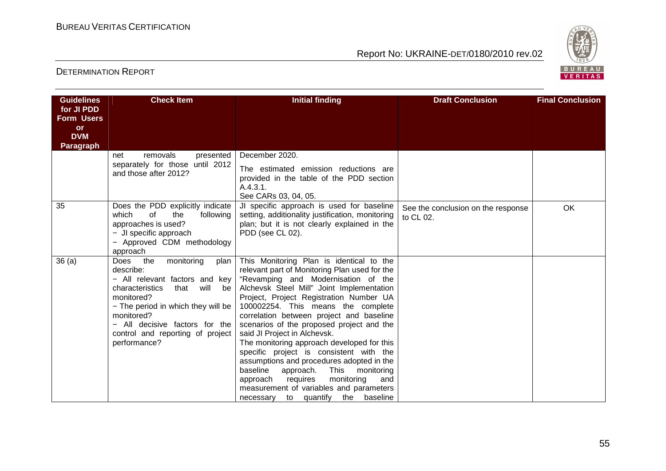

| <b>Guidelines</b>                                                              | <b>Check Item</b>                                                                                                                                                                                                                                                            | <b>Initial finding</b>                                                                                                                                                                                                                                                                                                                                                                                                                                                                                                                                                                                                                                                                                            | <b>Draft Conclusion</b>                         | <b>Final Conclusion</b> |
|--------------------------------------------------------------------------------|------------------------------------------------------------------------------------------------------------------------------------------------------------------------------------------------------------------------------------------------------------------------------|-------------------------------------------------------------------------------------------------------------------------------------------------------------------------------------------------------------------------------------------------------------------------------------------------------------------------------------------------------------------------------------------------------------------------------------------------------------------------------------------------------------------------------------------------------------------------------------------------------------------------------------------------------------------------------------------------------------------|-------------------------------------------------|-------------------------|
| for JI PDD<br><b>Form Users</b><br><b>or</b><br><b>DVM</b><br><b>Paragraph</b> |                                                                                                                                                                                                                                                                              |                                                                                                                                                                                                                                                                                                                                                                                                                                                                                                                                                                                                                                                                                                                   |                                                 |                         |
|                                                                                | removals<br>presented<br>net<br>separately for those until 2012<br>and those after 2012?                                                                                                                                                                                     | December 2020.<br>The estimated emission reductions are<br>provided in the table of the PDD section<br>A.4.3.1.<br>See CARs 03, 04, 05.                                                                                                                                                                                                                                                                                                                                                                                                                                                                                                                                                                           |                                                 |                         |
| 35                                                                             | Does the PDD explicitly indicate<br>which<br>of<br>following<br>the<br>approaches is used?<br>- JI specific approach<br>- Approved CDM methodology<br>approach                                                                                                               | JI specific approach is used for baseline<br>setting, additionality justification, monitoring<br>plan; but it is not clearly explained in the<br>PDD (see CL 02).                                                                                                                                                                                                                                                                                                                                                                                                                                                                                                                                                 | See the conclusion on the response<br>to CL 02. | OK                      |
| 36(a)                                                                          | Does the<br>monitoring<br>plan<br>describe:<br>- All relevant factors and key<br>will<br>characteristics<br>that<br>be<br>monitored?<br>- The period in which they will be<br>monitored?<br>All decisive factors for the<br>control and reporting of project<br>performance? | This Monitoring Plan is identical to the<br>relevant part of Monitoring Plan used for the<br>"Revamping and Modernisation of the<br>Alchevsk Steel Mill" Joint Implementation<br>Project, Project Registration Number UA<br>100002254. This means the complete<br>correlation between project and baseline<br>scenarios of the proposed project and the<br>said JI Project in Alchevsk.<br>The monitoring approach developed for this<br>specific project is consistent with the<br>assumptions and procedures adopted in the<br>baseline<br><b>This</b><br>monitoring<br>approach.<br>monitoring<br>approach<br>requires<br>and<br>measurement of variables and parameters<br>necessary to quantify the baseline |                                                 |                         |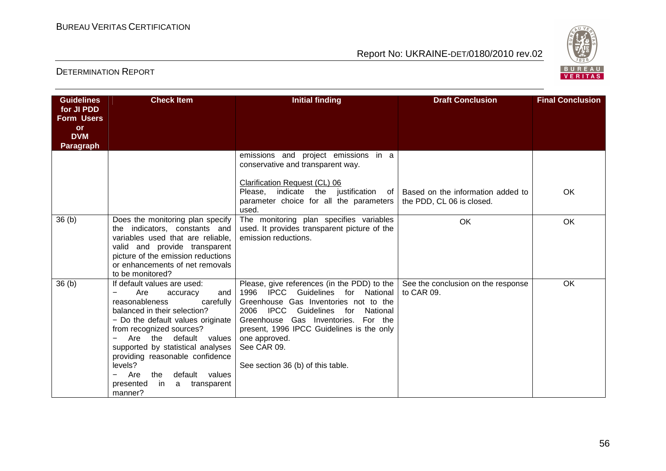

| <b>Guidelines</b>               | <b>Check Item</b>                                                                                                                                                                                                                                                                                                                                                                       | <b>Initial finding</b>                                                                                                                                                                                                                                                                                                              | <b>Draft Conclusion</b>                          | <b>Final Conclusion</b> |
|---------------------------------|-----------------------------------------------------------------------------------------------------------------------------------------------------------------------------------------------------------------------------------------------------------------------------------------------------------------------------------------------------------------------------------------|-------------------------------------------------------------------------------------------------------------------------------------------------------------------------------------------------------------------------------------------------------------------------------------------------------------------------------------|--------------------------------------------------|-------------------------|
| for JI PDD<br><b>Form Users</b> |                                                                                                                                                                                                                                                                                                                                                                                         |                                                                                                                                                                                                                                                                                                                                     |                                                  |                         |
| <b>or</b>                       |                                                                                                                                                                                                                                                                                                                                                                                         |                                                                                                                                                                                                                                                                                                                                     |                                                  |                         |
| <b>DVM</b>                      |                                                                                                                                                                                                                                                                                                                                                                                         |                                                                                                                                                                                                                                                                                                                                     |                                                  |                         |
| <b>Paragraph</b>                |                                                                                                                                                                                                                                                                                                                                                                                         |                                                                                                                                                                                                                                                                                                                                     |                                                  |                         |
|                                 |                                                                                                                                                                                                                                                                                                                                                                                         | emissions and project emissions in a<br>conservative and transparent way.                                                                                                                                                                                                                                                           |                                                  |                         |
|                                 |                                                                                                                                                                                                                                                                                                                                                                                         | Clarification Request (CL) 06<br>indicate<br>the<br>Please.<br>justification<br>of l<br>parameter choice for all the parameters                                                                                                                                                                                                     | Based on the information added to                | OK                      |
|                                 |                                                                                                                                                                                                                                                                                                                                                                                         | used.                                                                                                                                                                                                                                                                                                                               | the PDD, CL 06 is closed.                        |                         |
| 36(b)                           | Does the monitoring plan specify<br>the indicators, constants and<br>variables used that are reliable,<br>valid and provide transparent<br>picture of the emission reductions<br>or enhancements of net removals<br>to be monitored?                                                                                                                                                    | The monitoring plan specifies variables<br>used. It provides transparent picture of the<br>emission reductions.                                                                                                                                                                                                                     | OK                                               | OK                      |
| 36(b)                           | If default values are used:<br>Are<br>and<br>accuracy<br>reasonableness<br>carefully<br>balanced in their selection?<br>- Do the default values originate<br>from recognized sources?<br>Are the default<br>values<br>supported by statistical analyses<br>providing reasonable confidence<br>levels?<br>Are<br>default values<br>the<br>presented<br>in<br>transparent<br>a<br>manner? | Please, give references (in the PDD) to the<br>1996 IPCC<br>Guidelines for National<br>Greenhouse Gas Inventories not to the<br>2006 IPCC<br>Guidelines<br>for<br>National<br>Greenhouse Gas Inventories. For the<br>present, 1996 IPCC Guidelines is the only<br>one approved.<br>See CAR 09.<br>See section 36 (b) of this table. | See the conclusion on the response<br>to CAR 09. | OK                      |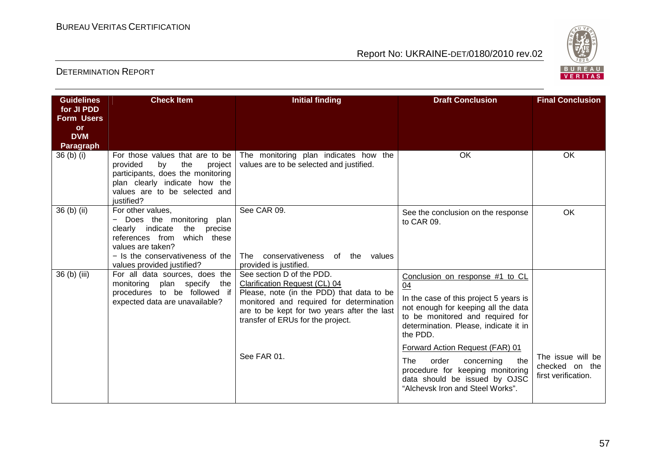

| <b>Guidelines</b>       | <b>Check Item</b>                                                                                                                                                                                         | <b>Initial finding</b>                                                                                                                                                                                                                                 | <b>Draft Conclusion</b>                                                                                                                                                                                                                                                                                                                                                                                 | <b>Final Conclusion</b>                                    |
|-------------------------|-----------------------------------------------------------------------------------------------------------------------------------------------------------------------------------------------------------|--------------------------------------------------------------------------------------------------------------------------------------------------------------------------------------------------------------------------------------------------------|---------------------------------------------------------------------------------------------------------------------------------------------------------------------------------------------------------------------------------------------------------------------------------------------------------------------------------------------------------------------------------------------------------|------------------------------------------------------------|
| for JI PDD              |                                                                                                                                                                                                           |                                                                                                                                                                                                                                                        |                                                                                                                                                                                                                                                                                                                                                                                                         |                                                            |
| <b>Form Users</b>       |                                                                                                                                                                                                           |                                                                                                                                                                                                                                                        |                                                                                                                                                                                                                                                                                                                                                                                                         |                                                            |
| <b>or</b><br><b>DVM</b> |                                                                                                                                                                                                           |                                                                                                                                                                                                                                                        |                                                                                                                                                                                                                                                                                                                                                                                                         |                                                            |
| Paragraph               |                                                                                                                                                                                                           |                                                                                                                                                                                                                                                        |                                                                                                                                                                                                                                                                                                                                                                                                         |                                                            |
| 36 (b) (i)              | For those values that are to be<br>provided<br>by<br>the<br>project<br>participants, does the monitoring<br>plan clearly indicate how the<br>values are to be selected and<br>justified?                  | The monitoring plan indicates how the<br>values are to be selected and justified.                                                                                                                                                                      | OK                                                                                                                                                                                                                                                                                                                                                                                                      | OK                                                         |
| 36 (b) (ii)             | For other values,<br>Does the monitoring plan<br>clearly indicate<br>the precise<br>references from<br>which these<br>values are taken?<br>- Is the conservativeness of the<br>values provided justified? | See CAR 09.<br>conservativeness of the values<br>The<br>provided is justified.                                                                                                                                                                         | See the conclusion on the response<br>to CAR 09.                                                                                                                                                                                                                                                                                                                                                        | OK                                                         |
| 36 (b) (iii)            | For all data sources, does the<br>plan specify<br>monitoring<br>the<br>procedures to be followed if<br>expected data are unavailable?                                                                     | See section D of the PDD.<br>Clarification Request (CL) 04<br>Please, note (in the PDD) that data to be<br>monitored and required for determination<br>are to be kept for two years after the last<br>transfer of ERUs for the project.<br>See FAR 01. | Conclusion on response #1 to CL<br>04<br>In the case of this project 5 years is<br>not enough for keeping all the data<br>to be monitored and required for<br>determination. Please, indicate it in<br>the PDD.<br>Forward Action Request (FAR) 01<br><b>The</b><br>order<br>concerning<br>the<br>procedure for keeping monitoring<br>data should be issued by OJSC<br>"Alchevsk Iron and Steel Works". | The issue will be<br>checked on the<br>first verification. |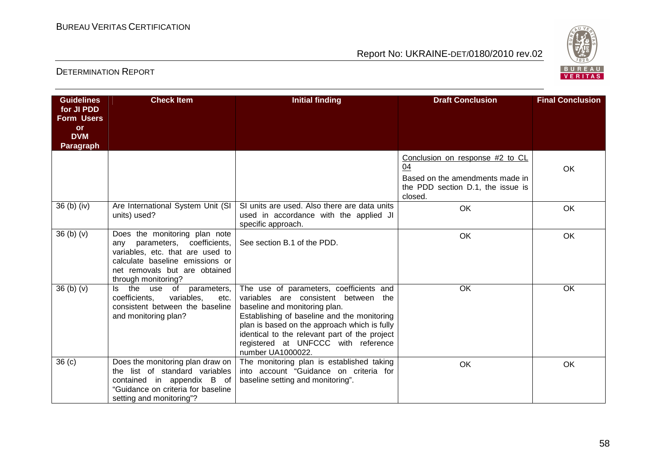

| <b>Guidelines</b>       | <b>Check Item</b>                                                                                                                                                                                   | <b>Initial finding</b>                                                                                                                                                                                                                                                                                                       | <b>Draft Conclusion</b>                                                         | <b>Final Conclusion</b> |
|-------------------------|-----------------------------------------------------------------------------------------------------------------------------------------------------------------------------------------------------|------------------------------------------------------------------------------------------------------------------------------------------------------------------------------------------------------------------------------------------------------------------------------------------------------------------------------|---------------------------------------------------------------------------------|-------------------------|
| for JI PDD              |                                                                                                                                                                                                     |                                                                                                                                                                                                                                                                                                                              |                                                                                 |                         |
| <b>Form Users</b>       |                                                                                                                                                                                                     |                                                                                                                                                                                                                                                                                                                              |                                                                                 |                         |
| <b>or</b><br><b>DVM</b> |                                                                                                                                                                                                     |                                                                                                                                                                                                                                                                                                                              |                                                                                 |                         |
| <b>Paragraph</b>        |                                                                                                                                                                                                     |                                                                                                                                                                                                                                                                                                                              |                                                                                 |                         |
|                         |                                                                                                                                                                                                     |                                                                                                                                                                                                                                                                                                                              | Conclusion on response #2 to CL                                                 |                         |
|                         |                                                                                                                                                                                                     |                                                                                                                                                                                                                                                                                                                              | 04                                                                              | OK                      |
|                         |                                                                                                                                                                                                     |                                                                                                                                                                                                                                                                                                                              | Based on the amendments made in<br>the PDD section D.1, the issue is<br>closed. |                         |
| 36 (b) (iv)             | Are International System Unit (SI<br>units) used?                                                                                                                                                   | SI units are used. Also there are data units<br>used in accordance with the applied JI<br>specific approach.                                                                                                                                                                                                                 | OK                                                                              | OK                      |
| 36(b)(v)                | Does the monitoring plan note<br>coefficients,<br>parameters,<br>anv<br>variables, etc. that are used to<br>calculate baseline emissions or<br>net removals but are obtained<br>through monitoring? | See section B.1 of the PDD.                                                                                                                                                                                                                                                                                                  | OK                                                                              | OK                      |
| 36(b)(v)                | the<br>of<br>use<br>parameters,<br>ls.<br>coefficients.<br>variables,<br>etc.<br>consistent between the baseline<br>and monitoring plan?                                                            | The use of parameters, coefficients and<br>variables are consistent between the<br>baseline and monitoring plan.<br>Establishing of baseline and the monitoring<br>plan is based on the approach which is fully<br>identical to the relevant part of the project<br>registered at UNFCCC with reference<br>number UA1000022. | OK                                                                              | OK                      |
| 36(c)                   | Does the monitoring plan draw on<br>the list of standard variables<br>contained in appendix B of<br>"Guidance on criteria for baseline<br>setting and monitoring"?                                  | The monitoring plan is established taking<br>into account "Guidance on criteria for<br>baseline setting and monitoring".                                                                                                                                                                                                     | OK                                                                              | OK                      |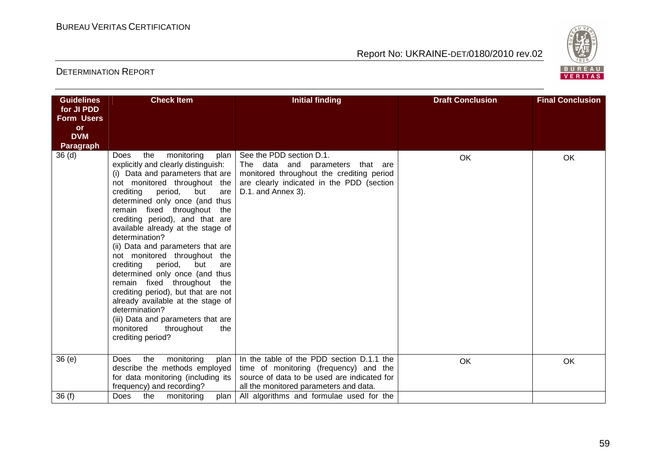

| <b>Guidelines</b>              | <b>Check Item</b>                                                                                                                                                                                                                                                                                                                                                                                                                                                                                                                                                                                                                                                                                                   | <b>Initial finding</b>                                                                                                                                                       | <b>Draft Conclusion</b> | <b>Final Conclusion</b> |
|--------------------------------|---------------------------------------------------------------------------------------------------------------------------------------------------------------------------------------------------------------------------------------------------------------------------------------------------------------------------------------------------------------------------------------------------------------------------------------------------------------------------------------------------------------------------------------------------------------------------------------------------------------------------------------------------------------------------------------------------------------------|------------------------------------------------------------------------------------------------------------------------------------------------------------------------------|-------------------------|-------------------------|
| for JI PDD                     |                                                                                                                                                                                                                                                                                                                                                                                                                                                                                                                                                                                                                                                                                                                     |                                                                                                                                                                              |                         |                         |
| <b>Form Users</b><br><b>or</b> |                                                                                                                                                                                                                                                                                                                                                                                                                                                                                                                                                                                                                                                                                                                     |                                                                                                                                                                              |                         |                         |
| <b>DVM</b>                     |                                                                                                                                                                                                                                                                                                                                                                                                                                                                                                                                                                                                                                                                                                                     |                                                                                                                                                                              |                         |                         |
| Paragraph                      |                                                                                                                                                                                                                                                                                                                                                                                                                                                                                                                                                                                                                                                                                                                     |                                                                                                                                                                              |                         |                         |
| 36 <sub>(d)</sub>              | monitoring<br>the<br>Does<br>plan  <br>explicitly and clearly distinguish:<br>(i) Data and parameters that are<br>not monitored throughout the<br>crediting period, but<br>are<br>determined only once (and thus<br>remain fixed throughout the<br>crediting period), and that are<br>available already at the stage of<br>determination?<br>(ii) Data and parameters that are<br>not monitored throughout the<br>crediting<br>period,<br>but<br>are<br>determined only once (and thus<br>remain fixed throughout<br>the<br>crediting period), but that are not<br>already available at the stage of<br>determination?<br>(iii) Data and parameters that are<br>monitored<br>throughout<br>the<br>crediting period? | See the PDD section D.1.<br>The data and parameters that are<br>monitored throughout the crediting period<br>are clearly indicated in the PDD (section<br>D.1. and Annex 3). | <b>OK</b>               | OK                      |
| 36(e)                          | monitoring<br>the<br>Does<br>plan<br>describe the methods employed<br>for data monitoring (including its<br>frequency) and recording?                                                                                                                                                                                                                                                                                                                                                                                                                                                                                                                                                                               | In the table of the PDD section D.1.1 the<br>time of monitoring (frequency) and the<br>source of data to be used are indicated for<br>all the monitored parameters and data. | OK                      | OK                      |
| 36(f)                          | monitoring<br><b>Does</b><br>the<br>plan I                                                                                                                                                                                                                                                                                                                                                                                                                                                                                                                                                                                                                                                                          | All algorithms and formulae used for the                                                                                                                                     |                         |                         |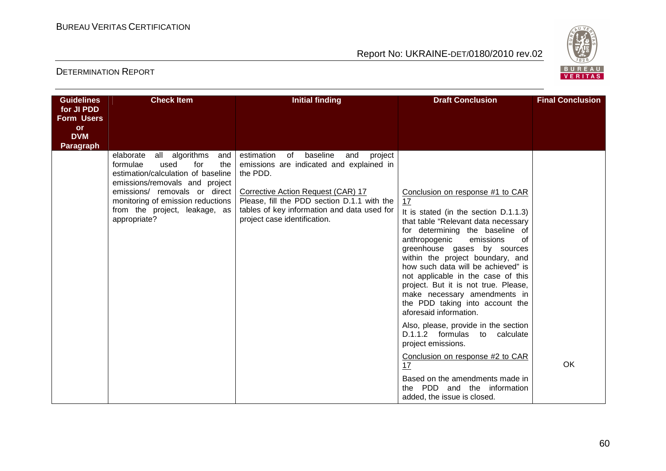

| <b>Guidelines</b>                                                       | <b>Check Item</b>                                                                                                                                                                                                                                                   | <b>Initial finding</b>                                                                                                                                                                                                                                                  | <b>Draft Conclusion</b>                                                                                                                                                                                                                                                                                                                                                                                                                                                                                                                                                                                                                                                                                                           | <b>Final Conclusion</b> |
|-------------------------------------------------------------------------|---------------------------------------------------------------------------------------------------------------------------------------------------------------------------------------------------------------------------------------------------------------------|-------------------------------------------------------------------------------------------------------------------------------------------------------------------------------------------------------------------------------------------------------------------------|-----------------------------------------------------------------------------------------------------------------------------------------------------------------------------------------------------------------------------------------------------------------------------------------------------------------------------------------------------------------------------------------------------------------------------------------------------------------------------------------------------------------------------------------------------------------------------------------------------------------------------------------------------------------------------------------------------------------------------------|-------------------------|
| for JI PDD<br><b>Form Users</b><br>or<br><b>DVM</b><br><b>Paragraph</b> |                                                                                                                                                                                                                                                                     |                                                                                                                                                                                                                                                                         |                                                                                                                                                                                                                                                                                                                                                                                                                                                                                                                                                                                                                                                                                                                                   |                         |
|                                                                         | all algorithms<br>elaborate<br>and<br>formulae<br>used<br>for<br>the<br>estimation/calculation of baseline<br>emissions/removals and project<br>emissions/ removals or direct<br>monitoring of emission reductions<br>from the project, leakage, as<br>appropriate? | of baseline<br>estimation<br>project<br>and<br>emissions are indicated and explained in<br>the PDD.<br>Corrective Action Request (CAR) 17<br>Please, fill the PDD section D.1.1 with the<br>tables of key information and data used for<br>project case identification. | Conclusion on response #1 to CAR<br>17<br>It is stated (in the section D.1.1.3)<br>that table "Relevant data necessary<br>for determining the baseline of<br>anthropogenic<br>emissions<br>0f<br>greenhouse gases by sources<br>within the project boundary, and<br>how such data will be achieved" is<br>not applicable in the case of this<br>project. But it is not true. Please,<br>make necessary amendments in<br>the PDD taking into account the<br>aforesaid information.<br>Also, please, provide in the section<br>D.1.1.2 formulas<br>to<br>calculate<br>project emissions.<br>Conclusion on response #2 to CAR<br>17<br>Based on the amendments made in<br>the PDD and the information<br>added, the issue is closed. | <b>OK</b>               |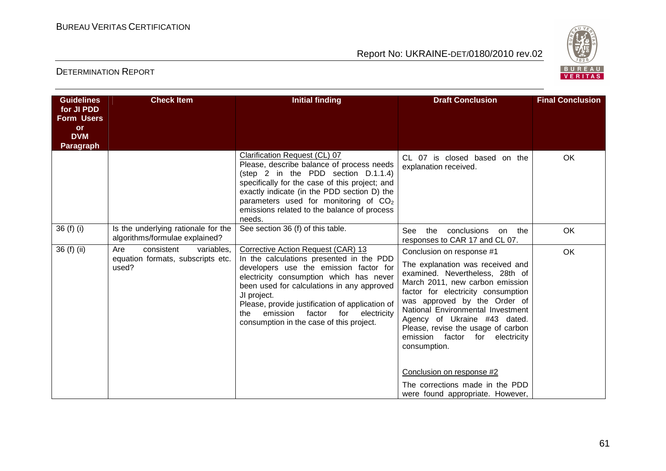

| <b>Guidelines</b>               | <b>Check Item</b>                                                             | <b>Initial finding</b>                                                                                                                                                                                                                                                                                                                                                             | <b>Draft Conclusion</b>                                                                                                                                                                                                                                                                                                                                                                                                                       | <b>Final Conclusion</b> |
|---------------------------------|-------------------------------------------------------------------------------|------------------------------------------------------------------------------------------------------------------------------------------------------------------------------------------------------------------------------------------------------------------------------------------------------------------------------------------------------------------------------------|-----------------------------------------------------------------------------------------------------------------------------------------------------------------------------------------------------------------------------------------------------------------------------------------------------------------------------------------------------------------------------------------------------------------------------------------------|-------------------------|
| for JI PDD<br><b>Form Users</b> |                                                                               |                                                                                                                                                                                                                                                                                                                                                                                    |                                                                                                                                                                                                                                                                                                                                                                                                                                               |                         |
| <b>or</b>                       |                                                                               |                                                                                                                                                                                                                                                                                                                                                                                    |                                                                                                                                                                                                                                                                                                                                                                                                                                               |                         |
| <b>DVM</b><br><b>Paragraph</b>  |                                                                               |                                                                                                                                                                                                                                                                                                                                                                                    |                                                                                                                                                                                                                                                                                                                                                                                                                                               |                         |
|                                 |                                                                               | Clarification Request (CL) 07<br>Please, describe balance of process needs<br>(step 2 in the PDD section D.1.1.4)<br>specifically for the case of this project; and<br>exactly indicate (in the PDD section D) the<br>parameters used for monitoring of CO <sub>2</sub><br>emissions related to the balance of process<br>needs.                                                   | CL 07 is closed based on the<br>explanation received.                                                                                                                                                                                                                                                                                                                                                                                         | OK                      |
| 36 (f) (i)                      | Is the underlying rationale for the<br>algorithms/formulae explained?         | See section 36 (f) of this table.                                                                                                                                                                                                                                                                                                                                                  | See<br>conclusions<br>the<br>on the<br>responses to CAR 17 and CL 07.                                                                                                                                                                                                                                                                                                                                                                         | OK                      |
| 36 (f) (ii)                     | Are<br>consistent<br>variables,<br>equation formats, subscripts etc.<br>used? | Corrective Action Request (CAR) 13<br>In the calculations presented in the PDD<br>developers use the emission factor for<br>electricity consumption which has never<br>been used for calculations in any approved<br>JI project.<br>Please, provide justification of application of<br>factor<br>for<br>emission<br>electricity<br>the<br>consumption in the case of this project. | Conclusion on response #1<br>The explanation was received and<br>examined. Nevertheless, 28th of<br>March 2011, new carbon emission<br>factor for electricity consumption<br>was approved by the Order of<br>National Environmental Investment<br>Agency of Ukraine #43 dated.<br>Please, revise the usage of carbon<br>emission factor<br>for<br>electricity<br>consumption.<br>Conclusion on response #2<br>The corrections made in the PDD | OK                      |
|                                 |                                                                               |                                                                                                                                                                                                                                                                                                                                                                                    | were found appropriate. However,                                                                                                                                                                                                                                                                                                                                                                                                              |                         |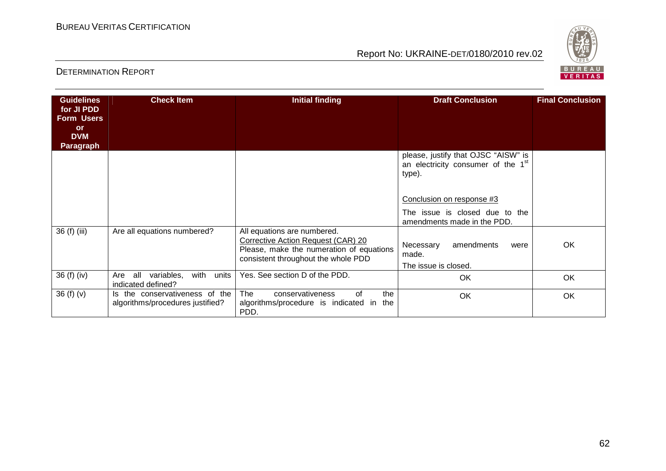

| <b>Guidelines</b><br>for JI PDD<br><b>Form Users</b><br><b>or</b><br><b>DVM</b><br>Paragraph | <b>Check Item</b>                                                  | <b>Initial finding</b>                                                                                                                               | <b>Draft Conclusion</b>                                                                                                                                                                       | <b>Final Conclusion</b> |
|----------------------------------------------------------------------------------------------|--------------------------------------------------------------------|------------------------------------------------------------------------------------------------------------------------------------------------------|-----------------------------------------------------------------------------------------------------------------------------------------------------------------------------------------------|-------------------------|
|                                                                                              |                                                                    |                                                                                                                                                      | please, justify that OJSC "AISW" is<br>an electricity consumer of the 1 <sup>st</sup><br>type).<br>Conclusion on response #3<br>The issue is closed due to the<br>amendments made in the PDD. |                         |
| 36 (f) (iii)                                                                                 | Are all equations numbered?                                        | All equations are numbered.<br>Corrective Action Request (CAR) 20<br>Please, make the numeration of equations<br>consistent throughout the whole PDD | Necessary<br>amendments<br>were<br>made.<br>The issue is closed.                                                                                                                              | OK                      |
| 36(f)(iv)                                                                                    | with<br>variables,<br>Are<br>all<br>units<br>indicated defined?    | Yes. See section D of the PDD.                                                                                                                       | <b>OK</b>                                                                                                                                                                                     | OK                      |
| 36(f)(v)                                                                                     | Is the conservativeness of the<br>algorithms/procedures justified? | The<br>the<br>of<br>conservativeness<br>algorithms/procedure is indicated in<br>the<br>PDD.                                                          | OK                                                                                                                                                                                            | <b>OK</b>               |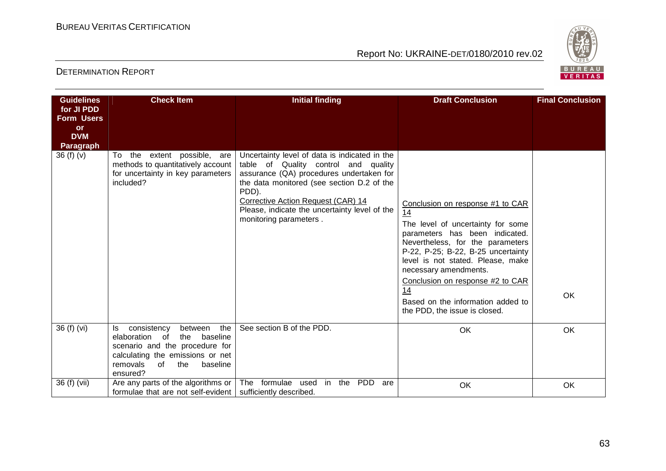

| <b>Guidelines</b>               | <b>Check Item</b>                                                                                                                                                                                | <b>Initial finding</b>                                                                                                                                                                                                                                                                                    | <b>Draft Conclusion</b>                                                                                                                                                                                                                                                                                                                                               | <b>Final Conclusion</b> |
|---------------------------------|--------------------------------------------------------------------------------------------------------------------------------------------------------------------------------------------------|-----------------------------------------------------------------------------------------------------------------------------------------------------------------------------------------------------------------------------------------------------------------------------------------------------------|-----------------------------------------------------------------------------------------------------------------------------------------------------------------------------------------------------------------------------------------------------------------------------------------------------------------------------------------------------------------------|-------------------------|
| for JI PDD<br><b>Form Users</b> |                                                                                                                                                                                                  |                                                                                                                                                                                                                                                                                                           |                                                                                                                                                                                                                                                                                                                                                                       |                         |
| <b>or</b><br><b>DVM</b>         |                                                                                                                                                                                                  |                                                                                                                                                                                                                                                                                                           |                                                                                                                                                                                                                                                                                                                                                                       |                         |
| <b>Paragraph</b>                |                                                                                                                                                                                                  |                                                                                                                                                                                                                                                                                                           |                                                                                                                                                                                                                                                                                                                                                                       |                         |
| 36 (f) (v)                      | the extent possible, are<br>To<br>methods to quantitatively account<br>for uncertainty in key parameters<br>included?                                                                            | Uncertainty level of data is indicated in the<br>table of Quality control and quality<br>assurance (QA) procedures undertaken for<br>the data monitored (see section D.2 of the<br>PDD).<br>Corrective Action Request (CAR) 14<br>Please, indicate the uncertainty level of the<br>monitoring parameters. | Conclusion on response #1 to CAR<br>14<br>The level of uncertainty for some<br>parameters has been indicated.<br>Nevertheless, for the parameters<br>P-22, P-25; B-22, B-25 uncertainty<br>level is not stated. Please, make<br>necessary amendments.<br>Conclusion on response #2 to CAR<br>14<br>Based on the information added to<br>the PDD, the issue is closed. | <b>OK</b>               |
| 36 (f) (vi)                     | consistency<br>the<br>between<br>ls.<br>elaboration of<br>the<br>baseline<br>scenario and the procedure for<br>calculating the emissions or net<br>removals<br>of<br>the<br>baseline<br>ensured? | See section B of the PDD.                                                                                                                                                                                                                                                                                 | OK                                                                                                                                                                                                                                                                                                                                                                    | OK                      |
| 36 (f) (vii)                    | Are any parts of the algorithms or<br>formulae that are not self-evident                                                                                                                         | The formulae used in the PDD<br>are<br>sufficiently described.                                                                                                                                                                                                                                            | OK                                                                                                                                                                                                                                                                                                                                                                    | <b>OK</b>               |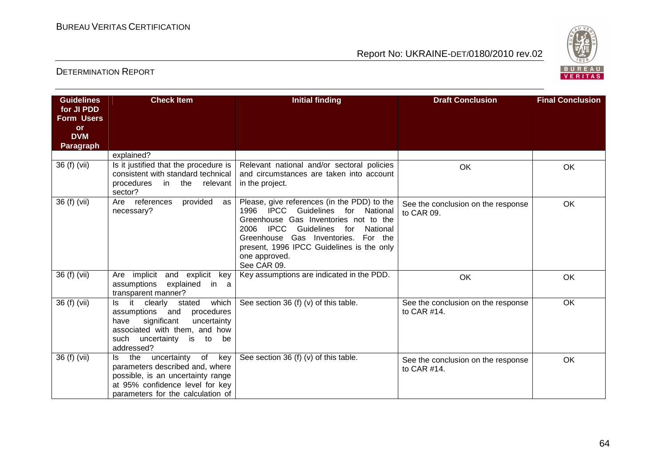

| <b>Guidelines</b>               | <b>Check Item</b>                                                                                                                                                                          | <b>Initial finding</b>                                                                                                    | <b>Draft Conclusion</b>                              | <b>Final Conclusion</b> |
|---------------------------------|--------------------------------------------------------------------------------------------------------------------------------------------------------------------------------------------|---------------------------------------------------------------------------------------------------------------------------|------------------------------------------------------|-------------------------|
| for JI PDD<br><b>Form Users</b> |                                                                                                                                                                                            |                                                                                                                           |                                                      |                         |
| <b>or</b>                       |                                                                                                                                                                                            |                                                                                                                           |                                                      |                         |
| <b>DVM</b>                      |                                                                                                                                                                                            |                                                                                                                           |                                                      |                         |
| <b>Paragraph</b>                |                                                                                                                                                                                            |                                                                                                                           |                                                      |                         |
|                                 | explained?                                                                                                                                                                                 |                                                                                                                           |                                                      |                         |
| 36 (f) (vii)                    | Is it justified that the procedure is<br>consistent with standard technical                                                                                                                | Relevant national and/or sectoral policies<br>and circumstances are taken into account                                    | OK                                                   | OK                      |
|                                 | in the<br>procedures<br>relevant<br>sector?                                                                                                                                                | in the project.                                                                                                           |                                                      |                         |
| 36 (f) (vii)                    | provided<br>Are references<br>as<br>necessary?                                                                                                                                             | Please, give references (in the PDD) to the<br>1996 IPCC Guidelines for National<br>Greenhouse Gas Inventories not to the | See the conclusion on the response<br>to CAR 09.     | OK                      |
|                                 |                                                                                                                                                                                            | <b>IPCC</b><br>Guidelines<br>2006<br>for<br>National<br>Greenhouse Gas Inventories. For the                               |                                                      |                         |
|                                 |                                                                                                                                                                                            | present, 1996 IPCC Guidelines is the only                                                                                 |                                                      |                         |
|                                 |                                                                                                                                                                                            | one approved.<br>See CAR 09.                                                                                              |                                                      |                         |
| 36 (f) (vii)                    | implicit and explicit<br>Are<br>key<br>explained<br>assumptions<br>in a<br>transparent manner?                                                                                             | Key assumptions are indicated in the PDD.                                                                                 | OK                                                   | <b>OK</b>               |
| 36 (f) (vii)                    | which<br>stated<br>it clearly<br>ls.<br>assumptions and<br>procedures<br>significant<br>uncertainty<br>have<br>associated with them, and how<br>such uncertainty is to<br>be<br>addressed? | See section 36 (f) (v) of this table.                                                                                     | See the conclusion on the response<br>to CAR $#14$ . | OK                      |
| 36 (f) (vii)                    | the<br>uncertainty of key<br>ls.<br>parameters described and, where<br>possible, is an uncertainty range<br>at 95% confidence level for key<br>parameters for the calculation of           | See section 36 (f) (v) of this table.                                                                                     | See the conclusion on the response<br>to CAR #14.    | <b>OK</b>               |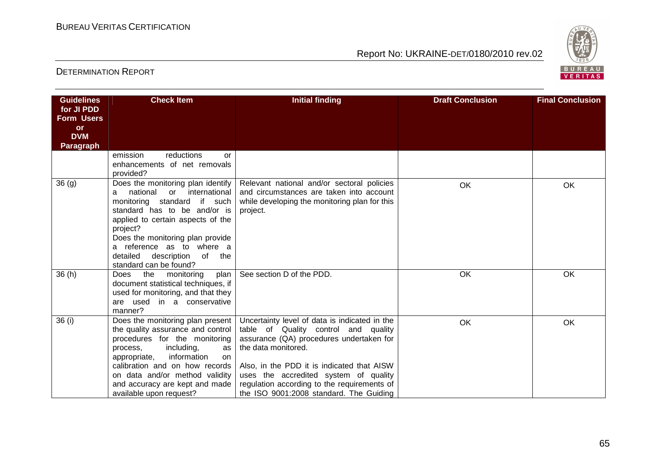

| <b>Guidelines</b><br>for JI PDD<br><b>Form Users</b> | <b>Check Item</b>                                                                                                                                                                                                                                                                                                         | <b>Initial finding</b>                                                                                                                                                                                                                                                                                                                    | <b>Draft Conclusion</b> | <b>Final Conclusion</b> |
|------------------------------------------------------|---------------------------------------------------------------------------------------------------------------------------------------------------------------------------------------------------------------------------------------------------------------------------------------------------------------------------|-------------------------------------------------------------------------------------------------------------------------------------------------------------------------------------------------------------------------------------------------------------------------------------------------------------------------------------------|-------------------------|-------------------------|
| or<br><b>DVM</b><br><b>Paragraph</b>                 |                                                                                                                                                                                                                                                                                                                           |                                                                                                                                                                                                                                                                                                                                           |                         |                         |
|                                                      | emission<br>reductions<br>Ωr<br>enhancements of net removals<br>provided?                                                                                                                                                                                                                                                 |                                                                                                                                                                                                                                                                                                                                           |                         |                         |
| 36(9)                                                | Does the monitoring plan identify<br>national<br>international<br>or<br>a<br>monitoring standard if such<br>standard has to be and/or is<br>applied to certain aspects of the<br>project?<br>Does the monitoring plan provide<br>a reference as to where a<br>detailed<br>description<br>of the<br>standard can be found? | Relevant national and/or sectoral policies<br>and circumstances are taken into account<br>while developing the monitoring plan for this<br>project.                                                                                                                                                                                       | OK                      | OK                      |
| 36(h)                                                | the<br>monitoring<br>plan  <br>Does<br>document statistical techniques, if<br>used for monitoring, and that they<br>are used in a conservative<br>manner?                                                                                                                                                                 | See section D of the PDD.                                                                                                                                                                                                                                                                                                                 | OK                      | OK                      |
| 36(i)                                                | Does the monitoring plan present  <br>the quality assurance and control<br>procedures for the monitoring<br>including,<br>process,<br>as<br>information<br>appropriate,<br>on<br>calibration and on how records<br>on data and/or method validity<br>and accuracy are kept and made<br>available upon request?            | Uncertainty level of data is indicated in the<br>table of Quality control and quality<br>assurance (QA) procedures undertaken for<br>the data monitored.<br>Also, in the PDD it is indicated that AISW<br>uses the accredited system of quality<br>regulation according to the requirements of<br>the ISO 9001:2008 standard. The Guiding | OK                      | OK                      |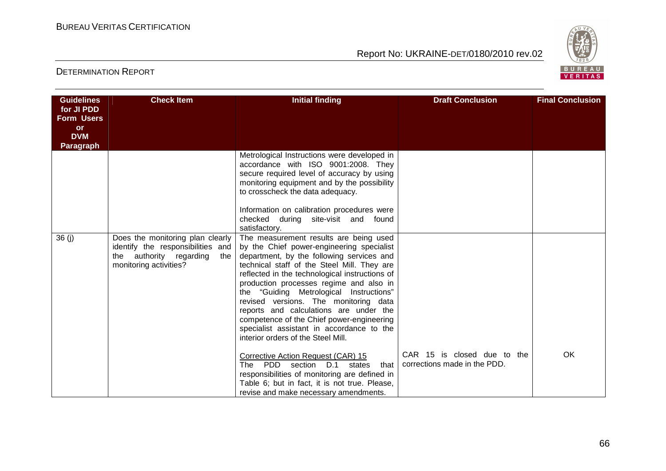

| <b>Guidelines</b>               | <b>Check Item</b>                                        | <b>Initial finding</b>                                                                         | <b>Draft Conclusion</b>      | <b>Final Conclusion</b> |
|---------------------------------|----------------------------------------------------------|------------------------------------------------------------------------------------------------|------------------------------|-------------------------|
| for JI PDD<br><b>Form Users</b> |                                                          |                                                                                                |                              |                         |
| or                              |                                                          |                                                                                                |                              |                         |
| <b>DVM</b>                      |                                                          |                                                                                                |                              |                         |
| Paragraph                       |                                                          |                                                                                                |                              |                         |
|                                 |                                                          | Metrological Instructions were developed in<br>accordance with ISO 9001:2008. They             |                              |                         |
|                                 |                                                          | secure required level of accuracy by using                                                     |                              |                         |
|                                 |                                                          | monitoring equipment and by the possibility                                                    |                              |                         |
|                                 |                                                          | to crosscheck the data adequacy.                                                               |                              |                         |
|                                 |                                                          |                                                                                                |                              |                         |
|                                 |                                                          | Information on calibration procedures were<br>checked during site-visit and found              |                              |                         |
|                                 |                                                          | satisfactory.                                                                                  |                              |                         |
| 36(j)                           | Does the monitoring plan clearly                         | The measurement results are being used                                                         |                              |                         |
|                                 | identify the responsibilities and                        | by the Chief power-engineering specialist                                                      |                              |                         |
|                                 | the authority regarding<br>the<br>monitoring activities? | department, by the following services and<br>technical staff of the Steel Mill. They are       |                              |                         |
|                                 |                                                          | reflected in the technological instructions of                                                 |                              |                         |
|                                 |                                                          | production processes regime and also in                                                        |                              |                         |
|                                 |                                                          | the "Guiding Metrological Instructions"                                                        |                              |                         |
|                                 |                                                          | revised versions. The monitoring data                                                          |                              |                         |
|                                 |                                                          | reports and calculations are under the                                                         |                              |                         |
|                                 |                                                          | competence of the Chief power-engineering<br>specialist assistant in accordance to the         |                              |                         |
|                                 |                                                          | interior orders of the Steel Mill.                                                             |                              |                         |
|                                 |                                                          |                                                                                                |                              |                         |
|                                 |                                                          | Corrective Action Request (CAR) 15                                                             | CAR 15 is closed due to the  | OK                      |
|                                 |                                                          | The PDD section D.1<br>that<br>states                                                          | corrections made in the PDD. |                         |
|                                 |                                                          | responsibilities of monitoring are defined in<br>Table 6; but in fact, it is not true. Please, |                              |                         |
|                                 |                                                          | revise and make necessary amendments.                                                          |                              |                         |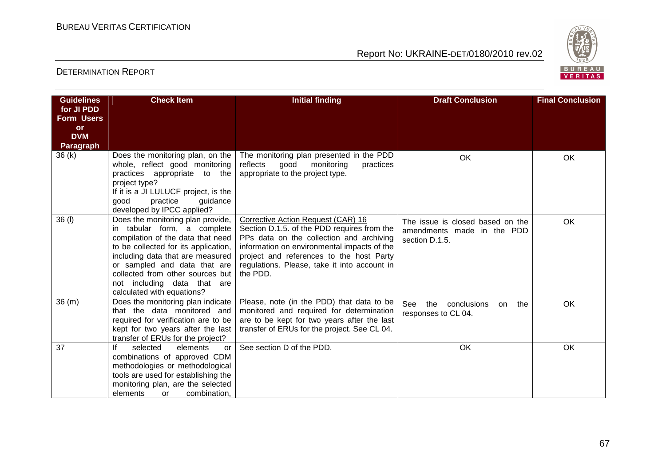

| <b>Guidelines</b>              | <b>Check Item</b>                                                                                                                                                                                                                                                                                                  | <b>Initial finding</b>                                                                                                                                                                                                                                                               | <b>Draft Conclusion</b>                                                          | <b>Final Conclusion</b> |
|--------------------------------|--------------------------------------------------------------------------------------------------------------------------------------------------------------------------------------------------------------------------------------------------------------------------------------------------------------------|--------------------------------------------------------------------------------------------------------------------------------------------------------------------------------------------------------------------------------------------------------------------------------------|----------------------------------------------------------------------------------|-------------------------|
| for JI PDD                     |                                                                                                                                                                                                                                                                                                                    |                                                                                                                                                                                                                                                                                      |                                                                                  |                         |
| <b>Form Users</b><br><b>or</b> |                                                                                                                                                                                                                                                                                                                    |                                                                                                                                                                                                                                                                                      |                                                                                  |                         |
| <b>DVM</b>                     |                                                                                                                                                                                                                                                                                                                    |                                                                                                                                                                                                                                                                                      |                                                                                  |                         |
| <b>Paragraph</b>               |                                                                                                                                                                                                                                                                                                                    |                                                                                                                                                                                                                                                                                      |                                                                                  |                         |
| 36(k)                          | Does the monitoring plan, on the<br>whole, reflect good monitoring<br>practices appropriate to the<br>project type?<br>If it is a JI LULUCF project, is the<br>good<br>practice<br>guidance<br>developed by IPCC applied?                                                                                          | The monitoring plan presented in the PDD<br>good<br>reflects<br>monitoring<br>practices<br>appropriate to the project type.                                                                                                                                                          | OK                                                                               | OK                      |
| 36 (I)                         | Does the monitoring plan provide,<br>in tabular form, a complete<br>compilation of the data that need<br>to be collected for its application,<br>including data that are measured<br>or sampled and data that are<br>collected from other sources but<br>not including data that are<br>calculated with equations? | Corrective Action Request (CAR) 16<br>Section D.1.5. of the PDD requires from the<br>PPs data on the collection and archiving<br>information on environmental impacts of the<br>project and references to the host Party<br>regulations. Please, take it into account in<br>the PDD. | The issue is closed based on the<br>amendments made in the PDD<br>section D.1.5. | OK                      |
| 36(m)                          | Does the monitoring plan indicate<br>that the data monitored and<br>required for verification are to be<br>kept for two years after the last<br>transfer of ERUs for the project?                                                                                                                                  | Please, note (in the PDD) that data to be<br>monitored and required for determination<br>are to be kept for two years after the last<br>transfer of ERUs for the project. See CL 04.                                                                                                 | See<br>conclusions<br>the<br>the<br>on.<br>responses to CL 04.                   | OK                      |
| 37                             | lf<br>selected<br>elements<br>or<br>combinations of approved CDM<br>methodologies or methodological<br>tools are used for establishing the<br>monitoring plan, are the selected<br>combination,<br>elements<br>or                                                                                                  | See section D of the PDD.                                                                                                                                                                                                                                                            | OK                                                                               | OK                      |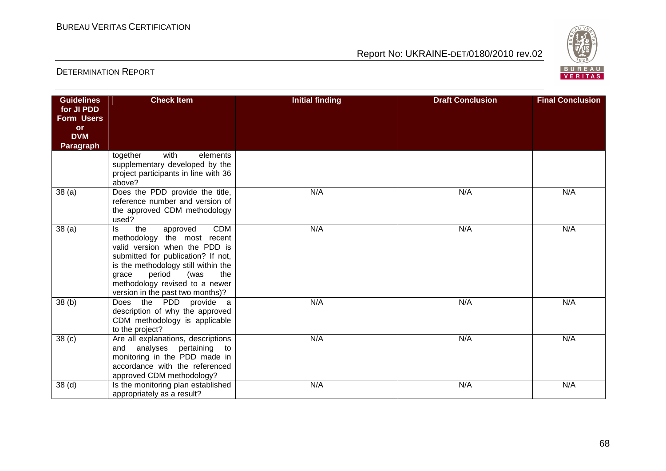

| <b>Guidelines</b> | <b>Check Item</b>                                                         | <b>Initial finding</b> | <b>Draft Conclusion</b> | <b>Final Conclusion</b> |
|-------------------|---------------------------------------------------------------------------|------------------------|-------------------------|-------------------------|
| for JI PDD        |                                                                           |                        |                         |                         |
| <b>Form Users</b> |                                                                           |                        |                         |                         |
| <b>or</b>         |                                                                           |                        |                         |                         |
| <b>DVM</b>        |                                                                           |                        |                         |                         |
| Paragraph         |                                                                           |                        |                         |                         |
|                   | together<br>with<br>elements                                              |                        |                         |                         |
|                   | supplementary developed by the                                            |                        |                         |                         |
|                   | project participants in line with 36<br>above?                            |                        |                         |                         |
| 38(a)             | Does the PDD provide the title,                                           | N/A                    | N/A                     | N/A                     |
|                   | reference number and version of                                           |                        |                         |                         |
|                   | the approved CDM methodology                                              |                        |                         |                         |
|                   | used?                                                                     |                        |                         |                         |
| 38 <sub>(a)</sub> | <b>CDM</b><br>the<br>approved<br>ls.                                      | N/A                    | N/A                     | N/A                     |
|                   | methodology the most recent                                               |                        |                         |                         |
|                   | valid version when the PDD is                                             |                        |                         |                         |
|                   | submitted for publication? If not,<br>is the methodology still within the |                        |                         |                         |
|                   | period<br>(was<br>the<br>grace                                            |                        |                         |                         |
|                   | methodology revised to a newer                                            |                        |                         |                         |
|                   | version in the past two months)?                                          |                        |                         |                         |
| 38(b)             | Does the PDD provide a                                                    | N/A                    | N/A                     | N/A                     |
|                   | description of why the approved                                           |                        |                         |                         |
|                   | CDM methodology is applicable                                             |                        |                         |                         |
|                   | to the project?                                                           |                        |                         |                         |
| 38 <sub>(c)</sub> | Are all explanations, descriptions                                        | N/A                    | N/A                     | N/A                     |
|                   | and analyses pertaining to                                                |                        |                         |                         |
|                   | monitoring in the PDD made in                                             |                        |                         |                         |
|                   | accordance with the referenced                                            |                        |                         |                         |
|                   | approved CDM methodology?                                                 |                        |                         |                         |
| 38 <sub>(d)</sub> | Is the monitoring plan established                                        | N/A                    | N/A                     | N/A                     |
|                   | appropriately as a result?                                                |                        |                         |                         |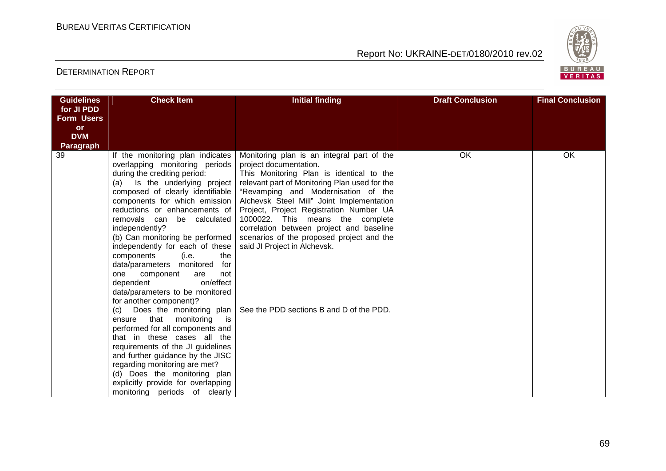

| <b>Guidelines</b> | <b>Check Item</b>                                                | <b>Initial finding</b>                                                                    | <b>Draft Conclusion</b> | <b>Final Conclusion</b> |
|-------------------|------------------------------------------------------------------|-------------------------------------------------------------------------------------------|-------------------------|-------------------------|
| for JI PDD        |                                                                  |                                                                                           |                         |                         |
| <b>Form Users</b> |                                                                  |                                                                                           |                         |                         |
| <b>or</b>         |                                                                  |                                                                                           |                         |                         |
| <b>DVM</b>        |                                                                  |                                                                                           |                         |                         |
| <b>Paragraph</b>  |                                                                  |                                                                                           |                         |                         |
| 39                | If the monitoring plan indicates                                 | Monitoring plan is an integral part of the                                                | OK                      | OK                      |
|                   | overlapping monitoring periods                                   | project documentation.                                                                    |                         |                         |
|                   | during the crediting period:<br>Is the underlying project<br>(a) | This Monitoring Plan is identical to the<br>relevant part of Monitoring Plan used for the |                         |                         |
|                   | composed of clearly identifiable                                 | "Revamping and Modernisation of the                                                       |                         |                         |
|                   | components for which emission                                    | Alchevsk Steel Mill" Joint Implementation                                                 |                         |                         |
|                   | reductions or enhancements of                                    | Project, Project Registration Number UA                                                   |                         |                         |
|                   | removals can be calculated                                       | 1000022. This means the complete                                                          |                         |                         |
|                   | independently?                                                   | correlation between project and baseline                                                  |                         |                         |
|                   | (b) Can monitoring be performed                                  | scenarios of the proposed project and the                                                 |                         |                         |
|                   | independently for each of these                                  | said JI Project in Alchevsk.                                                              |                         |                         |
|                   | the<br>components<br>(i.e.                                       |                                                                                           |                         |                         |
|                   | data/parameters monitored<br>for                                 |                                                                                           |                         |                         |
|                   | one<br>component<br>not<br>are                                   |                                                                                           |                         |                         |
|                   | on/effect<br>dependent                                           |                                                                                           |                         |                         |
|                   | data/parameters to be monitored                                  |                                                                                           |                         |                         |
|                   | for another component)?<br>Does the monitoring plan<br>(c)       | See the PDD sections B and D of the PDD.                                                  |                         |                         |
|                   | ensure that monitoring<br>is is                                  |                                                                                           |                         |                         |
|                   | performed for all components and                                 |                                                                                           |                         |                         |
|                   | that in these cases all the                                      |                                                                                           |                         |                         |
|                   | requirements of the JI guidelines                                |                                                                                           |                         |                         |
|                   | and further guidance by the JISC                                 |                                                                                           |                         |                         |
|                   | regarding monitoring are met?                                    |                                                                                           |                         |                         |
|                   | (d) Does the monitoring plan                                     |                                                                                           |                         |                         |
|                   | explicitly provide for overlapping                               |                                                                                           |                         |                         |
|                   | monitoring periods of clearly                                    |                                                                                           |                         |                         |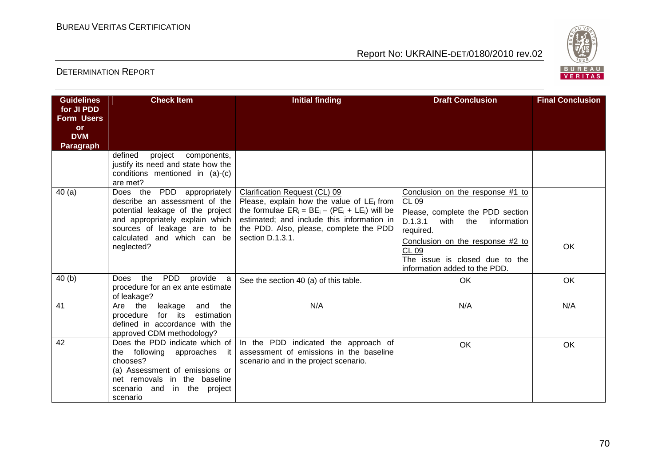

| <b>Guidelines</b><br>for JI PDD<br><b>Form Users</b><br><b>or</b><br><b>DVM</b><br><b>Paragraph</b> | <b>Check Item</b>                                                                                                                                                                                               | <b>Initial finding</b>                                                                                                                                                                                                                                  | <b>Draft Conclusion</b>                                                                                                                                                                                                                              | <b>Final Conclusion</b> |
|-----------------------------------------------------------------------------------------------------|-----------------------------------------------------------------------------------------------------------------------------------------------------------------------------------------------------------------|---------------------------------------------------------------------------------------------------------------------------------------------------------------------------------------------------------------------------------------------------------|------------------------------------------------------------------------------------------------------------------------------------------------------------------------------------------------------------------------------------------------------|-------------------------|
|                                                                                                     | defined<br>project<br>components,<br>justify its need and state how the<br>conditions mentioned in (a)-(c)<br>are met?                                                                                          |                                                                                                                                                                                                                                                         |                                                                                                                                                                                                                                                      |                         |
| 40(a)                                                                                               | Does the PDD appropriately<br>describe an assessment of the<br>potential leakage of the project<br>and appropriately explain which<br>sources of leakage are to be<br>calculated and which can be<br>neglected? | <b>Clarification Request (CL) 09</b><br>Please, explain how the value of $LE_i$ from<br>the formulae $ER_i = BE_i - (PE_i + LE_i)$ will be<br>estimated; and include this information in<br>the PDD. Also, please, complete the PDD<br>section D.1.3.1. | Conclusion on the response #1 to<br>CL 09<br>Please, complete the PDD section<br>D.1.3.1<br>with the information<br>required.<br>Conclusion on the response #2 to<br><b>CL 09</b><br>The issue is closed due to the<br>information added to the PDD. | OK                      |
| 40(b)                                                                                               | <b>PDD</b><br>the<br>provide a<br>Does<br>procedure for an ex ante estimate<br>of leakage?                                                                                                                      | See the section 40 (a) of this table.                                                                                                                                                                                                                   | <b>OK</b>                                                                                                                                                                                                                                            | OK                      |
| 41                                                                                                  | and<br>the<br>Are the<br>leakage<br>procedure<br>for its<br>estimation<br>defined in accordance with the<br>approved CDM methodology?                                                                           | N/A                                                                                                                                                                                                                                                     | N/A                                                                                                                                                                                                                                                  | N/A                     |
| 42                                                                                                  | Does the PDD indicate which of  <br>the following approaches it<br>chooses?<br>(a) Assessment of emissions or<br>net removals in the baseline<br>scenario and in the project<br>scenario                        | In the PDD indicated the approach of<br>assessment of emissions in the baseline<br>scenario and in the project scenario.                                                                                                                                | OK                                                                                                                                                                                                                                                   | <b>OK</b>               |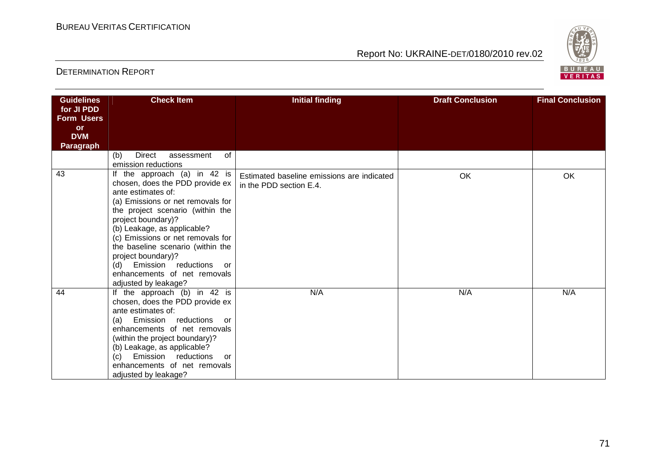

| <b>Guidelines</b>       | <b>Check Item</b>                                     | <b>Initial finding</b>                     | <b>Draft Conclusion</b> | <b>Final Conclusion</b> |
|-------------------------|-------------------------------------------------------|--------------------------------------------|-------------------------|-------------------------|
| for JI PDD              |                                                       |                                            |                         |                         |
| <b>Form Users</b>       |                                                       |                                            |                         |                         |
| <b>or</b><br><b>DVM</b> |                                                       |                                            |                         |                         |
| <b>Paragraph</b>        |                                                       |                                            |                         |                         |
|                         | 0f<br><b>Direct</b><br>(b)<br>assessment              |                                            |                         |                         |
|                         | emission reductions                                   |                                            |                         |                         |
| 43                      | If the approach (a) in 42 is                          | Estimated baseline emissions are indicated | OK                      | OK                      |
|                         | chosen, does the PDD provide ex                       | in the PDD section E.4.                    |                         |                         |
|                         | ante estimates of:                                    |                                            |                         |                         |
|                         | (a) Emissions or net removals for                     |                                            |                         |                         |
|                         | the project scenario (within the                      |                                            |                         |                         |
|                         | project boundary)?<br>(b) Leakage, as applicable?     |                                            |                         |                         |
|                         | (c) Emissions or net removals for                     |                                            |                         |                         |
|                         | the baseline scenario (within the                     |                                            |                         |                         |
|                         | project boundary)?                                    |                                            |                         |                         |
|                         | Emission reductions<br>(d)<br>or                      |                                            |                         |                         |
|                         | enhancements of net removals                          |                                            |                         |                         |
|                         | adjusted by leakage?                                  |                                            |                         |                         |
| 44                      | If the approach (b) in 42 is                          | N/A                                        | N/A                     | N/A                     |
|                         | chosen, does the PDD provide ex<br>ante estimates of: |                                            |                         |                         |
|                         | (a) Emission reductions<br>or                         |                                            |                         |                         |
|                         | enhancements of net removals                          |                                            |                         |                         |
|                         | (within the project boundary)?                        |                                            |                         |                         |
|                         | (b) Leakage, as applicable?                           |                                            |                         |                         |
|                         | Emission reductions<br>(c)<br>or                      |                                            |                         |                         |
|                         | enhancements of net removals                          |                                            |                         |                         |
|                         | adjusted by leakage?                                  |                                            |                         |                         |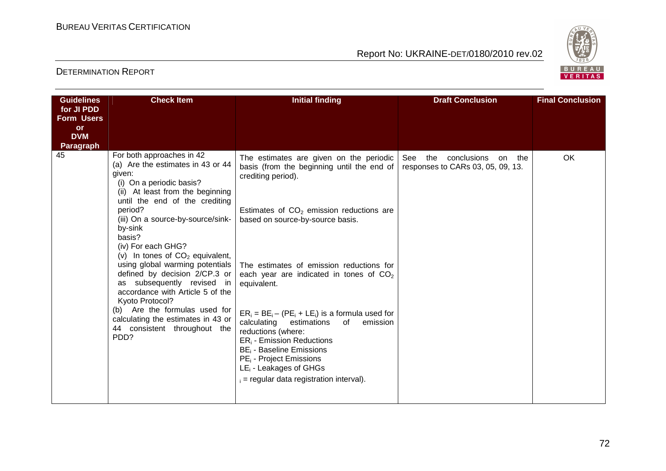

| <b>Guidelines</b> | <b>Initial finding</b><br><b>Draft Conclusion</b><br><b>Final Conclusion</b><br><b>Check Item</b>                                                                                                                                                                                                                                                                                                                                                                                                                                                                                                  |                                                                                                                                                                                                                                                                                                                                                                                                                                                                                                                                                                       |                                                                             |    |
|-------------------|----------------------------------------------------------------------------------------------------------------------------------------------------------------------------------------------------------------------------------------------------------------------------------------------------------------------------------------------------------------------------------------------------------------------------------------------------------------------------------------------------------------------------------------------------------------------------------------------------|-----------------------------------------------------------------------------------------------------------------------------------------------------------------------------------------------------------------------------------------------------------------------------------------------------------------------------------------------------------------------------------------------------------------------------------------------------------------------------------------------------------------------------------------------------------------------|-----------------------------------------------------------------------------|----|
| for JI PDD        |                                                                                                                                                                                                                                                                                                                                                                                                                                                                                                                                                                                                    |                                                                                                                                                                                                                                                                                                                                                                                                                                                                                                                                                                       |                                                                             |    |
| <b>Form Users</b> |                                                                                                                                                                                                                                                                                                                                                                                                                                                                                                                                                                                                    |                                                                                                                                                                                                                                                                                                                                                                                                                                                                                                                                                                       |                                                                             |    |
| <b>or</b>         |                                                                                                                                                                                                                                                                                                                                                                                                                                                                                                                                                                                                    |                                                                                                                                                                                                                                                                                                                                                                                                                                                                                                                                                                       |                                                                             |    |
| <b>DVM</b>        |                                                                                                                                                                                                                                                                                                                                                                                                                                                                                                                                                                                                    |                                                                                                                                                                                                                                                                                                                                                                                                                                                                                                                                                                       |                                                                             |    |
| <b>Paragraph</b>  |                                                                                                                                                                                                                                                                                                                                                                                                                                                                                                                                                                                                    |                                                                                                                                                                                                                                                                                                                                                                                                                                                                                                                                                                       |                                                                             |    |
| 45                | For both approaches in 42<br>(a) Are the estimates in 43 or 44<br>given:<br>(i) On a periodic basis?<br>(ii) At least from the beginning<br>until the end of the crediting<br>period?<br>(iii) On a source-by-source/sink-<br>by-sink<br>basis?<br>(iv) For each GHG?<br>(v) In tones of $CO2$ equivalent,<br>using global warming potentials<br>defined by decision 2/CP.3 or<br>as subsequently revised in<br>accordance with Article 5 of the<br>Kyoto Protocol?<br>Are the formulas used for<br>(b)<br>calculating the estimates in 43 or<br>44 consistent throughout the<br>PD <sub>D</sub> ? | The estimates are given on the periodic<br>basis (from the beginning until the end of<br>crediting period).<br>Estimates of $CO2$ emission reductions are<br>based on source-by-source basis.<br>The estimates of emission reductions for<br>each year are indicated in tones of $CO2$<br>equivalent.<br>$ER_i = BE_i - (PE_i + LE_i)$ is a formula used for<br>calculating<br>estimations<br>emission<br>of<br>reductions (where:<br>$ER_i$ - Emission Reductions<br>$BE_i$ - Baseline Emissions<br>PE <sub>i</sub> - Project Emissions<br>$LE_i$ - Leakages of GHGs | the<br>conclusions<br>the<br>See<br>on<br>responses to CARs 03, 05, 09, 13. | OK |
|                   |                                                                                                                                                                                                                                                                                                                                                                                                                                                                                                                                                                                                    | $i =$ regular data registration interval).                                                                                                                                                                                                                                                                                                                                                                                                                                                                                                                            |                                                                             |    |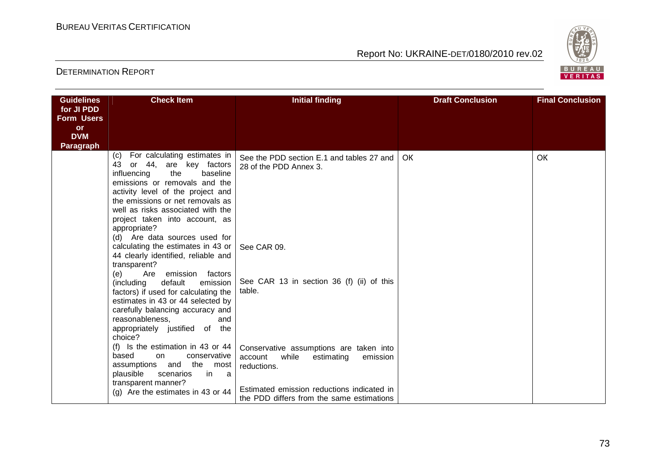

| <b>Guidelines</b><br>for JI PDD<br><b>Form Users</b><br><b>or</b><br><b>DVM</b><br><b>Paragraph</b> | <b>Check Item</b>                                                                                                                                                                                                                                                                                                                                                                                                                                                                                                                                                                                                                                                                                                                         | <b>Initial finding</b>                                                                                                                                                                          | <b>Draft Conclusion</b> | <b>Final Conclusion</b> |
|-----------------------------------------------------------------------------------------------------|-------------------------------------------------------------------------------------------------------------------------------------------------------------------------------------------------------------------------------------------------------------------------------------------------------------------------------------------------------------------------------------------------------------------------------------------------------------------------------------------------------------------------------------------------------------------------------------------------------------------------------------------------------------------------------------------------------------------------------------------|-------------------------------------------------------------------------------------------------------------------------------------------------------------------------------------------------|-------------------------|-------------------------|
|                                                                                                     | For calculating estimates in<br>(c)<br>43<br>or 44, are key factors<br>influencing<br>the<br>baseline<br>emissions or removals and the<br>activity level of the project and<br>the emissions or net removals as<br>well as risks associated with the<br>project taken into account, as<br>appropriate?<br>(d) Are data sources used for<br>calculating the estimates in 43 or<br>44 clearly identified, reliable and<br>transparent?<br>(e)<br>Are emission factors<br>(including<br>default<br>emission I<br>factors) if used for calculating the<br>estimates in 43 or 44 selected by<br>carefully balancing accuracy and<br>reasonableness,<br>and<br>appropriately justified of the<br>choice?<br>(f) Is the estimation in 43 or $44$ | See the PDD section E.1 and tables 27 and<br>28 of the PDD Annex 3.<br>See CAR 09.<br>See CAR 13 in section 36 (f) (ii) of this<br>table.                                                       | OK.                     | ОК                      |
|                                                                                                     | based<br>conservative<br>on.<br>assumptions and<br>the<br>most<br>plausible<br>scenarios<br>in.<br>a a<br>transparent manner?<br>(g) Are the estimates in 43 or $44$                                                                                                                                                                                                                                                                                                                                                                                                                                                                                                                                                                      | Conservative assumptions are taken into<br>account<br>while<br>estimating<br>emission<br>reductions.<br>Estimated emission reductions indicated in<br>the PDD differs from the same estimations |                         |                         |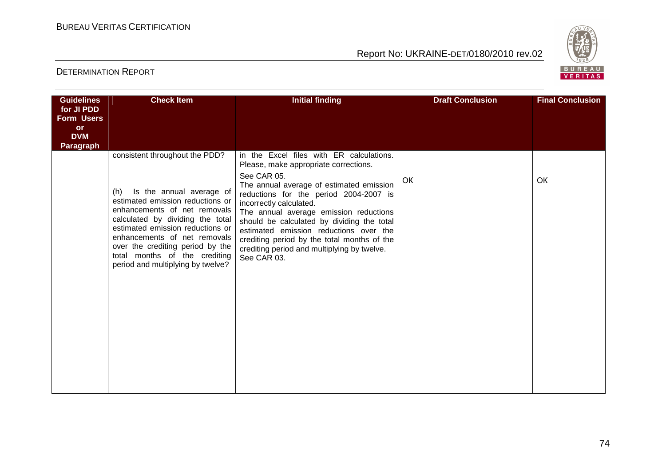

| <b>Guidelines</b>               | <b>Check Item</b>                                                                                                                                                                                                                                                                                                     | <b>Initial finding</b>                                                                                                                                                                                                                                                                                                                                                      | <b>Draft Conclusion</b> | <b>Final Conclusion</b> |
|---------------------------------|-----------------------------------------------------------------------------------------------------------------------------------------------------------------------------------------------------------------------------------------------------------------------------------------------------------------------|-----------------------------------------------------------------------------------------------------------------------------------------------------------------------------------------------------------------------------------------------------------------------------------------------------------------------------------------------------------------------------|-------------------------|-------------------------|
| for JI PDD<br><b>Form Users</b> |                                                                                                                                                                                                                                                                                                                       |                                                                                                                                                                                                                                                                                                                                                                             |                         |                         |
| <b>or</b>                       |                                                                                                                                                                                                                                                                                                                       |                                                                                                                                                                                                                                                                                                                                                                             |                         |                         |
| <b>DVM</b>                      |                                                                                                                                                                                                                                                                                                                       |                                                                                                                                                                                                                                                                                                                                                                             |                         |                         |
| <b>Paragraph</b>                |                                                                                                                                                                                                                                                                                                                       |                                                                                                                                                                                                                                                                                                                                                                             |                         |                         |
|                                 | consistent throughout the PDD?                                                                                                                                                                                                                                                                                        | in the Excel files with ER calculations.<br>Please, make appropriate corrections.                                                                                                                                                                                                                                                                                           |                         |                         |
|                                 | Is the annual average of<br>(h)<br>estimated emission reductions or<br>enhancements of net removals<br>calculated by dividing the total<br>estimated emission reductions or<br>enhancements of net removals<br>over the crediting period by the<br>total months of the crediting<br>period and multiplying by twelve? | See CAR 05.<br>The annual average of estimated emission<br>reductions for the period 2004-2007 is<br>incorrectly calculated.<br>The annual average emission reductions<br>should be calculated by dividing the total<br>estimated emission reductions over the<br>crediting period by the total months of the<br>crediting period and multiplying by twelve.<br>See CAR 03. | OK                      | OK                      |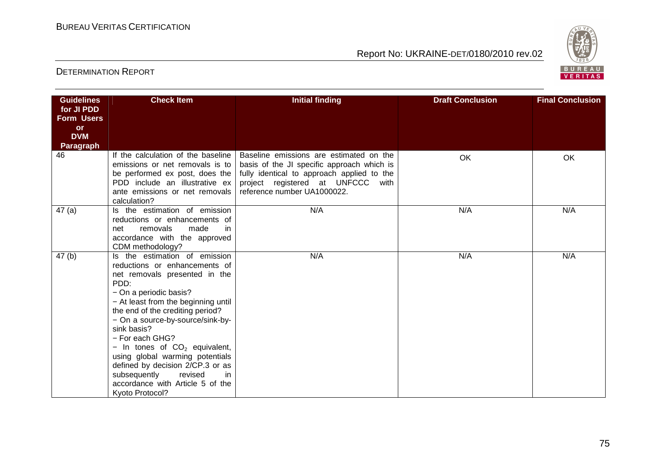

| <b>Guidelines</b>       | <b>Check Item</b>                                                 | <b>Initial finding</b>                     | <b>Draft Conclusion</b> | <b>Final Conclusion</b> |  |
|-------------------------|-------------------------------------------------------------------|--------------------------------------------|-------------------------|-------------------------|--|
| for JI PDD              |                                                                   |                                            |                         |                         |  |
| <b>Form Users</b>       |                                                                   |                                            |                         |                         |  |
| <b>or</b>               |                                                                   |                                            |                         |                         |  |
| <b>DVM</b><br>Paragraph |                                                                   |                                            |                         |                         |  |
| 46                      | If the calculation of the baseline                                | Baseline emissions are estimated on the    |                         |                         |  |
|                         | emissions or net removals is to                                   | basis of the JI specific approach which is | OK                      | OK                      |  |
|                         | be performed ex post, does the                                    | fully identical to approach applied to the |                         |                         |  |
|                         | PDD include an illustrative ex                                    | project registered at UNFCCC<br>with       |                         |                         |  |
|                         | ante emissions or net removals                                    | reference number UA1000022.                |                         |                         |  |
|                         | calculation?                                                      |                                            |                         |                         |  |
| 47(a)                   | Is the estimation of emission                                     | N/A                                        | N/A                     | N/A                     |  |
|                         | reductions or enhancements of                                     |                                            |                         |                         |  |
|                         | removals<br>made<br>in<br>net                                     |                                            |                         |                         |  |
|                         | accordance with the approved                                      |                                            |                         |                         |  |
|                         | CDM methodology?<br>Is the estimation of emission                 | N/A                                        | N/A                     | N/A                     |  |
| 47(b)                   | reductions or enhancements of                                     |                                            |                         |                         |  |
|                         | net removals presented in the                                     |                                            |                         |                         |  |
|                         | PDD:                                                              |                                            |                         |                         |  |
|                         | - On a periodic basis?                                            |                                            |                         |                         |  |
|                         | - At least from the beginning until                               |                                            |                         |                         |  |
|                         | the end of the crediting period?                                  |                                            |                         |                         |  |
|                         | - On a source-by-source/sink-by-                                  |                                            |                         |                         |  |
|                         | sink basis?                                                       |                                            |                         |                         |  |
|                         | - For each GHG?                                                   |                                            |                         |                         |  |
|                         | - In tones of $CO2$ equivalent,                                   |                                            |                         |                         |  |
|                         | using global warming potentials                                   |                                            |                         |                         |  |
|                         | defined by decision 2/CP.3 or as                                  |                                            |                         |                         |  |
|                         | subsequently<br>revised<br>in<br>accordance with Article 5 of the |                                            |                         |                         |  |
|                         | Kyoto Protocol?                                                   |                                            |                         |                         |  |
|                         |                                                                   |                                            |                         |                         |  |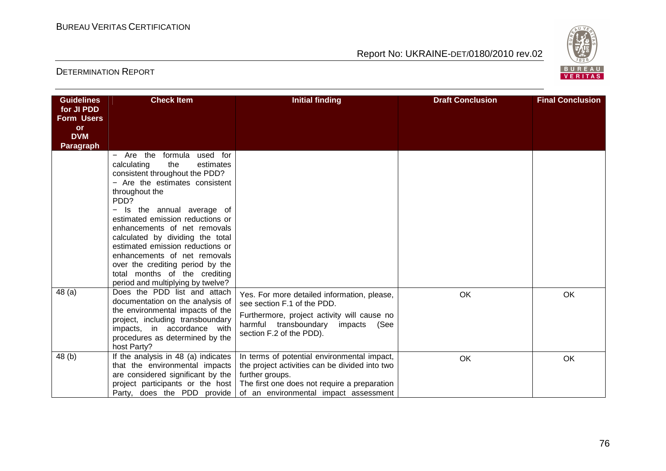

| <b>Guidelines</b> | <b>Check Item</b>                                                                                                                                                                                                                                                                                                                                                                                                                                                                | <b>Initial finding</b>                                                                                                                                                                                    | <b>Draft Conclusion</b> | <b>Final Conclusion</b> |
|-------------------|----------------------------------------------------------------------------------------------------------------------------------------------------------------------------------------------------------------------------------------------------------------------------------------------------------------------------------------------------------------------------------------------------------------------------------------------------------------------------------|-----------------------------------------------------------------------------------------------------------------------------------------------------------------------------------------------------------|-------------------------|-------------------------|
| for JI PDD        |                                                                                                                                                                                                                                                                                                                                                                                                                                                                                  |                                                                                                                                                                                                           |                         |                         |
| <b>Form Users</b> |                                                                                                                                                                                                                                                                                                                                                                                                                                                                                  |                                                                                                                                                                                                           |                         |                         |
| or<br><b>DVM</b>  |                                                                                                                                                                                                                                                                                                                                                                                                                                                                                  |                                                                                                                                                                                                           |                         |                         |
| <b>Paragraph</b>  |                                                                                                                                                                                                                                                                                                                                                                                                                                                                                  |                                                                                                                                                                                                           |                         |                         |
|                   | - Are the formula<br>used for<br>calculating<br>the<br>estimates<br>consistent throughout the PDD?<br>- Are the estimates consistent<br>throughout the<br>PDD?<br>Is the annual average of<br>estimated emission reductions or<br>enhancements of net removals<br>calculated by dividing the total<br>estimated emission reductions or<br>enhancements of net removals<br>over the crediting period by the<br>total months of the crediting<br>period and multiplying by twelve? |                                                                                                                                                                                                           |                         |                         |
| 48(a)             | Does the PDD list and attach<br>documentation on the analysis of<br>the environmental impacts of the<br>project, including transboundary<br>impacts, in accordance with<br>procedures as determined by the<br>host Party?                                                                                                                                                                                                                                                        | Yes. For more detailed information, please,<br>see section F.1 of the PDD.<br>Furthermore, project activity will cause no<br>harmful transboundary impacts (See<br>section F.2 of the PDD).               | <b>OK</b>               | OK                      |
| 48 (b)            | If the analysis in 48 (a) indicates<br>that the environmental impacts<br>are considered significant by the<br>project participants or the host<br>Party, does the PDD provide                                                                                                                                                                                                                                                                                                    | In terms of potential environmental impact,<br>the project activities can be divided into two<br>further groups.<br>The first one does not require a preparation<br>of an environmental impact assessment | OK                      | OK                      |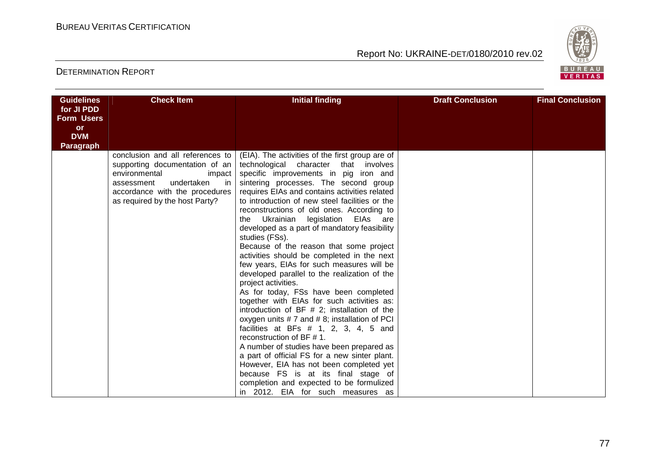

| <b>Guidelines</b> | <b>Check Item</b>                                   | <b>Initial finding</b>                                                                              | <b>Draft Conclusion</b> |  | <b>Final Conclusion</b> |  |  |
|-------------------|-----------------------------------------------------|-----------------------------------------------------------------------------------------------------|-------------------------|--|-------------------------|--|--|
| for JI PDD        |                                                     |                                                                                                     |                         |  |                         |  |  |
| <b>Form Users</b> |                                                     |                                                                                                     |                         |  |                         |  |  |
| <b>or</b>         |                                                     |                                                                                                     |                         |  |                         |  |  |
| <b>DVM</b>        |                                                     |                                                                                                     |                         |  |                         |  |  |
| Paragraph         |                                                     |                                                                                                     |                         |  |                         |  |  |
|                   | conclusion and all references to                    | (EIA). The activities of the first group are of                                                     |                         |  |                         |  |  |
|                   | supporting documentation of an                      | technological character that involves                                                               |                         |  |                         |  |  |
|                   | environmental<br>impact<br>undertaken<br>assessment | specific improvements in pig iron and                                                               |                         |  |                         |  |  |
|                   | in.<br>accordance with the procedures               | sintering processes. The second group<br>requires EIAs and contains activities related              |                         |  |                         |  |  |
|                   | as required by the host Party?                      | to introduction of new steel facilities or the                                                      |                         |  |                         |  |  |
|                   |                                                     | reconstructions of old ones. According to                                                           |                         |  |                         |  |  |
|                   |                                                     | Ukrainian legislation<br>EIAs are<br>the                                                            |                         |  |                         |  |  |
|                   |                                                     | developed as a part of mandatory feasibility                                                        |                         |  |                         |  |  |
|                   |                                                     | studies (FSs).                                                                                      |                         |  |                         |  |  |
|                   |                                                     | Because of the reason that some project                                                             |                         |  |                         |  |  |
|                   |                                                     | activities should be completed in the next                                                          |                         |  |                         |  |  |
|                   |                                                     | few years, EIAs for such measures will be                                                           |                         |  |                         |  |  |
|                   |                                                     | developed parallel to the realization of the                                                        |                         |  |                         |  |  |
|                   |                                                     | project activities.                                                                                 |                         |  |                         |  |  |
|                   |                                                     | As for today, FSs have been completed                                                               |                         |  |                         |  |  |
|                   |                                                     | together with EIAs for such activities as:                                                          |                         |  |                         |  |  |
|                   |                                                     | introduction of BF $#$ 2; installation of the<br>oxygen units $# 7$ and $# 8$ ; installation of PCI |                         |  |                         |  |  |
|                   |                                                     | facilities at BFs $# 1$ , 2, 3, 4, 5 and                                                            |                         |  |                         |  |  |
|                   |                                                     | reconstruction of BF $# 1$ .                                                                        |                         |  |                         |  |  |
|                   |                                                     | A number of studies have been prepared as                                                           |                         |  |                         |  |  |
|                   |                                                     | a part of official FS for a new sinter plant.                                                       |                         |  |                         |  |  |
|                   |                                                     | However, EIA has not been completed yet                                                             |                         |  |                         |  |  |
|                   |                                                     | because FS is at its final stage of                                                                 |                         |  |                         |  |  |
|                   |                                                     | completion and expected to be formulized                                                            |                         |  |                         |  |  |
|                   |                                                     | in 2012. EIA for such measures as                                                                   |                         |  |                         |  |  |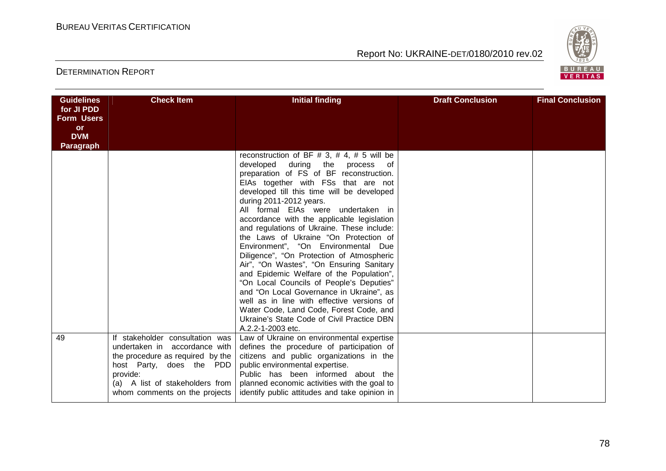

| <b>Guidelines</b>               | <b>Check Item</b>                                                                                                                                                                                                | <b>Initial finding</b>                                                                                                                                                                                                                                                                                                                                                                                                                                                                                                                                                                                                                                                                                                                                                                                                                                    | <b>Draft Conclusion</b> | <b>Final Conclusion</b> |
|---------------------------------|------------------------------------------------------------------------------------------------------------------------------------------------------------------------------------------------------------------|-----------------------------------------------------------------------------------------------------------------------------------------------------------------------------------------------------------------------------------------------------------------------------------------------------------------------------------------------------------------------------------------------------------------------------------------------------------------------------------------------------------------------------------------------------------------------------------------------------------------------------------------------------------------------------------------------------------------------------------------------------------------------------------------------------------------------------------------------------------|-------------------------|-------------------------|
| for JI PDD<br><b>Form Users</b> |                                                                                                                                                                                                                  |                                                                                                                                                                                                                                                                                                                                                                                                                                                                                                                                                                                                                                                                                                                                                                                                                                                           |                         |                         |
| or                              |                                                                                                                                                                                                                  |                                                                                                                                                                                                                                                                                                                                                                                                                                                                                                                                                                                                                                                                                                                                                                                                                                                           |                         |                         |
| <b>DVM</b>                      |                                                                                                                                                                                                                  |                                                                                                                                                                                                                                                                                                                                                                                                                                                                                                                                                                                                                                                                                                                                                                                                                                                           |                         |                         |
| <b>Paragraph</b>                |                                                                                                                                                                                                                  |                                                                                                                                                                                                                                                                                                                                                                                                                                                                                                                                                                                                                                                                                                                                                                                                                                                           |                         |                         |
|                                 |                                                                                                                                                                                                                  | reconstruction of BF # 3, # 4, # 5 will be<br>developed<br>during the<br>process of<br>preparation of FS of BF reconstruction.<br>EIAs together with FSs that are not<br>developed till this time will be developed<br>during 2011-2012 years.<br>All formal EIAs were undertaken in<br>accordance with the applicable legislation<br>and regulations of Ukraine. These include:<br>the Laws of Ukraine "On Protection of<br>Environment", "On Environmental Due<br>Diligence", "On Protection of Atmospheric<br>Air", "On Wastes", "On Ensuring Sanitary<br>and Epidemic Welfare of the Population",<br>"On Local Councils of People's Deputies"<br>and "On Local Governance in Ukraine", as<br>well as in line with effective versions of<br>Water Code, Land Code, Forest Code, and<br>Ukraine's State Code of Civil Practice DBN<br>A.2.2-1-2003 etc. |                         |                         |
| 49                              | If stakeholder consultation was<br>undertaken in accordance with<br>the procedure as required by the<br>host Party, does the PDD<br>provide:<br>(a) A list of stakeholders from<br>whom comments on the projects | Law of Ukraine on environmental expertise<br>defines the procedure of participation of<br>citizens and public organizations in the<br>public environmental expertise.<br>Public has been informed about the<br>planned economic activities with the goal to<br>identify public attitudes and take opinion in                                                                                                                                                                                                                                                                                                                                                                                                                                                                                                                                              |                         |                         |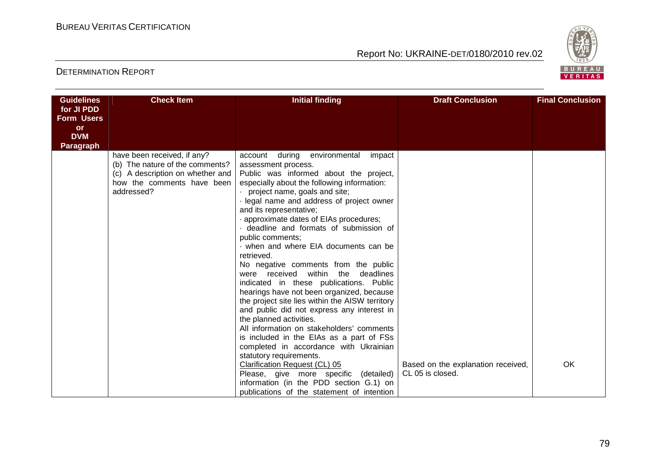

| <b>Guidelines</b> | <b>Check Item</b>                | <b>Initial finding</b>                                                              | <b>Draft Conclusion</b>            | <b>Final Conclusion</b> |
|-------------------|----------------------------------|-------------------------------------------------------------------------------------|------------------------------------|-------------------------|
| for JI PDD        |                                  |                                                                                     |                                    |                         |
| <b>Form Users</b> |                                  |                                                                                     |                                    |                         |
| <b>or</b>         |                                  |                                                                                     |                                    |                         |
| <b>DVM</b>        |                                  |                                                                                     |                                    |                         |
| <b>Paragraph</b>  | have been received, if any?      | account<br>during environmental<br>impact                                           |                                    |                         |
|                   | (b) The nature of the comments?  | assessment process.                                                                 |                                    |                         |
|                   | (c) A description on whether and | Public was informed about the project,                                              |                                    |                         |
|                   | how the comments have been       | especially about the following information:                                         |                                    |                         |
|                   | addressed?                       | project name, goals and site;                                                       |                                    |                         |
|                   |                                  | · legal name and address of project owner                                           |                                    |                         |
|                   |                                  | and its representative;                                                             |                                    |                         |
|                   |                                  | · approximate dates of EIAs procedures;                                             |                                    |                         |
|                   |                                  | deadline and formats of submission of                                               |                                    |                         |
|                   |                                  | public comments;                                                                    |                                    |                         |
|                   |                                  | when and where EIA documents can be                                                 |                                    |                         |
|                   |                                  | retrieved.                                                                          |                                    |                         |
|                   |                                  | No negative comments from the public<br>within<br>deadlines<br>were received<br>the |                                    |                         |
|                   |                                  | indicated in these publications. Public                                             |                                    |                         |
|                   |                                  | hearings have not been organized, because                                           |                                    |                         |
|                   |                                  | the project site lies within the AISW territory                                     |                                    |                         |
|                   |                                  | and public did not express any interest in                                          |                                    |                         |
|                   |                                  | the planned activities.                                                             |                                    |                         |
|                   |                                  | All information on stakeholders' comments                                           |                                    |                         |
|                   |                                  | is included in the EIAs as a part of FSs                                            |                                    |                         |
|                   |                                  | completed in accordance with Ukrainian                                              |                                    |                         |
|                   |                                  | statutory requirements.                                                             |                                    |                         |
|                   |                                  | Clarification Request (CL) 05                                                       | Based on the explanation received, | OK                      |
|                   |                                  | Please, give more specific (detailed)                                               | CL 05 is closed.                   |                         |
|                   |                                  | information (in the PDD section G.1) on                                             |                                    |                         |
|                   |                                  | publications of the statement of intention                                          |                                    |                         |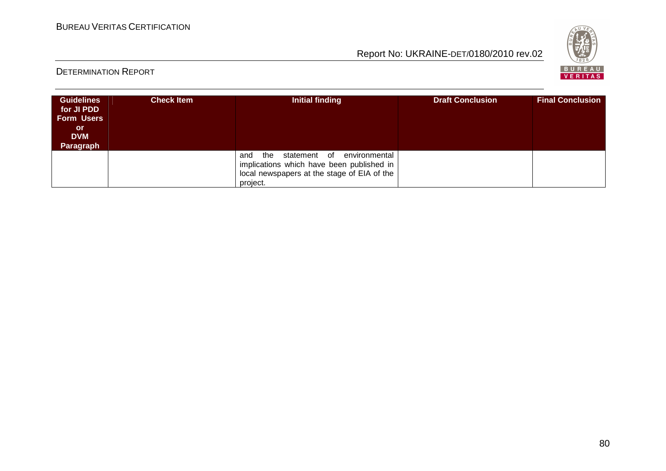

| <b>Guidelines</b><br>for JI PDD<br><b>Form Users</b><br>or<br><b>DVM</b><br>Paragraph | <b>Check Item</b> | Initial finding                                                                                                                                     | <b>Draft Conclusion</b> | <b>Final Conclusion</b> |
|---------------------------------------------------------------------------------------|-------------------|-----------------------------------------------------------------------------------------------------------------------------------------------------|-------------------------|-------------------------|
|                                                                                       |                   | environmental<br>statement of<br>and<br>the<br>implications which have been published in<br>local newspapers at the stage of EIA of the<br>project. |                         |                         |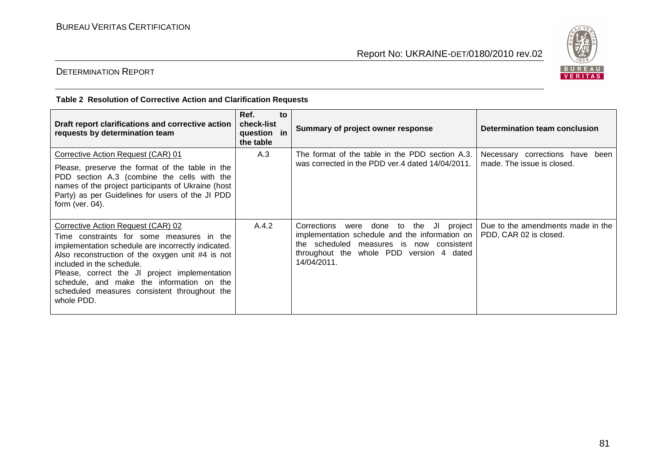

# DETERMINATION REPORT

#### **Тable 2 Resolution of Corrective Action and Clarification Requests**

| Draft report clarifications and corrective action<br>requests by determination team                                                                                                                                                                                                                                                                                                | Ref.<br>to<br>check-list<br>question in<br>the table | Summary of project owner response                                                                                                                                                                         | Determination team conclusion                                 |
|------------------------------------------------------------------------------------------------------------------------------------------------------------------------------------------------------------------------------------------------------------------------------------------------------------------------------------------------------------------------------------|------------------------------------------------------|-----------------------------------------------------------------------------------------------------------------------------------------------------------------------------------------------------------|---------------------------------------------------------------|
| Corrective Action Request (CAR) 01<br>Please, preserve the format of the table in the<br>PDD section A.3 (combine the cells with the<br>names of the project participants of Ukraine (host<br>Party) as per Guidelines for users of the JI PDD<br>form (ver. $04$ ).                                                                                                               | A.3                                                  | The format of the table in the PDD section A.3.<br>was corrected in the PDD ver.4 dated 14/04/2011.                                                                                                       | Necessary corrections have been<br>made. The issue is closed. |
| Corrective Action Request (CAR) 02<br>Time constraints for some measures in the<br>implementation schedule are incorrectly indicated.<br>Also reconstruction of the oxygen unit #4 is not<br>included in the schedule.<br>Please, correct the JI project implementation<br>schedule, and make the information on the<br>scheduled measures consistent throughout the<br>whole PDD. | A.4.2                                                | were done to the JI<br>Corrections<br>project<br>implementation schedule and the information on<br>the scheduled<br>measures is now consistent<br>throughout the whole PDD version 4 dated<br>14/04/2011. | Due to the amendments made in the<br>PDD, CAR 02 is closed.   |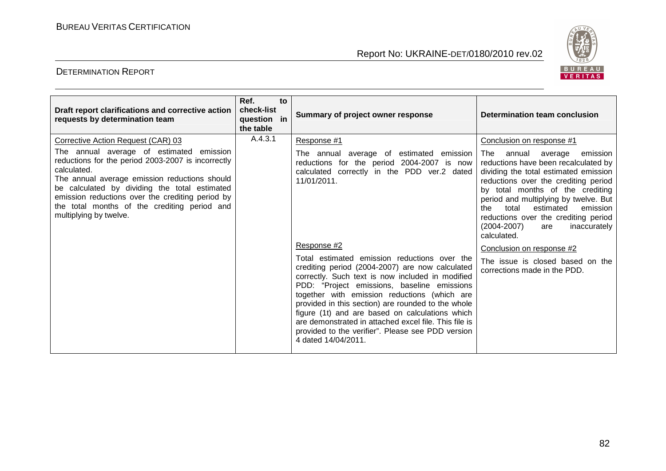

| Draft report clarifications and corrective action<br>requests by determination team                                                                                                                                                                                                                                                                                                 | Ref.<br>to<br>check-list<br>question in<br>the table | Summary of project owner response                                                                                                                                                                                                                                                                                                                                                                                                                                                                                                                                                                                                                                                      | Determination team conclusion                                                                                                                                                                                                                                                                                                                                                                                                                                                                                      |
|-------------------------------------------------------------------------------------------------------------------------------------------------------------------------------------------------------------------------------------------------------------------------------------------------------------------------------------------------------------------------------------|------------------------------------------------------|----------------------------------------------------------------------------------------------------------------------------------------------------------------------------------------------------------------------------------------------------------------------------------------------------------------------------------------------------------------------------------------------------------------------------------------------------------------------------------------------------------------------------------------------------------------------------------------------------------------------------------------------------------------------------------------|--------------------------------------------------------------------------------------------------------------------------------------------------------------------------------------------------------------------------------------------------------------------------------------------------------------------------------------------------------------------------------------------------------------------------------------------------------------------------------------------------------------------|
| Corrective Action Request (CAR) 03<br>The annual average of estimated emission<br>reductions for the period 2003-2007 is incorrectly<br>calculated.<br>The annual average emission reductions should<br>be calculated by dividing the total estimated<br>emission reductions over the crediting period by<br>the total months of the crediting period and<br>multiplying by twelve. | A.4.3.1                                              | Response #1<br>The annual average of estimated emission<br>reductions for the period 2004-2007 is now<br>calculated correctly in the PDD ver.2 dated<br>11/01/2011.<br>Response #2<br>Total estimated emission reductions over the<br>crediting period (2004-2007) are now calculated<br>correctly. Such text is now included in modified<br>PDD: "Project emissions, baseline emissions<br>together with emission reductions (which are<br>provided in this section) are rounded to the whole<br>figure (1t) and are based on calculations which<br>are demonstrated in attached excel file. This file is<br>provided to the verifier". Please see PDD version<br>4 dated 14/04/2011. | Conclusion on response #1<br>The<br>average<br>emission<br>annual<br>reductions have been recalculated by<br>dividing the total estimated emission<br>reductions over the crediting period<br>by total months of the crediting<br>period and multiplying by twelve. But<br>estimated<br>the<br>total<br>emission<br>reductions over the crediting period<br>$(2004 - 2007)$<br>inaccurately<br>are<br>calculated.<br>Conclusion on response #2<br>The issue is closed based on the<br>corrections made in the PDD. |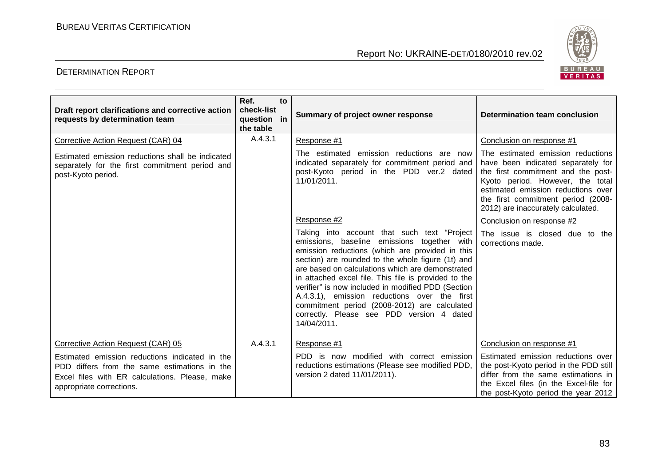

| Draft report clarifications and corrective action<br>requests by determination team                                                                                          | Ref.<br>to<br>check-list<br>question in<br>the table | Summary of project owner response                                                                                                                                                                                                                                                                                                                                                                                                                                                                                                 | Determination team conclusion                                                                                                                                                                                                                                       |
|------------------------------------------------------------------------------------------------------------------------------------------------------------------------------|------------------------------------------------------|-----------------------------------------------------------------------------------------------------------------------------------------------------------------------------------------------------------------------------------------------------------------------------------------------------------------------------------------------------------------------------------------------------------------------------------------------------------------------------------------------------------------------------------|---------------------------------------------------------------------------------------------------------------------------------------------------------------------------------------------------------------------------------------------------------------------|
| Corrective Action Request (CAR) 04                                                                                                                                           | A.4.3.1                                              | Response #1                                                                                                                                                                                                                                                                                                                                                                                                                                                                                                                       | Conclusion on response #1                                                                                                                                                                                                                                           |
| Estimated emission reductions shall be indicated<br>separately for the first commitment period and<br>post-Kyoto period.                                                     |                                                      | The estimated emission reductions are now<br>indicated separately for commitment period and<br>post-Kyoto period in the PDD ver.2 dated<br>11/01/2011.                                                                                                                                                                                                                                                                                                                                                                            | The estimated emission reductions<br>have been indicated separately for<br>the first commitment and the post-<br>Kyoto period. However, the total<br>estimated emission reductions over<br>the first commitment period (2008-<br>2012) are inaccurately calculated. |
|                                                                                                                                                                              |                                                      | Response #2                                                                                                                                                                                                                                                                                                                                                                                                                                                                                                                       | Conclusion on response #2                                                                                                                                                                                                                                           |
|                                                                                                                                                                              |                                                      | Taking into account that such text "Project"<br>emissions, baseline emissions together with<br>emission reductions (which are provided in this<br>section) are rounded to the whole figure (1t) and<br>are based on calculations which are demonstrated<br>in attached excel file. This file is provided to the<br>verifier" is now included in modified PDD (Section<br>A.4.3.1), emission reductions over the first<br>commitment period (2008-2012) are calculated<br>correctly. Please see PDD version 4 dated<br>14/04/2011. | The issue is closed due to the<br>corrections made.                                                                                                                                                                                                                 |
| Corrective Action Request (CAR) 05                                                                                                                                           | A.4.3.1                                              | Response #1                                                                                                                                                                                                                                                                                                                                                                                                                                                                                                                       | Conclusion on response #1                                                                                                                                                                                                                                           |
| Estimated emission reductions indicated in the<br>PDD differs from the same estimations in the<br>Excel files with ER calculations. Please, make<br>appropriate corrections. |                                                      | PDD is now modified with correct emission<br>reductions estimations (Please see modified PDD,<br>version 2 dated 11/01/2011).                                                                                                                                                                                                                                                                                                                                                                                                     | Estimated emission reductions over<br>the post-Kyoto period in the PDD still<br>differ from the same estimations in<br>the Excel files (in the Excel-file for<br>the post-Kyoto period the year 2012                                                                |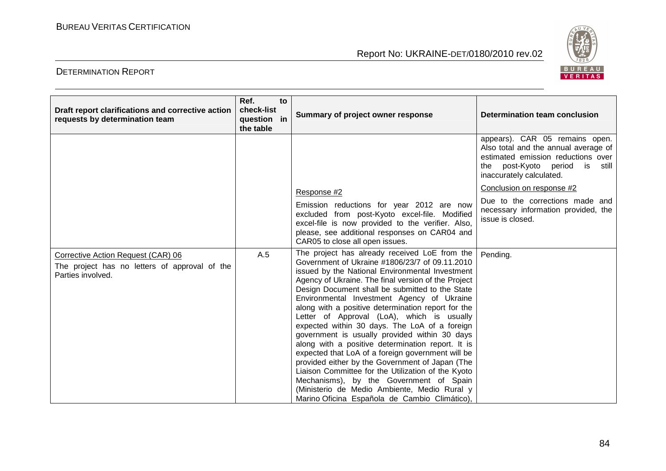

| Draft report clarifications and corrective action<br>requests by determination team                      | Ref.<br>check-list<br>question in<br>the table | to | Summary of project owner response                                                                                                                                                                                                                                                                                                                                                                                                                                                                                                                                                                                                                                                                                                                                                                                                                                               | <b>Determination team conclusion</b>                                                                                                                                          |
|----------------------------------------------------------------------------------------------------------|------------------------------------------------|----|---------------------------------------------------------------------------------------------------------------------------------------------------------------------------------------------------------------------------------------------------------------------------------------------------------------------------------------------------------------------------------------------------------------------------------------------------------------------------------------------------------------------------------------------------------------------------------------------------------------------------------------------------------------------------------------------------------------------------------------------------------------------------------------------------------------------------------------------------------------------------------|-------------------------------------------------------------------------------------------------------------------------------------------------------------------------------|
|                                                                                                          |                                                |    |                                                                                                                                                                                                                                                                                                                                                                                                                                                                                                                                                                                                                                                                                                                                                                                                                                                                                 | appears). CAR 05 remains open.<br>Also total and the annual average of<br>estimated emission reductions over<br>the post-Kyoto period is<br>still<br>inaccurately calculated. |
|                                                                                                          |                                                |    | Response #2                                                                                                                                                                                                                                                                                                                                                                                                                                                                                                                                                                                                                                                                                                                                                                                                                                                                     | Conclusion on response #2                                                                                                                                                     |
|                                                                                                          |                                                |    | Emission reductions for year 2012 are now<br>excluded from post-Kyoto excel-file. Modified<br>excel-file is now provided to the verifier. Also,<br>please, see additional responses on CAR04 and<br>CAR05 to close all open issues.                                                                                                                                                                                                                                                                                                                                                                                                                                                                                                                                                                                                                                             | Due to the corrections made and<br>necessary information provided, the<br>issue is closed.                                                                                    |
| Corrective Action Request (CAR) 06<br>The project has no letters of approval of the<br>Parties involved. | A.5                                            |    | The project has already received LoE from the<br>Government of Ukraine #1806/23/7 of 09.11.2010<br>issued by the National Environmental Investment<br>Agency of Ukraine. The final version of the Project<br>Design Document shall be submitted to the State<br>Environmental Investment Agency of Ukraine<br>along with a positive determination report for the<br>Letter of Approval (LoA), which is usually<br>expected within 30 days. The LoA of a foreign<br>government is usually provided within 30 days<br>along with a positive determination report. It is<br>expected that LoA of a foreign government will be<br>provided either by the Government of Japan (The<br>Liaison Committee for the Utilization of the Kyoto<br>Mechanisms), by the Government of Spain<br>(Ministerio de Medio Ambiente, Medio Rural y<br>Marino Oficina Española de Cambio Climático), | Pending.                                                                                                                                                                      |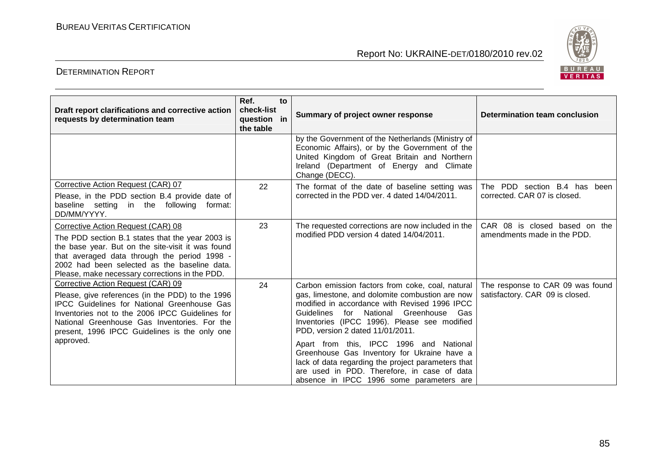

| Draft report clarifications and corrective action<br>requests by determination team                                                                                                                                                                                                              | Ref.<br>to<br>check-list<br>question in<br>the table | Summary of project owner response                                                                                                                                                                                                                                                               | Determination team conclusion                                       |
|--------------------------------------------------------------------------------------------------------------------------------------------------------------------------------------------------------------------------------------------------------------------------------------------------|------------------------------------------------------|-------------------------------------------------------------------------------------------------------------------------------------------------------------------------------------------------------------------------------------------------------------------------------------------------|---------------------------------------------------------------------|
|                                                                                                                                                                                                                                                                                                  |                                                      | by the Government of the Netherlands (Ministry of<br>Economic Affairs), or by the Government of the<br>United Kingdom of Great Britain and Northern<br>Ireland (Department of Energy and Climate<br>Change (DECC).                                                                              |                                                                     |
| Corrective Action Request (CAR) 07<br>Please, in the PDD section B.4 provide date of<br>baseline setting in the following<br>format:<br>DD/MM/YYYY.                                                                                                                                              | 22                                                   | The format of the date of baseline setting was<br>corrected in the PDD ver. 4 dated 14/04/2011.                                                                                                                                                                                                 | The PDD section B.4 has<br>been<br>corrected. CAR 07 is closed.     |
| Corrective Action Request (CAR) 08<br>The PDD section B.1 states that the year 2003 is<br>the base year. But on the site-visit it was found<br>that averaged data through the period 1998 -<br>2002 had been selected as the baseline data.<br>Please, make necessary corrections in the PDD.    | 23                                                   | The requested corrections are now included in the<br>modified PDD version 4 dated 14/04/2011.                                                                                                                                                                                                   | CAR 08 is closed based on the<br>amendments made in the PDD.        |
| Corrective Action Request (CAR) 09<br>Please, give references (in the PDD) to the 1996<br><b>IPCC Guidelines for National Greenhouse Gas</b><br>Inventories not to the 2006 IPCC Guidelines for<br>National Greenhouse Gas Inventories. For the<br>present, 1996 IPCC Guidelines is the only one | 24                                                   | Carbon emission factors from coke, coal, natural<br>gas, limestone, and dolomite combustion are now<br>modified in accordance with Revised 1996 IPCC<br><b>Guidelines</b><br>for<br>National Greenhouse Gas<br>Inventories (IPCC 1996). Please see modified<br>PDD, version 2 dated 11/01/2011. | The response to CAR 09 was found<br>satisfactory. CAR 09 is closed. |
| approved.                                                                                                                                                                                                                                                                                        |                                                      | Apart from this, IPCC 1996 and National<br>Greenhouse Gas Inventory for Ukraine have a<br>lack of data regarding the project parameters that<br>are used in PDD. Therefore, in case of data<br>absence in IPCC 1996 some parameters are                                                         |                                                                     |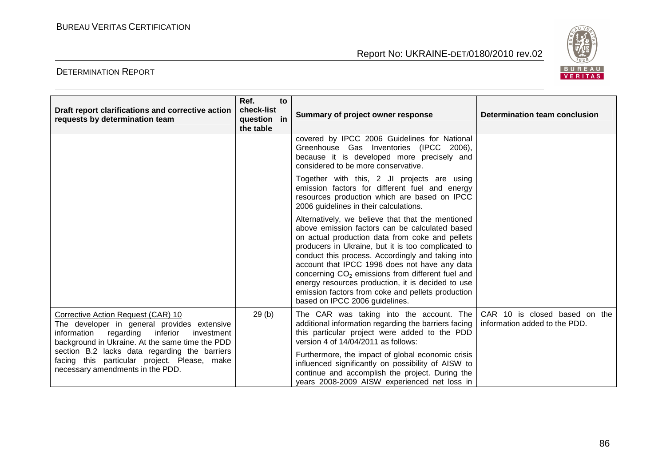

| Draft report clarifications and corrective action<br>requests by determination team                                                                                                  | Ref.<br>check-list<br>question in<br>the table | to | Summary of project owner response                                                                                                                                                                                                                                                                                                                                                                                                                                                                                              | Determination team conclusion                                  |
|--------------------------------------------------------------------------------------------------------------------------------------------------------------------------------------|------------------------------------------------|----|--------------------------------------------------------------------------------------------------------------------------------------------------------------------------------------------------------------------------------------------------------------------------------------------------------------------------------------------------------------------------------------------------------------------------------------------------------------------------------------------------------------------------------|----------------------------------------------------------------|
|                                                                                                                                                                                      |                                                |    | covered by IPCC 2006 Guidelines for National<br>Greenhouse Gas Inventories (IPCC 2006),<br>because it is developed more precisely and<br>considered to be more conservative.                                                                                                                                                                                                                                                                                                                                                   |                                                                |
|                                                                                                                                                                                      |                                                |    | Together with this, 2 JI projects are using<br>emission factors for different fuel and energy<br>resources production which are based on IPCC<br>2006 guidelines in their calculations.                                                                                                                                                                                                                                                                                                                                        |                                                                |
|                                                                                                                                                                                      |                                                |    | Alternatively, we believe that that the mentioned<br>above emission factors can be calculated based<br>on actual production data from coke and pellets<br>producers in Ukraine, but it is too complicated to<br>conduct this process. Accordingly and taking into<br>account that IPCC 1996 does not have any data<br>concerning CO <sub>2</sub> emissions from different fuel and<br>energy resources production, it is decided to use<br>emission factors from coke and pellets production<br>based on IPCC 2006 guidelines. |                                                                |
| Corrective Action Request (CAR) 10<br>The developer in general provides extensive<br>information regarding inferior<br>investment<br>background in Ukraine. At the same time the PDD | 29(b)                                          |    | The CAR was taking into the account. The<br>additional information regarding the barriers facing<br>this particular project were added to the PDD<br>version 4 of 14/04/2011 as follows:                                                                                                                                                                                                                                                                                                                                       | CAR 10 is closed based on the<br>information added to the PDD. |
| section B.2 lacks data regarding the barriers<br>facing this particular project. Please, make<br>necessary amendments in the PDD.                                                    |                                                |    | Furthermore, the impact of global economic crisis<br>influenced significantly on possibility of AISW to<br>continue and accomplish the project. During the<br>years 2008-2009 AISW experienced net loss in                                                                                                                                                                                                                                                                                                                     |                                                                |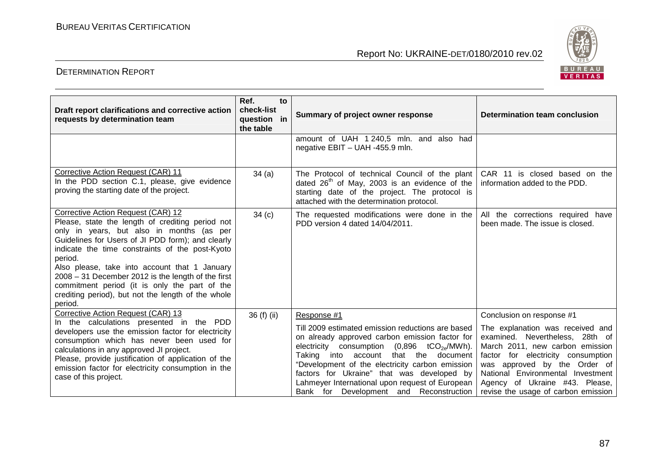

| Draft report clarifications and corrective action<br>requests by determination team                                                                                                                                                                                                                                                                                                                                                                                               | Ref.<br>to<br>check-list<br>question in<br>the table | Summary of project owner response                                                                                                                                                                                                                                                                                                                                                                                             | <b>Determination team conclusion</b>                                                                                                                                                                                                                                                                                    |
|-----------------------------------------------------------------------------------------------------------------------------------------------------------------------------------------------------------------------------------------------------------------------------------------------------------------------------------------------------------------------------------------------------------------------------------------------------------------------------------|------------------------------------------------------|-------------------------------------------------------------------------------------------------------------------------------------------------------------------------------------------------------------------------------------------------------------------------------------------------------------------------------------------------------------------------------------------------------------------------------|-------------------------------------------------------------------------------------------------------------------------------------------------------------------------------------------------------------------------------------------------------------------------------------------------------------------------|
|                                                                                                                                                                                                                                                                                                                                                                                                                                                                                   |                                                      | amount of UAH 1 240,5 mln. and also had<br>negative EBIT - UAH -455.9 mln.                                                                                                                                                                                                                                                                                                                                                    |                                                                                                                                                                                                                                                                                                                         |
| Corrective Action Request (CAR) 11<br>In the PDD section C.1, please, give evidence<br>proving the starting date of the project.                                                                                                                                                                                                                                                                                                                                                  | 34(a)                                                | The Protocol of technical Council of the plant<br>dated $26th$ of May, 2003 is an evidence of the<br>starting date of the project. The protocol is<br>attached with the determination protocol.                                                                                                                                                                                                                               | CAR 11 is closed based on the<br>information added to the PDD.                                                                                                                                                                                                                                                          |
| Corrective Action Request (CAR) 12<br>Please, state the length of crediting period not<br>only in years, but also in months (as per<br>Guidelines for Users of JI PDD form); and clearly<br>indicate the time constraints of the post-Kyoto<br>period.<br>Also please, take into account that 1 January<br>$2008 - 31$ December 2012 is the length of the first<br>commitment period (it is only the part of the<br>crediting period), but not the length of the whole<br>period. | 34 <sub>(c)</sub>                                    | The requested modifications were done in the<br>PDD version 4 dated 14/04/2011.                                                                                                                                                                                                                                                                                                                                               | All the corrections required have<br>been made. The issue is closed.                                                                                                                                                                                                                                                    |
| Corrective Action Request (CAR) 13<br>In the calculations presented in the PDD<br>developers use the emission factor for electricity<br>consumption which has never been used for<br>calculations in any approved JI project.<br>Please, provide justification of application of the<br>emission factor for electricity consumption in the<br>case of this project.                                                                                                               | 36 (f) (ii)                                          | Response #1<br>Till 2009 estimated emission reductions are based<br>on already approved carbon emission factor for<br>electricity consumption $(0,896 \text{ tCO}_{2e}/\text{MWh})$ .<br>Taking into account that the document<br>"Development of the electricity carbon emission<br>factors for Ukraine" that was developed by<br>Lahmeyer International upon request of European<br>Bank for Development and Reconstruction | Conclusion on response #1<br>The explanation was received and<br>examined. Nevertheless, 28th of<br>March 2011, new carbon emission<br>factor for electricity consumption<br>was approved by the Order of<br>National Environmental Investment<br>Agency of Ukraine #43. Please,<br>revise the usage of carbon emission |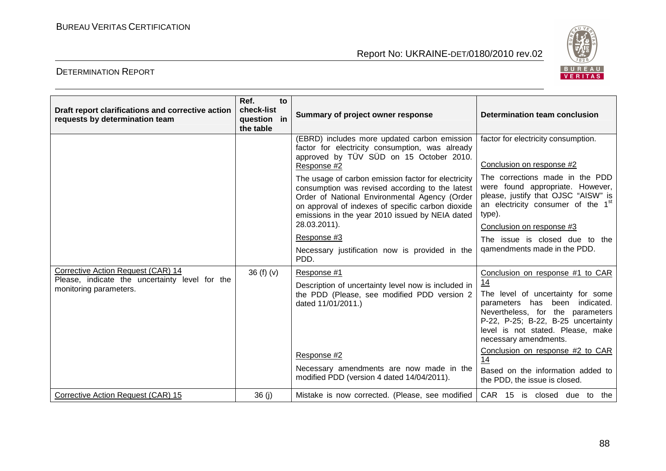

| Draft report clarifications and corrective action<br>requests by determination team                            | Ref.<br>to<br>check-list<br>question in<br>the table | Summary of project owner response                                                                                                                                                                                                                                                                                                                                                                                                            | Determination team conclusion                                                                                                                                                                                                                                                                   |
|----------------------------------------------------------------------------------------------------------------|------------------------------------------------------|----------------------------------------------------------------------------------------------------------------------------------------------------------------------------------------------------------------------------------------------------------------------------------------------------------------------------------------------------------------------------------------------------------------------------------------------|-------------------------------------------------------------------------------------------------------------------------------------------------------------------------------------------------------------------------------------------------------------------------------------------------|
|                                                                                                                |                                                      | (EBRD) includes more updated carbon emission<br>factor for electricity consumption, was already<br>approved by TÜV SÜD on 15 October 2010.<br>Response #2<br>The usage of carbon emission factor for electricity<br>consumption was revised according to the latest<br>Order of National Environmental Agency (Order<br>on approval of indexes of specific carbon dioxide<br>emissions in the year 2010 issued by NEIA dated<br>28.03.2011). | factor for electricity consumption.<br>Conclusion on response #2<br>The corrections made in the PDD<br>were found appropriate. However,<br>please, justify that OJSC "AISW" is<br>an electricity consumer of the 1 <sup>st</sup><br>type).<br>Conclusion on response #3                         |
|                                                                                                                |                                                      | Response #3<br>Necessary justification now is provided in the<br>PDD.                                                                                                                                                                                                                                                                                                                                                                        | The issue is closed due to the<br>gamendments made in the PDD.                                                                                                                                                                                                                                  |
| Corrective Action Request (CAR) 14<br>Please, indicate the uncertainty level for the<br>monitoring parameters. | 36(f)(v)                                             | Response #1<br>Description of uncertainty level now is included in<br>the PDD (Please, see modified PDD version 2<br>dated 11/01/2011.)<br>Response #2                                                                                                                                                                                                                                                                                       | Conclusion on response #1 to CAR<br>14<br>The level of uncertainty for some<br>parameters has been indicated.<br>Nevertheless, for the parameters<br>P-22, P-25; B-22, B-25 uncertainty<br>level is not stated. Please, make<br>necessary amendments.<br>Conclusion on response #2 to CAR<br>14 |
|                                                                                                                |                                                      | Necessary amendments are now made in the<br>modified PDD (version 4 dated 14/04/2011).                                                                                                                                                                                                                                                                                                                                                       | Based on the information added to<br>the PDD, the issue is closed.                                                                                                                                                                                                                              |
| Corrective Action Request (CAR) 15                                                                             | 36 (j)                                               | Mistake is now corrected. (Please, see modified                                                                                                                                                                                                                                                                                                                                                                                              | CAR 15 is closed due to the                                                                                                                                                                                                                                                                     |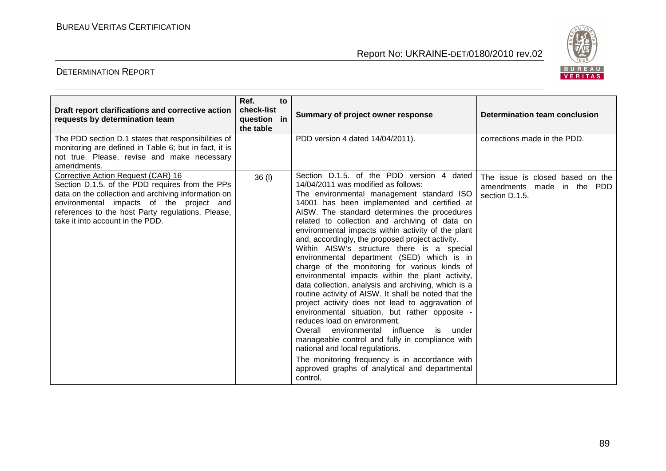

| Draft report clarifications and corrective action<br>requests by determination team                                                                                                                                                                                               | Ref.<br>to<br>check-list<br>question in<br>the table | Summary of project owner response                                                                                                                                                                                                                                                                                                                                                                                                                                                                                                                                                                                                                                                                                                                                                                                                                                                                                                                                                                                                                                                                | <b>Determination team conclusion</b>                                                 |
|-----------------------------------------------------------------------------------------------------------------------------------------------------------------------------------------------------------------------------------------------------------------------------------|------------------------------------------------------|--------------------------------------------------------------------------------------------------------------------------------------------------------------------------------------------------------------------------------------------------------------------------------------------------------------------------------------------------------------------------------------------------------------------------------------------------------------------------------------------------------------------------------------------------------------------------------------------------------------------------------------------------------------------------------------------------------------------------------------------------------------------------------------------------------------------------------------------------------------------------------------------------------------------------------------------------------------------------------------------------------------------------------------------------------------------------------------------------|--------------------------------------------------------------------------------------|
| The PDD section D.1 states that responsibilities of<br>monitoring are defined in Table 6; but in fact, it is<br>not true. Please, revise and make necessary<br>amendments.                                                                                                        |                                                      | PDD version 4 dated 14/04/2011).                                                                                                                                                                                                                                                                                                                                                                                                                                                                                                                                                                                                                                                                                                                                                                                                                                                                                                                                                                                                                                                                 | corrections made in the PDD.                                                         |
| Corrective Action Request (CAR) 16<br>Section D.1.5. of the PDD requires from the PPs<br>data on the collection and archiving information on<br>environmental impacts of the project and<br>references to the host Party regulations. Please,<br>take it into account in the PDD. | 36 (l)                                               | Section D.1.5. of the PDD version 4 dated<br>14/04/2011 was modified as follows:<br>The environmental management standard ISO<br>14001 has been implemented and certified at<br>AISW. The standard determines the procedures<br>related to collection and archiving of data on<br>environmental impacts within activity of the plant<br>and, accordingly, the proposed project activity.<br>Within AISW's structure there is a special<br>environmental department (SED) which is in<br>charge of the monitoring for various kinds of<br>environmental impacts within the plant activity,<br>data collection, analysis and archiving, which is a<br>routine activity of AISW. It shall be noted that the<br>project activity does not lead to aggravation of<br>environmental situation, but rather opposite -<br>reduces load on environment.<br>Overall environmental influence is under<br>manageable control and fully in compliance with<br>national and local regulations.<br>The monitoring frequency is in accordance with<br>approved graphs of analytical and departmental<br>control. | The issue is closed based on the<br>amendments made in the<br>PDD.<br>section D.1.5. |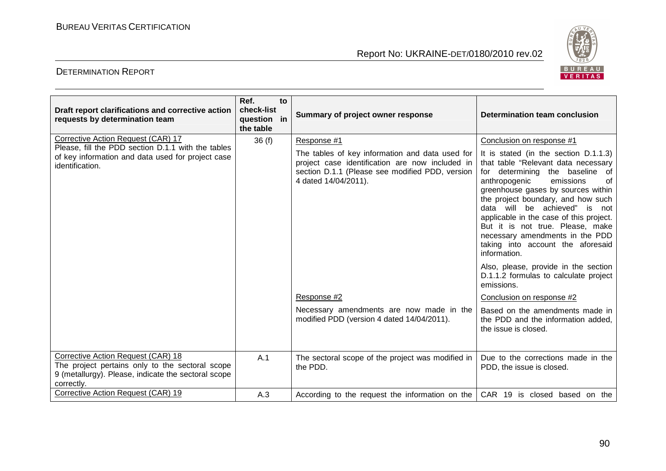

| Draft report clarifications and corrective action<br>requests by determination team                                                                              | Ref.<br>check-list<br>question in<br>the table | to | Summary of project owner response                                                                                                                                                                                                                                                                     | Determination team conclusion                                                                                                                                                                                                                                                                                                                                                                                                                                                                                                                                                                                                                                                                        |
|------------------------------------------------------------------------------------------------------------------------------------------------------------------|------------------------------------------------|----|-------------------------------------------------------------------------------------------------------------------------------------------------------------------------------------------------------------------------------------------------------------------------------------------------------|------------------------------------------------------------------------------------------------------------------------------------------------------------------------------------------------------------------------------------------------------------------------------------------------------------------------------------------------------------------------------------------------------------------------------------------------------------------------------------------------------------------------------------------------------------------------------------------------------------------------------------------------------------------------------------------------------|
| Corrective Action Request (CAR) 17<br>Please, fill the PDD section D.1.1 with the tables<br>of key information and data used for project case<br>identification. | 36(f)                                          |    | Response #1<br>The tables of key information and data used for<br>project case identification are now included in<br>section D.1.1 (Please see modified PDD, version<br>4 dated 14/04/2011).<br>Response #2<br>Necessary amendments are now made in the<br>modified PDD (version 4 dated 14/04/2011). | Conclusion on response #1<br>It is stated (in the section D.1.1.3)<br>that table "Relevant data necessary<br>for determining the baseline of<br>anthropogenic<br>emissions<br>of<br>greenhouse gases by sources within<br>the project boundary, and how such<br>data will be achieved" is<br>not<br>applicable in the case of this project.<br>But it is not true. Please, make<br>necessary amendments in the PDD<br>taking into account the aforesaid<br>information.<br>Also, please, provide in the section<br>D.1.1.2 formulas to calculate project<br>emissions.<br>Conclusion on response #2<br>Based on the amendments made in<br>the PDD and the information added,<br>the issue is closed. |
| Corrective Action Request (CAR) 18<br>The project pertains only to the sectoral scope<br>9 (metallurgy). Please, indicate the sectoral scope<br>correctly.       | A.1                                            |    | The sectoral scope of the project was modified in<br>the PDD.                                                                                                                                                                                                                                         | Due to the corrections made in the<br>PDD, the issue is closed.                                                                                                                                                                                                                                                                                                                                                                                                                                                                                                                                                                                                                                      |
| Corrective Action Request (CAR) 19                                                                                                                               | A.3                                            |    | According to the request the information on the                                                                                                                                                                                                                                                       | CAR 19 is closed based on the                                                                                                                                                                                                                                                                                                                                                                                                                                                                                                                                                                                                                                                                        |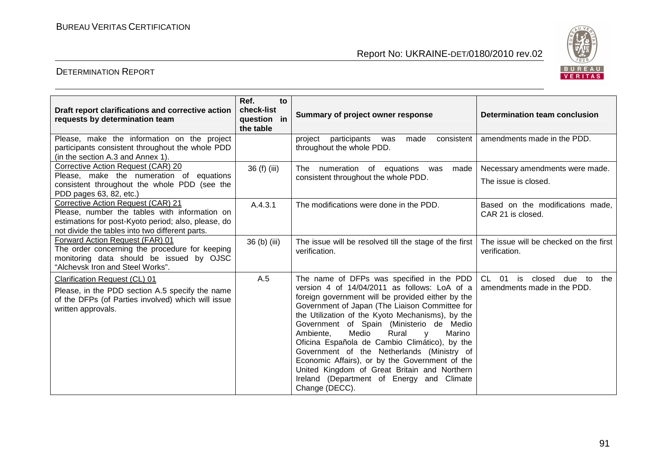

| Draft report clarifications and corrective action<br>requests by determination team                                                                                                           | Ref.<br>to<br>check-list<br>question in<br>the table | Summary of project owner response                                                                                                                                                                                                                                                                                                                                                                                                                                                                                                                                                                                         | <b>Determination team conclusion</b>                                               |
|-----------------------------------------------------------------------------------------------------------------------------------------------------------------------------------------------|------------------------------------------------------|---------------------------------------------------------------------------------------------------------------------------------------------------------------------------------------------------------------------------------------------------------------------------------------------------------------------------------------------------------------------------------------------------------------------------------------------------------------------------------------------------------------------------------------------------------------------------------------------------------------------------|------------------------------------------------------------------------------------|
| Please, make the information on the project<br>participants consistent throughout the whole PDD<br>(in the section A.3 and Annex 1).                                                          |                                                      | consistent<br>participants<br>made<br>project<br>was<br>throughout the whole PDD.                                                                                                                                                                                                                                                                                                                                                                                                                                                                                                                                         | amendments made in the PDD.                                                        |
| Corrective Action Request (CAR) 20<br>Please, make the numeration of equations<br>consistent throughout the whole PDD (see the<br>PDD pages 63, 82, etc.)                                     | 36 (f) (iii)                                         | numeration<br>of equations<br><b>The</b><br>made<br>was<br>consistent throughout the whole PDD.                                                                                                                                                                                                                                                                                                                                                                                                                                                                                                                           | Necessary amendments were made.<br>The issue is closed.                            |
| Corrective Action Request (CAR) 21<br>Please, number the tables with information on<br>estimations for post-Kyoto period; also, please, do<br>not divide the tables into two different parts. | A.4.3.1                                              | The modifications were done in the PDD.                                                                                                                                                                                                                                                                                                                                                                                                                                                                                                                                                                                   | Based on the modifications made,<br>CAR 21 is closed.                              |
| Forward Action Request (FAR) 01<br>The order concerning the procedure for keeping<br>monitoring data should be issued by OJSC<br>"Alchevsk Iron and Steel Works".                             | 36 (b) (iii)                                         | The issue will be resolved till the stage of the first<br>verification.                                                                                                                                                                                                                                                                                                                                                                                                                                                                                                                                                   | The issue will be checked on the first<br>verification.                            |
| Clarification Request (CL) 01<br>Please, in the PDD section A.5 specify the name<br>of the DFPs (of Parties involved) which will issue<br>written approvals.                                  | A.5                                                  | The name of DFPs was specified in the PDD<br>version 4 of 14/04/2011 as follows: LoA of a<br>foreign government will be provided either by the<br>Government of Japan (The Liaison Committee for<br>the Utilization of the Kyoto Mechanisms), by the<br>Government of Spain (Ministerio de Medio<br>Medio<br>Ambiente.<br>Rural<br>Marino<br>$\mathsf{V}$<br>Oficina Española de Cambio Climático), by the<br>Government of the Netherlands (Ministry of<br>Economic Affairs), or by the Government of the<br>United Kingdom of Great Britain and Northern<br>Ireland (Department of Energy and Climate<br>Change (DECC). | <b>CL</b><br>01<br>is<br>closed<br>due<br>to<br>the<br>amendments made in the PDD. |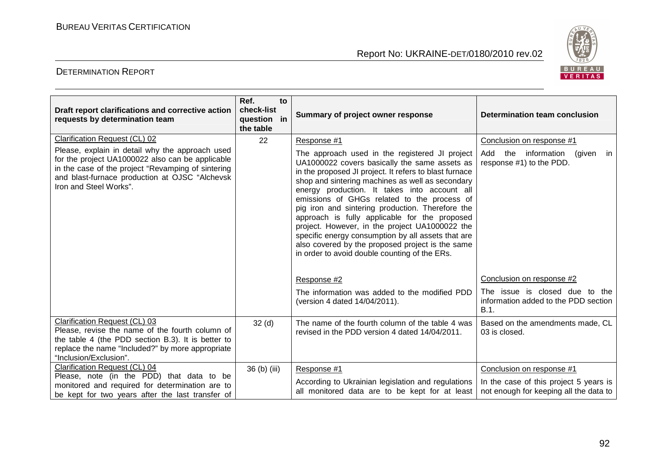

| Draft report clarifications and corrective action<br>requests by determination team                                                                                                                                                                                    | Ref.<br>to<br>check-list<br>question in<br>the table | Summary of project owner response                                                                                                                                                                                                                                                                                                                                                                                                                                                                                                                                                                                                             | Determination team conclusion                                                                                                 |
|------------------------------------------------------------------------------------------------------------------------------------------------------------------------------------------------------------------------------------------------------------------------|------------------------------------------------------|-----------------------------------------------------------------------------------------------------------------------------------------------------------------------------------------------------------------------------------------------------------------------------------------------------------------------------------------------------------------------------------------------------------------------------------------------------------------------------------------------------------------------------------------------------------------------------------------------------------------------------------------------|-------------------------------------------------------------------------------------------------------------------------------|
| Clarification Request (CL) 02<br>Please, explain in detail why the approach used<br>for the project UA1000022 also can be applicable<br>in the case of the project "Revamping of sintering<br>and blast-furnace production at OJSC "Alchevsk<br>Iron and Steel Works". | 22                                                   | Response #1<br>The approach used in the registered JI project<br>UA1000022 covers basically the same assets as<br>in the proposed JI project. It refers to blast furnace<br>shop and sintering machines as well as secondary<br>energy production. It takes into account all<br>emissions of GHGs related to the process of<br>pig iron and sintering production. Therefore the<br>approach is fully applicable for the proposed<br>project. However, in the project UA1000022 the<br>specific energy consumption by all assets that are<br>also covered by the proposed project is the same<br>in order to avoid double counting of the ERs. | Conclusion on response #1<br>Add<br>the information<br>(given<br>in.<br>response #1) to the PDD.<br>Conclusion on response #2 |
|                                                                                                                                                                                                                                                                        |                                                      | Response #2<br>The information was added to the modified PDD<br>(version 4 dated 14/04/2011).                                                                                                                                                                                                                                                                                                                                                                                                                                                                                                                                                 | The issue is closed due to the<br>information added to the PDD section<br>B.1.                                                |
| Clarification Request (CL) 03<br>Please, revise the name of the fourth column of<br>the table 4 (the PDD section B.3). It is better to<br>replace the name "Included?" by more appropriate<br>"Inclusion/Exclusion".                                                   | 32 <sub>(d)</sub>                                    | The name of the fourth column of the table 4 was<br>revised in the PDD version 4 dated 14/04/2011.                                                                                                                                                                                                                                                                                                                                                                                                                                                                                                                                            | Based on the amendments made, CL<br>03 is closed.                                                                             |
| Clarification Request (CL) 04<br>Please, note (in the PDD) that data to be<br>monitored and required for determination are to<br>be kept for two years after the last transfer of                                                                                      | 36 (b) (iii)                                         | Response #1<br>According to Ukrainian legislation and regulations<br>all monitored data are to be kept for at least                                                                                                                                                                                                                                                                                                                                                                                                                                                                                                                           | Conclusion on response #1<br>In the case of this project 5 years is<br>not enough for keeping all the data to                 |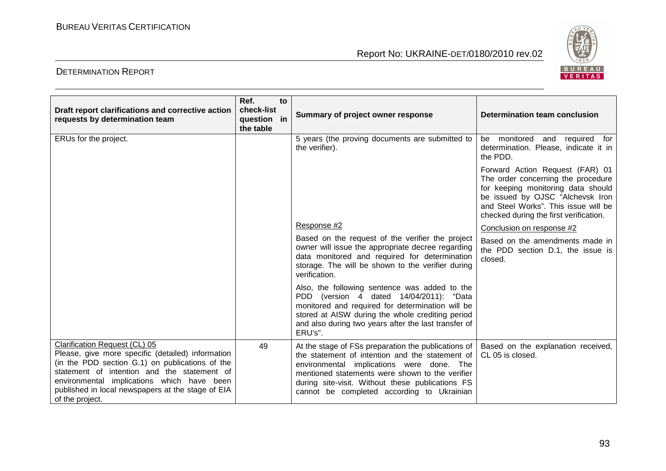

| Draft report clarifications and corrective action<br>requests by determination team                                                                                                                                                                                                                        | Ref.<br>to<br>check-list<br>question in<br>the table | Summary of project owner response                                                                                                                                                                                                                                                                        | Determination team conclusion                                                                                                                                                                                                     |
|------------------------------------------------------------------------------------------------------------------------------------------------------------------------------------------------------------------------------------------------------------------------------------------------------------|------------------------------------------------------|----------------------------------------------------------------------------------------------------------------------------------------------------------------------------------------------------------------------------------------------------------------------------------------------------------|-----------------------------------------------------------------------------------------------------------------------------------------------------------------------------------------------------------------------------------|
| ERUs for the project.                                                                                                                                                                                                                                                                                      |                                                      | 5 years (the proving documents are submitted to<br>the verifier).                                                                                                                                                                                                                                        | be monitored and required for<br>determination. Please, indicate it in<br>the PDD.                                                                                                                                                |
|                                                                                                                                                                                                                                                                                                            |                                                      |                                                                                                                                                                                                                                                                                                          | Forward Action Request (FAR) 01<br>The order concerning the procedure<br>for keeping monitoring data should<br>be issued by OJSC "Alchevsk Iron<br>and Steel Works". This issue will be<br>checked during the first verification. |
|                                                                                                                                                                                                                                                                                                            |                                                      | Response #2                                                                                                                                                                                                                                                                                              | Conclusion on response #2                                                                                                                                                                                                         |
|                                                                                                                                                                                                                                                                                                            |                                                      | Based on the request of the verifier the project<br>owner will issue the appropriate decree regarding<br>data monitored and required for determination<br>storage. The will be shown to the verifier during<br>verification.                                                                             | Based on the amendments made in<br>the PDD section D.1, the issue is<br>closed.                                                                                                                                                   |
|                                                                                                                                                                                                                                                                                                            |                                                      | Also, the following sentence was added to the<br>PDD (version 4 dated 14/04/2011): "Data<br>monitored and required for determination will be<br>stored at AISW during the whole crediting period<br>and also during two years after the last transfer of<br>ERU's".                                      |                                                                                                                                                                                                                                   |
| Clarification Request (CL) 05<br>Please, give more specific (detailed) information<br>(in the PDD section G.1) on publications of the<br>statement of intention and the statement of<br>environmental implications which have been<br>published in local newspapers at the stage of EIA<br>of the project. | 49                                                   | At the stage of FSs preparation the publications of<br>the statement of intention and the statement of<br>environmental implications were done. The<br>mentioned statements were shown to the verifier<br>during site-visit. Without these publications FS<br>cannot be completed according to Ukrainian | Based on the explanation received,<br>CL 05 is closed.                                                                                                                                                                            |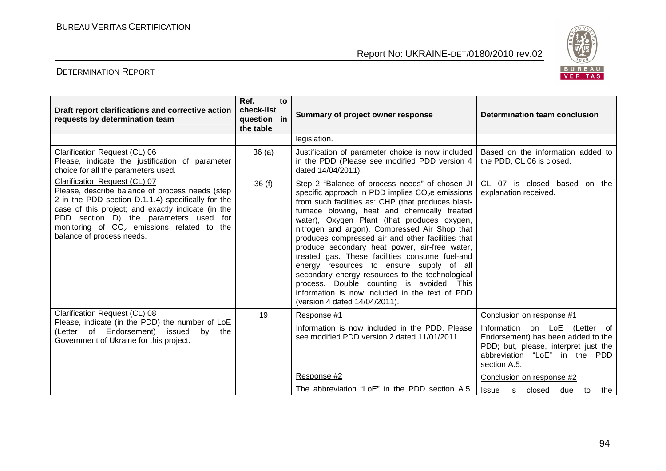

| Draft report clarifications and corrective action<br>requests by determination team                                                                                                                                                                                                                                    | Ref.<br>to<br>check-list<br>question in<br>the table | Summary of project owner response                                                                                                                                                                                                                                                                                                                                                                                                                                                                                                                                                                                                                                                                           | <b>Determination team conclusion</b>                                                                                                                                                      |
|------------------------------------------------------------------------------------------------------------------------------------------------------------------------------------------------------------------------------------------------------------------------------------------------------------------------|------------------------------------------------------|-------------------------------------------------------------------------------------------------------------------------------------------------------------------------------------------------------------------------------------------------------------------------------------------------------------------------------------------------------------------------------------------------------------------------------------------------------------------------------------------------------------------------------------------------------------------------------------------------------------------------------------------------------------------------------------------------------------|-------------------------------------------------------------------------------------------------------------------------------------------------------------------------------------------|
|                                                                                                                                                                                                                                                                                                                        |                                                      | legislation.                                                                                                                                                                                                                                                                                                                                                                                                                                                                                                                                                                                                                                                                                                |                                                                                                                                                                                           |
| Clarification Request (CL) 06<br>Please, indicate the justification of parameter<br>choice for all the parameters used.                                                                                                                                                                                                | 36(a)                                                | Justification of parameter choice is now included<br>in the PDD (Please see modified PDD version 4<br>dated 14/04/2011).                                                                                                                                                                                                                                                                                                                                                                                                                                                                                                                                                                                    | Based on the information added to<br>the PDD, CL 06 is closed.                                                                                                                            |
| Clarification Request (CL) 07<br>Please, describe balance of process needs (step<br>2 in the PDD section D.1.1.4) specifically for the<br>case of this project; and exactly indicate (in the<br>PDD section D) the parameters used<br>for<br>monitoring of $CO2$ emissions related to the<br>balance of process needs. | 36(f)                                                | Step 2 "Balance of process needs" of chosen JI<br>specific approach in PDD implies CO <sub>2</sub> e emissions<br>from such facilities as: CHP (that produces blast-<br>furnace blowing, heat and chemically treated<br>water), Oxygen Plant (that produces oxygen,<br>nitrogen and argon), Compressed Air Shop that<br>produces compressed air and other facilities that<br>produce secondary heat power, air-free water,<br>treated gas. These facilities consume fuel-and<br>energy resources to ensure supply of all<br>secondary energy resources to the technological<br>process. Double counting is avoided. This<br>information is now included in the text of PDD<br>(version 4 dated 14/04/2011). | CL 07 is closed based on the<br>explanation received.                                                                                                                                     |
| Clarification Request (CL) 08<br>Please, indicate (in the PDD) the number of LoE<br>(Letter of Endorsement) issued<br>bv<br>the<br>Government of Ukraine for this project.                                                                                                                                             | 19                                                   | Response #1<br>Information is now included in the PDD. Please<br>see modified PDD version 2 dated 11/01/2011.                                                                                                                                                                                                                                                                                                                                                                                                                                                                                                                                                                                               | Conclusion on response #1<br>Information on LoE (Letter of<br>Endorsement) has been added to the<br>PDD; but, please, interpret just the<br>abbreviation "LoE" in the PDD<br>section A.5. |
|                                                                                                                                                                                                                                                                                                                        |                                                      | Response #2<br>The abbreviation "LoE" in the PDD section A.5.                                                                                                                                                                                                                                                                                                                                                                                                                                                                                                                                                                                                                                               | Conclusion on response #2<br><b>Issue</b><br>is is<br>closed<br>due<br>to<br>the                                                                                                          |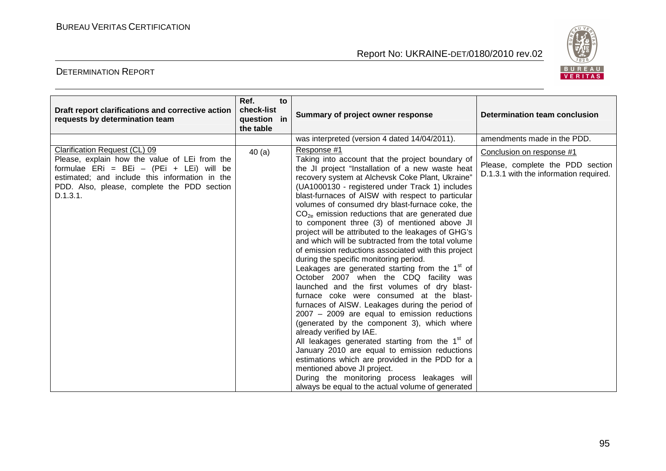

| Draft report clarifications and corrective action<br>requests by determination team                                                                                                                                                     | Ref.<br>to<br>check-list<br>question in<br>the table | Summary of project owner response                                                                                                                                                                                                                                                                                                                                                                                                                                                                                                                                                                                                                                                                                                                                                                                                                                                                                                                                                                                                                                                                                                                                                                                                                                                                                                                | Determination team conclusion                                                                           |
|-----------------------------------------------------------------------------------------------------------------------------------------------------------------------------------------------------------------------------------------|------------------------------------------------------|--------------------------------------------------------------------------------------------------------------------------------------------------------------------------------------------------------------------------------------------------------------------------------------------------------------------------------------------------------------------------------------------------------------------------------------------------------------------------------------------------------------------------------------------------------------------------------------------------------------------------------------------------------------------------------------------------------------------------------------------------------------------------------------------------------------------------------------------------------------------------------------------------------------------------------------------------------------------------------------------------------------------------------------------------------------------------------------------------------------------------------------------------------------------------------------------------------------------------------------------------------------------------------------------------------------------------------------------------|---------------------------------------------------------------------------------------------------------|
|                                                                                                                                                                                                                                         |                                                      | was interpreted (version 4 dated 14/04/2011).                                                                                                                                                                                                                                                                                                                                                                                                                                                                                                                                                                                                                                                                                                                                                                                                                                                                                                                                                                                                                                                                                                                                                                                                                                                                                                    | amendments made in the PDD.                                                                             |
| Clarification Request (CL) 09<br>Please, explain how the value of LEi from the<br>formulae ERi = BEi - (PEi + LEi) will be<br>estimated; and include this information in the<br>PDD. Also, please, complete the PDD section<br>D.1.3.1. | 40(a)                                                | Response #1<br>Taking into account that the project boundary of<br>the JI project "Installation of a new waste heat<br>recovery system at Alchevsk Coke Plant, Ukraine"<br>(UA1000130 - registered under Track 1) includes<br>blast-furnaces of AISW with respect to particular<br>volumes of consumed dry blast-furnace coke, the<br>$CO2e$ emission reductions that are generated due<br>to component three (3) of mentioned above JI<br>project will be attributed to the leakages of GHG's<br>and which will be subtracted from the total volume<br>of emission reductions associated with this project<br>during the specific monitoring period.<br>Leakages are generated starting from the 1 <sup>st</sup> of<br>October 2007 when the CDQ facility was<br>launched and the first volumes of dry blast-<br>furnace coke were consumed at the blast-<br>furnaces of AISW. Leakages during the period of<br>$2007 - 2009$ are equal to emission reductions<br>(generated by the component 3), which where<br>already verified by IAE.<br>All leakages generated starting from the 1 <sup>st</sup> of<br>January 2010 are equal to emission reductions<br>estimations which are provided in the PDD for a<br>mentioned above JI project.<br>During the monitoring process leakages will<br>always be equal to the actual volume of generated | Conclusion on response #1<br>Please, complete the PDD section<br>D.1.3.1 with the information required. |